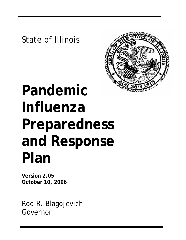State of Illinois



## **Pandemic Influenza Preparedness and Response Plan**

**Version 2.05 October 10, 2006** 

Rod R. Blagojevich Governor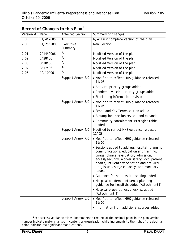| Version # | Date       | <b>Affected Section</b> | <b>Summary of Changes</b>                                                                                                                                                                                                                                                                   |  |
|-----------|------------|-------------------------|---------------------------------------------------------------------------------------------------------------------------------------------------------------------------------------------------------------------------------------------------------------------------------------------|--|
| 1.0       | 11/4/2005  | All                     | N/A: First complete version of the plan.                                                                                                                                                                                                                                                    |  |
| 2.0       | 11/25/2005 | Executive               | <b>New Section</b>                                                                                                                                                                                                                                                                          |  |
|           |            | Summary                 |                                                                                                                                                                                                                                                                                             |  |
| 2.01      | 2/14/2006  | All                     | Modified Version of the plan                                                                                                                                                                                                                                                                |  |
| 2.02      | 2/28/06    | All                     | Modified Version of the plan                                                                                                                                                                                                                                                                |  |
| 2.03      | 3/10/06    | All                     | Modified Version of the plan                                                                                                                                                                                                                                                                |  |
| 2.04      | 3/17/06    | All                     | Modified Version of the plan                                                                                                                                                                                                                                                                |  |
| 2.05      | 10/10/06   | All                     | Modified Version of the plan                                                                                                                                                                                                                                                                |  |
|           |            | Support Annex 2.0       | • Modified to reflect HHS guidance released<br>11/05                                                                                                                                                                                                                                        |  |
|           |            |                         | • Antiviral priority groups added                                                                                                                                                                                                                                                           |  |
|           |            |                         | • Pandemic vaccine priority groups added                                                                                                                                                                                                                                                    |  |
|           |            |                         | • Stockpiling information revised                                                                                                                                                                                                                                                           |  |
|           |            | Support Annex 3.0       | • Modified to reflect HHS guidance released<br>11/05                                                                                                                                                                                                                                        |  |
|           |            |                         | • Scope and Key Terms section added                                                                                                                                                                                                                                                         |  |
|           |            |                         | • Assumptions section revised and expanded                                                                                                                                                                                                                                                  |  |
|           |            |                         | • Community containment strategies table<br>added                                                                                                                                                                                                                                           |  |
|           |            | Support Annex 4.0       | Modified to reflect HHS guidance released<br>11/05                                                                                                                                                                                                                                          |  |
|           |            | Support Annex 7.0       | • Modified to reflect HHS guidance released<br>11/05                                                                                                                                                                                                                                        |  |
|           |            |                         | • Sections added to address hospital: planning,<br>communications, education and training,<br>triage, clinical evaluation, admission,<br>access/security, worker safety/occupational<br>health, influenza vaccination and antiviral<br>drug issues, surge capacity, and mortuary<br>issues. |  |
|           |            |                         | • Guidance for non-hospital setting added                                                                                                                                                                                                                                                   |  |
|           |            |                         | • Hospital pandemic influenza planning<br>guidance for hospitals added (Attachment1)                                                                                                                                                                                                        |  |
|           |            |                         | • Hospital preparedness checklist added<br>(Attachment 2)                                                                                                                                                                                                                                   |  |
|           |            | Support Annex 8.0       | • Modified to reflect HHS guidance released<br>11/05                                                                                                                                                                                                                                        |  |
|           |            |                         | • Information from additional sources added                                                                                                                                                                                                                                                 |  |

## **Record of Changes to this Plan<sup>1</sup>**

<sup>&</sup>lt;sup>1</sup> For successive plan versions, increments to the left of the decimal point in the plan version number indicate major changes in content or organization while increments to the right of the decimal point indicate less significant modifications.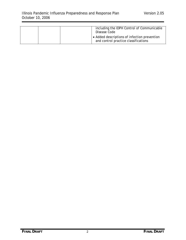|  | including the IDPH Control of Communicable   |
|--|----------------------------------------------|
|  | Disease Code                                 |
|  | • Added descriptions of infection prevention |
|  | and control practice classifications         |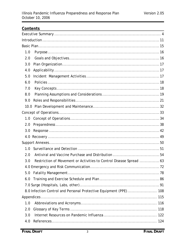## **Contents**

| 1.0 |                                                                     |
|-----|---------------------------------------------------------------------|
| 2.0 |                                                                     |
| 3.0 |                                                                     |
| 4.0 |                                                                     |
| 5.0 |                                                                     |
| 6.0 |                                                                     |
| 7.0 |                                                                     |
| 8.0 |                                                                     |
| 9.0 |                                                                     |
|     |                                                                     |
|     |                                                                     |
| 1.0 |                                                                     |
| 2.0 |                                                                     |
| 3.0 |                                                                     |
|     |                                                                     |
|     |                                                                     |
| 1.0 |                                                                     |
| 2.0 |                                                                     |
| 3.0 | Restriction of Movement or Activities to Control Disease Spread  63 |
|     |                                                                     |
| 5.0 |                                                                     |
| 6.0 |                                                                     |
|     |                                                                     |
|     | 8.0 Infection Control and Personal Protective Equipment (PPE) 108   |
|     |                                                                     |
| 1.0 |                                                                     |
| 2.0 |                                                                     |
| 3.0 |                                                                     |
| 4.0 |                                                                     |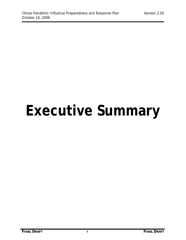# **Executive Summary**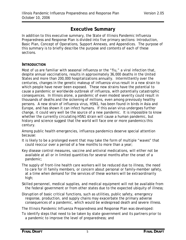## **Executive Summary**

In addition to this executive summary, the *State of Illinois Pandemic Influenza Preparedness and Response Plan* is divided into five primary sections: Introduction, Basic Plan, Concept of Operations, Support Annexes, and Appendices. The purpose of this summary is to briefly describe the purpose and contents of each of these sections.

#### **INTRODUCTION**

Most of us are familiar with seasonal influenza or the "flu," a viral infection that, despite annual vaccinations, results in approximately 36,000 deaths in the United States and more than 200,000 hospitalizations annually. Intermittently over the centuries, changes in the genetic makeup of influenza virus result in a new strain to which people have never been exposed. These new strains have the potential to cause a pandemic or worldwide outbreak of influenza, with potentially catastrophic consequences. In Illinois alone, a pandemic of even modest severity could result in thousands of deaths and the sickening of millions, even among previously healthy persons. A new strain of influenza virus, H5N1, has been found in birds in Asia and Europe, and has shown it can infect humans. If this avian virus undergoes further change, it could very well be the source of a new pandemic. It is impossible to know whether the currently circulating H5N1 strain will cause a human pandemic, but history and science suggest that the world will face one or more pandemics this century.

Among public health emergencies, influenza pandemics deserve special attention because:

- It is likely to be a prolonged event that may take the form of multiple "waves" that could reoccur over a period of a few months to more than a year;
- Key disease control measures, vaccine and antiviral medications, will either not be available at all or in limited quantities for several months after the onset of a pandemic;
- The supply of front-line health care workers will be reduced due to illness, the need to care for ill family members, or concern about personal or family-member safety, at a time when demand for the services of these workers will be extraordinarily high;
- Skilled personnel, medical supplies, and medical equipment will not be available from the federal government or from other states due to the expected ubiquity of illness;
- Disruption of basic critical functions, such as utilities, public safety, emergency response, production, and supply chains may exacerbate the primary adverse consequences of a pandemic, which would be widespread death and severe illness.

The *Illinois Pandemic Influenza Preparedness and Response Plan* was developed:

To identify steps that need to be taken by state government and its partners prior to a pandemic to improve the level of preparedness; and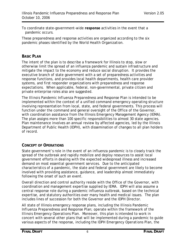To coordinate state-government-wide *response* activities in the event that a pandemic occurs.

These preparedness and response activities are organized according to the six pandemic phases identified by the World Health Organization.

#### **BASIC PLAN**

The intent of the plan is to describe a framework for Illinois to stop, slow or otherwise limit the spread of an influenza pandemic and sustain infrastructure and mitigate the impact to the economy and reduce social disruption. It provides the executive branch of state government with a set of preparedness activities and response functions, and provides local health departments, health care provider systems, and first responder organizations with preparedness and response expectations. When applicable, federal, non-governmental, private citizen and private enterprise roles also are suggested.

The *Illinois Pandemic Influenza Preparedness and Response Plan* is intended to be implemented within the context of a unified command emergency operating structure involving representation from local, state, and federal governments. This process will function under the command and general oversight of the Office of the Governor, with coordination assistance from the Illinois Emergency Management Agency (IEMA). The plan assigns more than 100 specific responsibilities to almost 30 state agencies. Plan maintenance involves an annual review by affected agencies, led by the Illinois Department of Public Health (IDPH), with dissemination of changes to all plan holders of record.

#### **CONCEPT OF OPERATIONS**

State government's role in the event of an influenza pandemic is to closely track the spread of the outbreak and rapidly mobilize and deploy resources to assist local government efforts in dealing with the expected widespread illness and increased demand on most essential government services. Due to the anticipated characteristics of a pandemic, the state and federal government are likely to become involved with providing assistance, guidance, and leadership almost immediately following the onset of such an event.

Overall direction and control authority reside with the Office of the Governor, with coordination and management expertise supplied by IEMA. IDPH will also assume a central response role during a pandemic influenza outbreak, based on the technical expertise, and statutory authorities over many health and medical issues. The plan includes lines of succession for both the Governor and the IDPH Director.

All state of Illinois emergency response plans, including the *Illinois Pandemic Influenza Preparedness and Response Plan*; operate within the framework of the *Illinois Emergency Operations Plan*. Moreover, this plan is intended to work in concert with several other plans that will be implemented during a pandemic to guide various aspects of the response, including the *IDPH Emergency Operations Plan*, the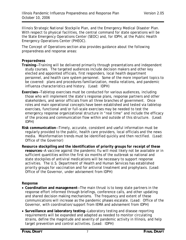*Illinois Strategic National Stockpile Plan,* and the *Emergency Medical Disaster Plan*. With respect to physical facilities, the central command for state operations will be the State Emergency Operations Center (SEOC) and, for IDPH, at the Public Health Emergency Operations Center (PHEOC).

The Concept of Operations section also provides guidance about the following preparedness and response areas:

#### *Preparedness*

- **Training**—Training will be delivered primarily through presentations and independent study courses. The targeted audiences include decision makers and other key elected and appointed officials, first responders, local health department personnel, and health care system personnel. Some of the more important topics to be covered: plans and procedures familiarization, media relations, and pandemic influenza characteristics and history. (*Lead:* IDPH)
- **Exercises**—Tabletop exercises must be conducted for various audiences, including those who will implement the state's response plans, response partners and other stakeholders, and senior officials from all three branches of government. Once roles and main operational concepts have been established and tested via tabletop exercises, functional and/or full-scale exercises may be needed to test the emergency response organizational structure in "real time" and include the efficacy of the process and communication flow within and outside of this structure. (*Lead:* IDPH)
- **Risk communication**—Timely, accurate, consistent and useful information must be regularly provided to the public, health care providers, local officials and the news media. Misinformation trends must be identified quickly and then rectified. (*Lead:* Office of the Governor)
- **Resource stockpiling and the identification of priority groups for receipt of these resources**—A vaccine against the pandemic flu will most likely not be available or in sufficient quantities within the first six months of the outbreak so national and state stockpiles of antiviral medications will be necessary to support response activities. The U.S. Department of Health and Human Services has established priority groups for vaccination and for antiviral treatment and prophylaxis. (*Lead:* Office of the Governor, under advisement from IDPH)

#### *Response*

- **Coordination and management**—The main thrust is to keep state partners in the response effort informed through briefings, conference calls, and other updating and shared decision making mechanisms. The frequency and extent of these communications will increase as the pandemic phases escalate. (*Lead:* Office of the Governor, with coordination/support from IEMA and advisement from IDPH)
- **Surveillance and laboratory testing**—Laboratory testing and disease reporting requirements will be expanded and adapted as needed to monitor circulating strains, define the magnitude and severity of pandemic activity in Illinois, and help target prevention and control activities. (*Lead:* IDPH)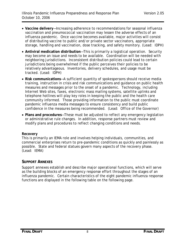- **Vaccine delivery**—Increasing adherence to recommendations for seasonal influenza vaccination and pneumococcal vaccination may lessen the adverse effects of an influenza pandemic. Once vaccine becomes available, major activities will consist of distributing vaccine to public and/or private sector vaccinators, appropriate storage, handling and vaccination, dose tracking, and safety monitory. (*Lead:* IDPH)
- **Antiviral medication distribution**—This is primarily a logistical operation. Security may become an issue and needs to be available. Coordination will be needed with neighboring jurisdictions. Inconsistent distribution policies could lead to certain jurisdictions being overwhelmed if the public perceives their policies to be relatively advantageous. Inventories, delivery schedules, and usage must be tracked. (*Lead:* IDPH)
- **Risk communications**—A sufficient quantity of spokespersons should receive media training, instruction in crisis and risk communications and guidance on public health measures and messages *prior* to the onset of a pandemic. Technology, including Internet Web sites, faxes, electronic mass mailing systems, satellite uplinks and telephone hotlines will play key roles in keeping the public and the health care community informed. Those providing information to the public must coordinate pandemic influenza media messages to ensure consistency and build public confidence in the measures being recommended. (*Lead:* Office of the Governor)
- **Plans and procedures**—These must be adjusted to reflect any emergency legislation or administrative rule changes. In addition, response partners must review and modify plans and procedures to reflect changing conditions and needs.

#### *Recovery*

This is primarily an IEMA role and involves helping individuals, communities, and commercial enterprises return to pre-pandemic conditions as quickly and painlessly as possible. State and federal statues govern many aspects of the recovery phase. (*Lead:* IEMA)

#### **SUPPORT ANNEXES**

Support annexes establish and describe major operational functions, which will serve as the building blocks of an emergency response effort throughout the stages of an influenza pandemic. Certain characteristics of the eight pandemic influenza response functions are displayed in the following table on the following page.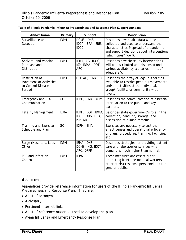| <b>Annex Name</b>                                                        | Primary     | Support                                           | Description                                                                                                                                                                             |
|--------------------------------------------------------------------------|-------------|---------------------------------------------------|-----------------------------------------------------------------------------------------------------------------------------------------------------------------------------------------|
| Surveillance and<br>Detection                                            | <b>IDPH</b> | DCMS, IDHS,<br>IDOA, IEPA, ISBE,<br><b>IDOC</b>   | Describes how health data will be<br>collected and used to understand the<br>characteristics & spread of a pandemic<br>and support decisions about interventions<br>(which ones? how?). |
| <b>Antiviral and Vaccine</b><br>Purchase and<br>Distribution             | <b>IDPH</b> | IEMA, AG, IDOC,<br>ISP, IDMA, IDOT,<br><b>ARC</b> | Describes how these key interventions<br>will be distributed and dispensed under<br>various availability scenarios (limited?<br>adequate?).                                             |
| Restriction of<br>Movement or Activities<br>to Control Disease<br>Spread | <b>IDPH</b> | GO, AG, IEMA, ISP                                 | Describes the array of legal authorities<br>available to restrict people's movements<br>and/or activities at the individual,<br>group/ facility, or community-wide<br>levels.           |
| <b>Emergency and Risk</b><br>Communication                               | GO          | IDPH, IEMA, DCMS                                  | Describes the communication of essential<br>information to the public and key<br>partners.                                                                                              |
| <b>Fatality Management</b>                                               | <b>IEMA</b> | IDPH, IDOT, IDMA,<br>IDOC, DHS, IEPA,<br>ISP, ARC | Describes state government's role in the<br>collection, handling, storage, and<br>disposition of human remains.                                                                         |
| <b>Training and Exercise</b><br>Schedule and Plan                        | GO          | IDPH, IEMA                                        | Exercises are necessary to test the<br>effectiveness and operational efficiency<br>of plans, procedures, training, facilities,<br>etc.                                                  |
| Surge (Hospitals, Labs,<br>Other)                                        | <b>IDPH</b> | IEMA, IDHS,<br>DCMS, ING, IDOT,<br>ARC, DPFR      | Describes strategies for providing patient<br>care and laboratories services when<br>demand is much higher than normal.                                                                 |
| PPE and Infection<br>Control                                             | <b>IDPH</b> | <b>IEPA</b>                                       | These measures are essential for<br>protecting front line medical workers,<br>other at-risk response personnel and the<br>general public.                                               |

**Table of Illinois Pandemic Influenza Preparedness and Response Plan Support Annexes** 

#### **APPENDICES**

Appendices provide reference information for users of the *Illinois Pandemic Influenza Preparedness and Response Plan*. They are:

- A list of acronyms
- A glossary
- Pertinent Internet links
- A list of reference materials used to develop the plan
- Avian Influenza and Emergency Response Plan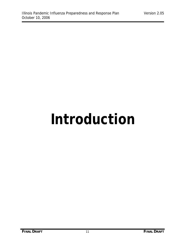# **Introduction**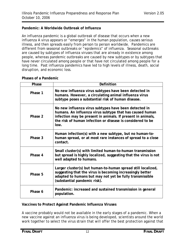#### **Pandemic: A Worldwide Outbreak of Influenza**

An influenza pandemic is a global outbreak of disease that occurs when a new influenza A virus appears or "emerges" in the human population, causes serious illness, and then spreads easily from person to person worldwide. Pandemics are different from seasonal outbreaks or "epidemics" of influenza. Seasonal outbreaks are caused by subtypes of influenza viruses that are already in existence among people, whereas pandemic outbreaks are caused by new subtypes or by subtypes that have never circulated among people or that have not circulated among people for a long time. Past influenza pandemics have led to high levels of illness, death, social disruption, and economic loss.

#### **Phases of a Pandemic**

| Phase   | <b>Definition</b>                                                                                                                                                                                                                                      |
|---------|--------------------------------------------------------------------------------------------------------------------------------------------------------------------------------------------------------------------------------------------------------|
| Phase 1 | No new influenza virus subtypes have been detected in<br>humans. However, a circulating animal influenza virus<br>subtype poses a substantial risk of human disease.                                                                                   |
| Phase 2 | No new influenza virus subtypes have been detected in<br>humans. An influenza virus subtype that has caused human<br>infection may be present in animals. If present in animals,<br>the risk of human infection or disease is considered to be<br>low. |
| Phase 3 | Human infection(s) with a new subtype, but no human-to-<br>human spread, or at most rare instances of spread to a close<br>contact.                                                                                                                    |
| Phase 4 | Small cluster(s) with limited human-to-human transmission<br>but spread is highly localized, suggesting that the virus is not<br>well adapted to humans.                                                                                               |
| Phase 5 | Larger cluster(s) but human-to-human spread still localized,<br>suggesting that the virus is becoming increasingly better<br>adapted to humans but may not yet be fully transmissible<br>(substantial pandemic risk).                                  |
| Phase 6 | Pandemic: increased and sustained transmission in general<br>population.                                                                                                                                                                               |

**Vaccines to Protect Against Pandemic Influenza Viruses** 

A vaccine probably would not be available in the early stages of a pandemic. When a new vaccine against an influenza virus is being developed, scientists around the world work together to select the virus strain that will offer the best protection against that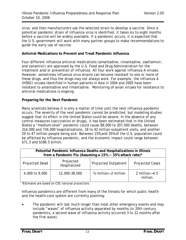virus, and then manufacturers use the selected strain to develop a vaccine. Once a potential pandemic strain of influenza virus is identified, it takes six to eight months before a vaccine will be widely available. If a pandemic occurs, it is expected that the U.S. government will work with many partner groups to make recommendations to guide the early use of vaccine.

#### **Antiviral Medications to Prevent and Treat Pandemic Influenza**

Four different influenza antiviral medications (amantadine, rimantadine, oseltamivir, and zanamivir) are approved by the U.S. Food and Drug Administration for the treatment and/or prevention of influenza. All four work against influenza A viruses. However, sometimes influenza virus strains can become resistant to one or more of these drugs, and thus the drugs may not always work. For example, the influenza A (H5N1) viruses identified in human patients in Asia in 2004 and 2005 have been resistant to amantadine and rimantadine. Monitoring of avian viruses for resistance to antiviral medications is ongoing.

#### **Preparing for the Next Pandemic**

Many scientists believe it is only a matter of time until the next influenza pandemic occurs. The severity of the next pandemic cannot be predicted, but modeling studies suggest that its effect in the United States could be severe. In the absence of any control measures (vaccination or drugs), it has been estimated that in the United States a "medium–level" pandemic could cause 89,000 to 207,000 deaths, between 314,000 and 734,000 hospitalizations, 18 to 42 million outpatient visits, and another 20 to 47 million people being sick. Between 15% and 35% of the U.S. population could be affected by influenza pandemic, and the economic impact could range between \$71.3 and \$166.5 billion.

| Potential Pandemic Influenza Deaths and Hospitalizations in Illinois<br>from a Pandemic Flu (Assuming a 15% -- 35% attack rate)* |                           |                       |                             |
|----------------------------------------------------------------------------------------------------------------------------------|---------------------------|-----------------------|-----------------------------|
| Projected Dead                                                                                                                   | Projected<br>Hospitalized | Projected Outpatient  | <b>Projected Cases</b>      |
| 4,000 to 9,000                                                                                                                   | 12,000-38,000             | 3/4 million-2 million | 2 million $-4.5$<br>million |

\*Estimates are based on CDC national projections

Influenza pandemics are different from many of the threats for which public health and the health-care system are currently planning:

• The pandemic will last much longer than most other emergency events and may include "waves" of influenza activity separated by months (in 20th century pandemics, a second wave of influenza activity occurred 3 to 12 months after the first wave).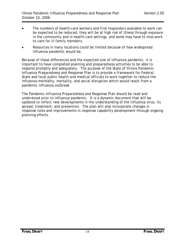- The numbers of health-care workers and first responders available to work can be expected to be reduced; they will be at high risk of illness through exposure in the community and in health-care settings, and some may have to miss work to care for ill family members.
- Resources in many locations could be limited because of how widespread influenza pandemic would be.

Because of these differences and the expected size of influenza pandemic, it is important to have completed planning and preparedness activities to be able to respond promptly and adequately. The purpose of the State of Illinois *Pandemic Influenza Preparedness and Response Plan* is to provide a framework for Federal, State and local public health and medical officials to work together to reduce the influenza-morbidity, mortality, and social disruption which would result from a pandemic influenza outbreak

The *Pandemic Influenza Preparedness and Response Plan* should be read and understood prior to influenza pandemic. It is a dynamic document that will be updated to reflect new developments in the understanding of the influenza virus, its spread, treatment, and prevention. The plan will also incorporate changes in response roles and improvements in response capability development through ongoing planning efforts.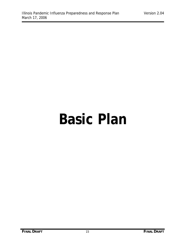## **Basic Plan**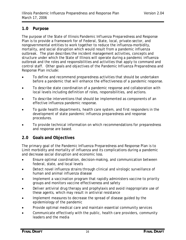## **1.0 Purpose**

The purpose of the State of Illinois *Pandemic Influenza Preparedness and Response Plan* is to provide a framework for of Federal, State, local, private-sector, and nongovernmental entities to work together to reduce the influenza-morbidity, mortality, and social disruption which would result from a pandemic influenza outbreak. The plan describes the incident management activities, concepts and structure under which the State of Illinois will operate during a pandemic influenza outbreak and the roles and responsibilities and activities that apply to command and control staff. Other goals and objectives of the *Pandemic Influenza Preparedness and Response Plan* include:

- To define and recommend preparedness activities that should be undertaken before a pandemic that will enhance the effectiveness of a pandemic response.
- To describe state coordination of a pandemic response and collaboration with local levels including definition of roles, responsibilities, and actions.
- To describe interventions that should be implemented as components of an effective influenza pandemic response.
- To guide health departments, health care system, and first responders in the development of state pandemic influenza preparedness and response procedures.
- To provide technical information on which recommendations for preparedness and response are based.

## **2.0 Goals and Objectives**

The primary goal of the *Pandemic Influenza Preparedness and Response Plan is to*  Limit morbidity and mortality of influenza and its complications during a pandemic and decrease social disruption and economic loss.

- Ensure optimal coordination, decision-making, and communication between federal, state, and local levels
- Detect novel influenza strains through clinical and virologic surveillance of human and animal influenza disease
- Implement a vaccination program that rapidly administers vaccine to priority groups and monitors vaccine effectiveness and safety
- Deliver antiviral drug therapy and prophylaxis and avoid inappropriate use of these agents, which may result in antiviral resistance
- Implement measures to decrease the spread of disease guided by the epidemiology of the pandemic
- Provide optimal medical care and maintain essential community services
- Communicate effectively with the public, health care providers, community leaders and the media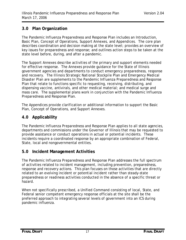## **3.0 Plan Organization**

The *Pandemic Influenza Preparedness and Response Plan* includes an Introduction, Basic Plan, Concept of Operations, Support Annexes, and Appendices. The core plan describes coordination and decision making at the state level; provides an overview of key issues for preparedness and response; and outlines action steps to be taken at the state level before, during, and after a pandemic.

The Support Annexes describe activities of the primary and support elements needed for effective response. The Annexes provide guidance for the State of Illinois government agencies and departments to conduct emergency preparedness, response and recovery. The *Illinois Strategic National Stockpile Plan* and *Emergency Medical Disaster Plan* are supplements to the *Pandemic Influenza Preparedness and Response Plan* that relate to functions specific to requesting, receiving, distributing, and dispensing vaccine, antivirals, and other medical material; and medical surge and mass care. The supplemental plans work in conjunction with the *Pandemic Influenza Preparedness and Response Plan*.

The Appendices provide clarification or additional information to support the Basic Plan, Concept of Operations, and Support Annexes.

## **4.0 Applicability**

The *Pandemic Influenza Preparedness and Response Plan* applies to all state agencies, departments and commissions under the Governor of Illinois that may be requested to provide assistance or conduct operations in actual or potential incidents. These incidents require a coordinated response by an appropriate combination of Federal, State, local and nongovernmental entities.

## **5.0 Incident Management Activities**

The *Pandemic Influenza Preparedness and Response Plan* addresses the full spectrum of activities related to incident management, including prevention, preparedness, response and recovery actions. This plan focuses on those activities that are directly related to an evolving incident or potential incident rather than steady-state preparedness or readiness activities conducted in the absence of a specific threat or hazard.

When not specifically prescribed, a Unified Command consisting of local, State, and Federal senior competent emergency response officials at the site shall be the preferred approach to integrating several levels of government into an ICS during pandemic influenza.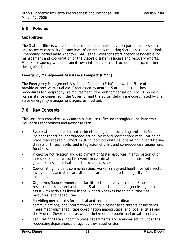## **6.0 Policies**

#### *Capabilities*

The State of Illinois will establish and maintain an effective preparedness, response and recovery capability for any level of emergency requiring State assistance. Illinois Emergency Management Agency (IEMA) is the Governor's staff agency responsible for management and coordination of the State's disaster response and recovery efforts. Each State agency will maintain its own internal control structure and organization during disasters.

#### *Emergency Management Assistance Compact (EMAC)*

The Emergency Management Assistance Compact (EMAC) allows the State of Illinois to provide or receive mutual aid if requested by another State and establishes procedures for reciprocity, reimbursement, workers' compensation, etc. A request for assistance comes from the Governor and the actual details are coordinated by the state emergency management agencies involved.

## **7.0 Key Concepts**

This section summarizes key concepts that are reflected throughout the *Pandemic Influenza Preparedness and Response Plan*.

- Systematic and coordinated incident management including protocols for: incident reporting; coordinated action; alert and notification; mobilization of State resources to augment existing local capabilities; operating under differing threats or threat levels; and integration of crisis and consequence management functions.
- Proactive notification and deployment of State resources in anticipation of or in response to catastrophic events in coordination and collaboration with local governments and private entities when possible.
- Coordinating incident communication, worker safety and health, private-sector involvement, and other activities that are common to the majority of incidents.
- Organizing Support Annexes to facilitate the delivery of critical State resources, assets, and assistance. State departments and agencies agree to assist with activities listed in the Support Annexes based on authorities, resources, and capabilities.
- Providing mechanisms for vertical and horizontal coordination, communications, and information sharing in response to threats or incidents. These mechanisms facilitate coordination among State, and local entities and the Federal Government, as well as between the public and private sectors.
- Facilitating State support to State departments and agencies acting under the requesting department's or agency's own authorities.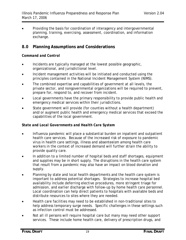• Providing the basis for coordination of interagency and intergovernmental planning, training, exercising, assessment, coordination, and information exchange.

### **8.0 Planning Assumptions and Considerations**

#### *Command and Control*

- Incidents are typically managed at the lowest possible geographic, organizational, and jurisdictional level.
- Incident management activities will be initiated and conducted using the principles contained in the National Incident Management System (NIMS).
- The combined expertise and capabilities of government at all levels, the private sector, and nongovernmental organizations will be required to prevent, prepare for, respond to, and recover from incident.
- Local governments have the primary responsibility to provide public health and emergency medical services within their jurisdictions.
- State government will provide (for counties without a health department) and/or augment public health and emergency medical services that exceed the capabilities of the local government.

#### *State and Local Governments and Health Care System*

- Influenza pandemic will place a substantial burden on inpatient and outpatient health care services. Because of the increased risk of exposure to pandemic virus in health care settings, illness and absenteeism among health care workers in the context of increased demand will further strain the ability to provide quality care.
- In addition to a limited number of hospital beds and staff shortages, equipment and supplies may be in short supply. The disruptions in the health care system that result from a pandemic may also have an impact on blood donation and supply.
- Planning by state and local health departments and the health care system is important to address potential shortages. Strategies to increase hospital bed availability include deferring elective procedures, more stringent triage for admission, and earlier discharge with follow-up by home health care personnel. Local coordination can help direct patients to hospitals with available beds and distribute resources to sites where they are needed.
- Health care facilities may need to be established in non-traditional sites to help address temporary surge needs. Specific challenges in these settings such as infection control must be addressed.
- Not all ill persons will require hospital care but many may need other support services. These include home health care, delivery of prescription drugs, and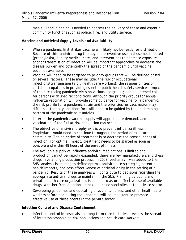meals. Local planning is needed to address the delivery of these and essential community functions such as police, fire, and utility service.

#### *Vaccine and Antiviral Supply Levels and Availability*

- When a pandemic first strikes vaccine will likely not be ready for distribution. Because of this, antiviral drug therapy and preventive use in those not infected (prophylaxis), quality medical care, and interventions to decrease exposure and/or transmission of infection will be important approaches to decrease the disease burden and potentially the spread of the pandemic until vaccine becomes available.
- Vaccine will need to be targeted to priority groups that will be defined based on several factors. These may include: the risk of occupational infections/transmission (e.g., health care workers); the responsibilities of certain occupations in providing essential public health safety services; impact of the circulating pandemic virus on various age groups; and heightened risks for persons with specific conditions. Although the priority groups for annual influenza vaccination will provide some guidance for vaccine for a pandemic, the risk profile for a pandemic strain and the priorities for vaccination may differ substantially and therefore will need to be guided by the epidemiologic pattern of the pandemic as it unfolds.
- Later in the pandemic, vaccine supply will approximate demand, and vaccination of the full at-risk population can occur.
- The objective of antiviral prophylaxis is to prevent influenza illness. Prophylaxis would need to continue throughout the period of exposure in a community. The objective of treatment is to decrease the consequences of infection. For optimal impact, treatment needs to be started as soon as possible and within 48 hours of the onset of illness.
- The available supply of influenza antiviral medications is limited and production cannot be rapidly expanded: there are few manufacturers and these drugs have a long production process. In 2003, oseltamivir was added to the SNS. Analysis is ongoing to define optimal antiviral use strategies, potential health impacts, and cost-effectiveness of antiviral drugs in the setting of a pandemic. Results of these analyses will contribute to decisions regarding the appropriate antiviral drugs to maintain in the SNS. Planning by public and private health care organizations is needed to assure effective use of available drugs, whether from a national stockpile, state stockpiles or the private sector.
- Developing guidelines and educating physicians, nurses, and other health care workers before and during the pandemic will be important to promote effective use of these agents in the private sector.

#### *Infection Control and Disease Containment*

• Infection control in hospitals and long-term care facilities prevents the spread of infection among high-risk populations and health care workers.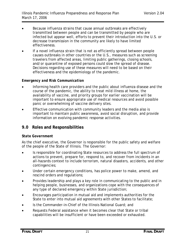- Because influenza strains that cause annual outbreaks are effectively transmitted between people and can be transmitted by people who are infected but appear well, efforts to prevent their introduction into the U.S. or decrease transmission in the community are likely to have limited effectiveness.
- If a novel influenza strain that is not as efficiently spread between people causes outbreaks in other countries or the U.S., measures such as screening travelers from affected areas, limiting public gatherings, closing schools, and/or quarantine of exposed persons could slow the spread of disease. Decisions regarding use of these measures will need to be based on their effectiveness and the epidemiology of the pandemic.

#### *Emergency and Risk Communication*

- Informing health care providers and the public about influenza disease and the course of the pandemic, the ability to treat mild illness at home, the availability of vaccine, and priority groups for earlier vaccination will be important to ensure appropriate use of medical resources and avoid possible panic or overwhelming of vaccine delivery sites.
- Effective communication with community leaders and the media also is important to maintain public awareness, avoid social disruption, and provide information on evolving pandemic response activities.

### **9.0 Roles and Responsibilities**

#### *State Government*

As the chief executive, the Governor is responsible for the public safety and welfare of the people of the State of Illinois. The Governor:

- Is responsible for coordinating State resources to address the full spectrum of actions to prevent, prepare for, respond to, and recover from incidents in an all-hazards context to include terrorism, natural disasters, accidents, and other contingencies;
- Under certain emergency conditions, has police power to make, amend, and rescind orders and regulations;
- Provides leadership and plays a key role in communicating to the public and in helping people, businesses, and organizations cope with the consequences of any type of declared emergency within State jurisdiction;
- Encourages participation in mutual aid and implements authorities for the State to enter into mutual aid agreements with other States to facilitate;
- Is the Commander-in-Chief of the Illinois National Guard; and
- Requests Federal assistance when it becomes clear that State or tribal capabilities will be insufficient or have been exceeded or exhausted.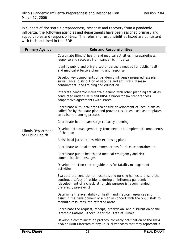In support of the state's preparedness, response and recovery from a pandemic influenza, the following agencies and departments have been assigned primary and support roles and responsibilities. The roles and responsibilities listed are consistent with tasks outlined in the IEOP.

| <b>Primary Agency</b><br><b>Role and Responsibilities</b> |                                                                                                                                                                                                                            |
|-----------------------------------------------------------|----------------------------------------------------------------------------------------------------------------------------------------------------------------------------------------------------------------------------|
|                                                           | Coordinate Illinois' health and medical activities in preparedness,<br>response and recovery from pandemic influenza                                                                                                       |
|                                                           | Identify public and private sector partners needed for public health<br>and medical effective planning and response                                                                                                        |
|                                                           | Develop key components of pandemic influenza preparedness plan:<br>surveillance, distribution of vaccine and antivirals, disease<br>containment, and training and education                                                |
|                                                           | Integrate pandemic influenza planning with other planning activities<br>conducted under CDC's and HRSA's bioterrorism preparedness<br>cooperative agreements with states                                                   |
|                                                           | Coordinate with local areas to ensure development of local plans as<br>called for by the state plan and provide resources, such as templates<br>to assist in planning process                                              |
|                                                           | Coordinate health care surge capacity planning.                                                                                                                                                                            |
| <b>Illinois Department</b><br>of Public Health            | Develop data management systems needed to implement components<br>of the plan                                                                                                                                              |
|                                                           | Assist local jurisdictions with exercising plans                                                                                                                                                                           |
|                                                           | Coordinate and makes recommendations for disease containment                                                                                                                                                               |
|                                                           | Coordinate public health and medical emergency and risk<br>communication messages                                                                                                                                          |
|                                                           | Develop infection control guidelines for fatality management<br>activities                                                                                                                                                 |
|                                                           | Evaluate the condition of hospitals and nursing homes to ensure the<br>continued safety of residents during an influenza pandemic<br>(development of a checklist for this purpose is recommended,<br>preferably pre-event) |
|                                                           | Determine the availability of health and medical resources and will<br>assist in the development of a plan in concert with the SEOC staff to<br>mobilize resources into affected areas                                     |
|                                                           | Coordinate the request, receipt, breakdown, and distribution of the<br>Strategic National Stockpile for the State of Illinois                                                                                              |
|                                                           | Develop a communication protocol for early notification of the IDOA<br>and/or IDNR Directors of any unusual zoonoses that may represent a                                                                                  |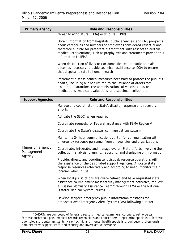| <b>Primary Agency</b>                             | <b>Role and Responsibilities</b>                                                                                                                                                                                                                                                                                      |
|---------------------------------------------------|-----------------------------------------------------------------------------------------------------------------------------------------------------------------------------------------------------------------------------------------------------------------------------------------------------------------------|
|                                                   | threat to agriculture (IDOA) or wildlife (IDNR).                                                                                                                                                                                                                                                                      |
|                                                   | Obtain information from hospitals, public agencies, and EMS programs<br>about categories and numbers of employees considered essential and<br>therefore eligible for preferential treatment with respect to certain<br>medical interventions, such as prophylaxis and treatment; provide this<br>information to IEMA. |
|                                                   | When destruction of livestock or domesticated or exotic animals<br>becomes necessary, provide technical assistance to IDOA to ensure<br>that disposal is safe to human health                                                                                                                                         |
|                                                   | Implement disease control measures necessary to protect the public's<br>health, including but not limited to the issuance of orders for:<br>isolation, quarantine, the administrations of vaccines and/or<br>medications, medical evaluations, and specimen collection.                                               |
| <b>Support Agencies</b>                           | <b>Role and Responsibilities</b>                                                                                                                                                                                                                                                                                      |
|                                                   | Manage and coordinate the State's disaster response and recovery<br>efforts                                                                                                                                                                                                                                           |
|                                                   | Activate the SEOC, when required                                                                                                                                                                                                                                                                                      |
|                                                   | Coordinate requests for Federal assistance with FEMA Region V                                                                                                                                                                                                                                                         |
|                                                   | Coordinate the State's disaster communications system                                                                                                                                                                                                                                                                 |
|                                                   | Maintain a 24-hour communications center for communicating with<br>emergency response personnel from all agencies and organizations                                                                                                                                                                                   |
| <b>Illinois Emergency</b><br>Management<br>Agency | Coordinate, integrate, and manage overall State efforts involving the<br>collection, analysis, planning, reporting, and displaying of information                                                                                                                                                                     |
|                                                   | Provide, direct, and coordinate logistical/resource operations with<br>the assistance of the designated support agencies. Allocate state<br>response resources effectively and according to need; monitor their<br>location when in use.                                                                              |
|                                                   | When local jurisdictions are overwhelmed and have requested state<br>assistance to implement mass fatality management activities; request<br>a Disaster Mortuary Assistance Team <sup>2</sup> through FEMA or the National<br>Disaster Medical System (NDMS).                                                         |
|                                                   | Develop scripted emergency public information messages for<br>broadcast over Emergency Alert System (EAS) following disaster                                                                                                                                                                                          |

<sup>2</sup> DMORTs are composed of funeral directors, medical examiners, coroners, pathologists, forensic anthropologists, medical records technicians and transcribers, finger print specialists, forensic odontologists, dental assistants, x-ray technicians, mental health specialists, computer professionals, administrative support staff, and security and investigative personnel.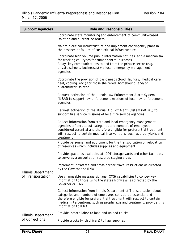| <b>Support Agencies</b>    | <b>Role and Responsibilities</b>                                                                                                                                                                                                                                                                                |
|----------------------------|-----------------------------------------------------------------------------------------------------------------------------------------------------------------------------------------------------------------------------------------------------------------------------------------------------------------|
|                            | Coordinate state monitoring and enforcement of community-based<br>isolation and quarantine orders                                                                                                                                                                                                               |
|                            | Maintain critical infrastructure and implement contingency plans in<br>the absence or failure of such critical infrastructure.                                                                                                                                                                                  |
|                            | Coordinate high volume public information hotlines, and a mechanism<br>for tracking call types for rumor control purposes<br>Relays key communications to and from the private sector (e.g.<br>private schools, businesses) via local emergency management<br>agencies                                          |
|                            | Coordinate the provision of basic needs (food, laundry, medical care,<br>heat/cooling, etc.) for those sheltered, homebound, and/or<br>quarantined/isolated                                                                                                                                                     |
|                            | Request activation of the Illinois Law Enforcement Alarm System<br>(ILEAS) to support law enforcement missions of local law enforcement<br>agencies                                                                                                                                                             |
|                            | Request activation of the Mutual Aid Box Alarm System (MABAS) to<br>support fire service missions of local fire service agencies                                                                                                                                                                                |
|                            | Collect information from state and local emergency management<br>agencies officers about categories and numbers of employees<br>considered essential and therefore eligible for preferential treatment<br>with respect to certain medical interventions, such as prophylaxis and<br>treatment                   |
|                            | Provide personnel and equipment for the transportation or relocation<br>of resources which includes supplies and equipment                                                                                                                                                                                      |
|                            | Provide space, as available, at IDOT storage yards and other facilities,<br>to serve as transportation resource staging areas                                                                                                                                                                                   |
| <b>Illinois Department</b> | Implement intrastate and cross-border travel restrictions as directed<br>by the Governor or IEMA                                                                                                                                                                                                                |
| of Transportation          | Use changeable message signage (CMS) capabilities to convey key<br>information to those using the states highways, as directed by the<br>Governor or IEMA                                                                                                                                                       |
|                            | Collect information from Illinois Department of Transportation about<br>categories and numbers of employees considered essential and<br>therefore eligible for preferential treatment with respect to certain<br>medical interventions, such as prophylaxis and treatment; provide this<br>information to IEMA. |
| Illinois Department        | Provide inmate labor to load and unload trucks                                                                                                                                                                                                                                                                  |
| of Corrections             | Provide trucks (with drivers) to haul supplies                                                                                                                                                                                                                                                                  |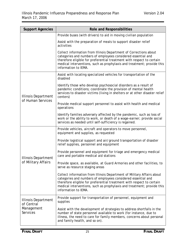| <b>Support Agencies</b>           | <b>Role and Responsibilities</b>                                                                                                                                                                                                                                                                                  |  |  |
|-----------------------------------|-------------------------------------------------------------------------------------------------------------------------------------------------------------------------------------------------------------------------------------------------------------------------------------------------------------------|--|--|
|                                   | Provide buses (with drivers) to aid in moving civilian population                                                                                                                                                                                                                                                 |  |  |
|                                   | Assist with the preparation of meals to support disaster relief<br>activities                                                                                                                                                                                                                                     |  |  |
|                                   | Collect information from Illinois Department of Corrections about<br>categories and numbers of employees considered essential and<br>therefore eligible for preferential treatment with respect to certain<br>medical interventions, such as prophylaxis and treatment; provide this<br>information to IEMA.      |  |  |
|                                   | Assist with locating specialized vehicles for transportation of the<br>disabled                                                                                                                                                                                                                                   |  |  |
| Illinois Department               | Identify those who develop psychosocial disorders as a result of<br>pandemic conditions; coordinate the provision of mental health<br>services to disaster victims (living in shelters or at other disaster relief<br>centers)                                                                                    |  |  |
| of Human Services                 | Provide medical support personnel to assist with health and medical<br>operations                                                                                                                                                                                                                                 |  |  |
|                                   | Identify families adversely affected by the pandemic, such as loss of<br>work or the ability to work, or death of a wage-earner; provide social<br>services as needed until self-sufficiency is regained.                                                                                                         |  |  |
|                                   | Provide vehicles, aircraft and operators to move personnel,<br>equipment and supplies, as requested                                                                                                                                                                                                               |  |  |
|                                   | Provide logistical support and air/ground transportation of disaster<br>relief supplies, personnel and equipment                                                                                                                                                                                                  |  |  |
| <b>Illinois Department</b>        | Provide personnel and equipment for triage and emergency medical<br>care and portable medical aid stations                                                                                                                                                                                                        |  |  |
| of Military Affairs               | Provide space, as available, at Guard Armories and other facilities, to<br>serve as resource staging areas                                                                                                                                                                                                        |  |  |
|                                   | Collect information from Illinois Department of Military Affairs about<br>categories and numbers of employees considered essential and<br>therefore eligible for preferential treatment with respect to certain<br>medical interventions, such as prophylaxis and treatment; provide this<br>information to IEMA. |  |  |
| Illinois Department<br>of Central | Provide support for transportation of personnel, equipment and<br>supplies                                                                                                                                                                                                                                        |  |  |
| Management<br><b>Services</b>     | Assist with the development of strategies to address shortfalls in the<br>number of state personnel available to work (for instance, due to<br>illness, the need to care for family members, concerns about personal<br>and family health, and so on).                                                            |  |  |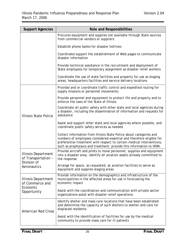| <b>Support Agencies</b>                           | <b>Role and Responsibilities</b>                                                                                                                                                                                                                                                             |
|---------------------------------------------------|----------------------------------------------------------------------------------------------------------------------------------------------------------------------------------------------------------------------------------------------------------------------------------------------|
|                                                   | Procures equipment and supplies not available through State sources<br>from commercial vendors or suppliers                                                                                                                                                                                  |
|                                                   | Establish phone banks for disaster hotlines                                                                                                                                                                                                                                                  |
|                                                   | Coordinate/support the establishment of Web pages to communicate<br>disaster information                                                                                                                                                                                                     |
|                                                   | Provide technical assistance in the recruitment and deployment of<br>State employees for temporary assignment as disaster relief workers                                                                                                                                                     |
|                                                   | Coordinate the use of state facilities and property for use as staging<br>areas, headquarters facilities and service delivery locations                                                                                                                                                      |
|                                                   | Provide/and or coordinate traffic control and expedited routing for<br>supply missions or personnel movements                                                                                                                                                                                |
|                                                   | Provide personnel and equipment to protect life and property and to<br>enforce the laws of the State of Illinois                                                                                                                                                                             |
| <b>Illinois State Police</b>                      | Coordinate all public safety with other state and local agencies during<br>a disaster, including the dissemination of information and requests for<br>assistance                                                                                                                             |
|                                                   | Assist and support other state and local agencies where possible, and<br>coordinate public safety services as needed                                                                                                                                                                         |
|                                                   | Collect information from Illinois State Police about categories and<br>numbers of employees considered essential and therefore eligible for<br>preferential treatment with respect to certain medical interventions,<br>such as prophylaxis and treatment; provide this information to IEMA. |
| <b>Illinois Department</b><br>of Transportation - | Provide aircraft and pilots to move personnel, supplies and equipment<br>into a disaster area, identify all aviation assets already committed to<br>the response                                                                                                                             |
| Division of<br>Aeronautics                        | Arrange for space, as requested, at aviation facilities to serve as<br>equipment and supplies staging areas                                                                                                                                                                                  |
| Illinois Department<br>of Commerce and            | Provide information on the demographics and infrastructure of the<br>municipalities in the affected areas for use in forecasting the<br>economic impact                                                                                                                                      |
| Economic<br>Opportunity                           | Assist with the coordination and communication with private sector<br>organizations assist with disaster relief operations                                                                                                                                                                   |
| <b>American Red Cross</b>                         | Identify shelter and mass care locations that have been established<br>and determine the capacity of such shelters to shelter and care for<br>displaced residents                                                                                                                            |
|                                                   | Assist with the identification of facilities for use by the medical<br>community to provide mass care for ill patients                                                                                                                                                                       |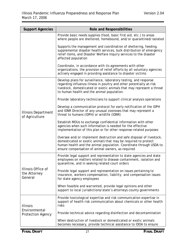| <b>Support Agencies</b>                       | <b>Role and Responsibilities</b>                                                                                                                                                                                                                                  |
|-----------------------------------------------|-------------------------------------------------------------------------------------------------------------------------------------------------------------------------------------------------------------------------------------------------------------------|
|                                               | Provide basic needs supplies (food, basic first aid, etc.) to areas<br>where people are sheltered, homebound, and/or quarantined/isolated                                                                                                                         |
|                                               | Supports the management and coordination of sheltering, feeding,<br>supplemental disaster health services, bulk distribution of emergency<br>relief items, and Disaster Welfare Inquiry services to the disaster<br>affected population                           |
|                                               | Coordinate, in accordance with its agreements with other<br>organizations, the provision of relief efforts by all voluntary agencies<br>actively engaged in providing assistance to disaster victims                                                              |
|                                               | Develop plans for surveillance, laboratory testing, and response<br>regarding influenza illness in poultry and other potentially at-risk<br>livestock, domesticated or exotic animals that may represent a threat<br>to human health and the animal population.   |
|                                               | Provide laboratory technicians to support clinical analysis operations                                                                                                                                                                                            |
| <b>Illinois Department</b><br>of Agriculture  | Develop a communication protocol for early notification of the IDPH<br>and IDNR Director of any unusual zoonoses that may represent a<br>threat to humans (IDPH) or wildlife (IDNR)                                                                               |
|                                               | Establish MOUs to exchange confidential information with other<br>agencies when such information is needed for the effective<br>implementation of this plan or for other response-related purposes                                                                |
|                                               | Oversee and/or implement destruction and safe disposal of livestock,<br>domesticated or exotic animals that may be required to protect<br>human health and the animal population. Coordinate through USDA to<br>ensure compensation of animal owners, as required |
|                                               | Provide legal support and representation to state agencies and state<br>employees on matters related to disease containment, isolation and<br>quarantine, and in seeking related court orders                                                                     |
| Illinois Office of<br>the Attorney<br>General | Provide legal support and representation on issues pertaining to<br>insurance, workers compensation, liability, and compensation issues<br>for state agency employees                                                                                             |
|                                               | When feasible and warranted, provide legal opinions and other<br>support to local jurisdictions/state's attorneys county governments                                                                                                                              |
| <b>Illinois</b>                               | Provide toxicological expertise and risk communication expertise in<br>support of health risk communication about chemicals or other health<br>risks                                                                                                              |
| Environmental<br>Protection Agency            | Provide technical advice regarding disinfection and decontamination                                                                                                                                                                                               |
|                                               | When destruction of livestock or domesticated or exotic animals<br>becomes necessary, provide technical assistance to IDOA to ensure                                                                                                                              |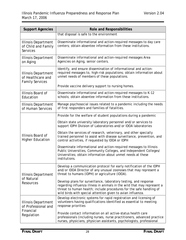| <b>Support Agencies</b>                                                      | <b>Role and Responsibilities</b>                                                                                                                                                                                                                                                  |
|------------------------------------------------------------------------------|-----------------------------------------------------------------------------------------------------------------------------------------------------------------------------------------------------------------------------------------------------------------------------------|
|                                                                              | that disposal is safe to the environment                                                                                                                                                                                                                                          |
| Illinois Department<br>of Child and Family<br><b>Services</b>                | Disseminate informational and action-required messages to day care<br>centers; obtain absentee information from these institutions.                                                                                                                                               |
| <b>Illinois Department</b><br>on Aging                                       | Disseminate informational and action-required messages Area<br>Agencies on Aging, senior centers.                                                                                                                                                                                 |
| <b>Illinois Department</b><br>of Healthcare and<br><b>Family Services</b>    | Identify, and ensure dissemination of informational and action-<br>required messages to, high-risk populations; obtain information about<br>unmet needs of members of these populations.                                                                                          |
|                                                                              | Provide vaccine delivery support to nursing homes.                                                                                                                                                                                                                                |
| Illinois Board of<br>Education                                               | Disseminate informational and action-required messages to K-12<br>schools; obtain absentee information from these institutions.                                                                                                                                                   |
| <b>Illinois Department</b><br>of Human Services                              | Manage psychosocial issues related to a pandemic including the needs<br>of first responders and families of fatalities.                                                                                                                                                           |
| Illinois Board of<br><b>Higher Education</b>                                 | Provide for the welfare of student populations during a pandemic                                                                                                                                                                                                                  |
|                                                                              | Obtain state university laboratory personnel and/or services to<br>support IDPH Division of Laboratories and/or IDOA laboratories                                                                                                                                                 |
|                                                                              | Obtain the services of research, veterinary, and other specially<br>trained personnel to assist with disease surveillance, prevention, and<br>control activities, if requested by IDOA or IDPH                                                                                    |
|                                                                              | Disseminate informational and action-required messages to Illinois<br>Public Universities, Community Colleges, and Independent Colleges/<br>Universities; obtain information about unmet needs at these<br>institutions.                                                          |
| <b>Illinois Department</b><br>of Natural<br><b>Resources</b>                 | Develop a communication protocol for early notification of the IDPH<br>and/or IDOA Director of any unusual zoonoses that may represent a<br>threat to humans (IDPH) or agriculture (IDOA).                                                                                        |
|                                                                              | Develop plans for surveillance, laboratory testing, and response<br>regarding influenza illness in animals in the wild that may represent a<br>threat to human health; include procedures for the safe handling of<br>wild birds with special attention given to avian influenza. |
| <b>Illinois Department</b><br>of Professional and<br>Financial<br>Regulation | Develop electronic systems for rapid registration and licensing of<br>volunteers having qualifications identified as essential to meeting<br>response priorities                                                                                                                  |
|                                                                              | Provide contact information on all active-status health care<br>professionals (including nurses, nurse practitioners, advanced practice<br>nurses, physicians, physician assistants, psychologists, professional                                                                  |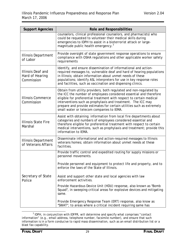| <b>Support Agencies</b>                            | <b>Role and Responsibilities</b>                                                                                                                                                                                                                                                                                                                                                                      |
|----------------------------------------------------|-------------------------------------------------------------------------------------------------------------------------------------------------------------------------------------------------------------------------------------------------------------------------------------------------------------------------------------------------------------------------------------------------------|
|                                                    | counselors, clinical professional counselors, and pharmacists) who<br>could be requested to volunteer their medical skills during<br>emergencies to IDPH to assist in a bioterrorist attack or large-<br>magnitude public health emergency. <sup>3</sup>                                                                                                                                              |
| <b>Illinois Department</b><br>of Labor             | Provide oversight of state government response operations to ensure<br>compliance with OSHA regulations and other applicable worker safety<br>requirements                                                                                                                                                                                                                                            |
| Illinois Deaf and<br>Hard of Hearing<br>Commission | Identify, and ensure dissemination of informational and action-<br>required messages to, vulnerable deaf and hard of hearing populations<br>in Illinois; obtain information about unmet needs of these<br>populations; identify ASL interpreters for use in key response roles<br>and facilities, such as vaccination and dispensing clinics.                                                         |
| <b>Illinois Commerce</b><br>Commission             | Obtain from utility providers, both regulated and non-regulated by<br>the ICC the number of employees considered essential and therefore<br>eligible for preferential treatment with respect to certain medical<br>interventions such as prophylaxis and treatment. The ICC may<br>prepare and provide estimates for certain utilities such as extremely<br>small water or telecom companies to IEMA. |
| <b>Illinois State Fire</b><br>Marshal              | Assist with obtaining information from local fire departments about<br>categories and numbers of employees considered essential and<br>therefore eligible for preferential treatment with respect to certain<br>medical interventions, such as prophylaxis and treatment; provide this<br>information to IEMA.                                                                                        |
| <b>Illinois Department</b><br>of Veterans Affairs  | Disseminate informational and action-required messages to Illinois<br>veterans homes; obtain information about unmet needs at these<br>facilities.                                                                                                                                                                                                                                                    |
| Secretary of State<br>Police                       | Provide traffic control and expedited routing for supply missions or<br>personnel movements.                                                                                                                                                                                                                                                                                                          |
|                                                    | Provide personnel and equipment to protect life and property, and to<br>enforce the laws of the State of Illinois.                                                                                                                                                                                                                                                                                    |
|                                                    | Assist and support other state and local agencies with law<br>enforcement activities.                                                                                                                                                                                                                                                                                                                 |
|                                                    | Provide Hazardous Device Unit (HDU) response, also known as "Bomb<br>Squad", in sweeping critical areas for explosive devices and mitigating<br>same.                                                                                                                                                                                                                                                 |
|                                                    | Provide Emergency Response Team (ERT) response, also know as<br>"SWAT", to areas where a critical incident requiring same has                                                                                                                                                                                                                                                                         |

<sup>3</sup> IDPH, in conjunction with IDFPR, will determine and specify what comprises "contact information" (e.g., email address, telephone number, facsimile number), and ensure that such information is in a form conducive to rapid mass dissemination, such as an email distribution list or a blast fax capability.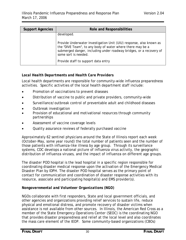| <b>Support Agencies</b> | <b>Role and Responsibilities</b>                                                                                                                                                                                                 |
|-------------------------|----------------------------------------------------------------------------------------------------------------------------------------------------------------------------------------------------------------------------------|
|                         | developed.                                                                                                                                                                                                                       |
|                         | Provide Underwater Investigation Unit (UIU) response, also known as<br>the "DIVE Team", to any body of water where there may be a<br>submerged danger, including under roadway bridges, or a recovery of<br>some sort is needed. |
|                         | Provide staff to support data entry                                                                                                                                                                                              |

#### *Local Health Departments and Health Care Providers*

Local health departments are responsible for community-wide influenza preparedness activities. Specific activities of the local health department staff include:

- Promotion of vaccinations to prevent diseases
- Distribution of vaccine to public and private providers, community-wide
- Surveillance/outbreak control of preventable adult and childhood diseases
- Outbreak investigation
- Provision of educational and motivational resources through community partnerships
- Assessment of vaccine coverage levels
- Quality assurance reviews of federally purchased vaccine

Approximately 62 sentinel physicians around the State of Illinois report each week (October-May, some year round) the total number of patients seen and the number of those patients with influenza-like illness by age group. Through its surveillance systems, CDC develops a national picture of influenza virus activity, the geographic distribution of influenza viruses, and the impact of influenza on different age groups.

The disaster POD hospital is the lead hospital in a specific region responsible for coordinating disaster medical response upon the activation of the *Emergency Medical Disaster Plan* by IDPH. The disaster POD hospital serves as the primary point of contact for communication and coordination of disaster response activities with its resource, associate and participating hospital(s) and EMS provider(s).

#### *Nongovernmental and Volunteer Organizations (NGO)*

NGOs collaborate with first responders, State and local government officials, and other agencies and organizations providing relief services to sustain life, reduce physical and emotional distress, and promote recovery of disaster victims when assistance is not available from other sources. In Illinois, the American Red Cross as a member of the State Emergency Operations Center (SEOC) is the coordinating NGO that provides disaster preparedness and relief at the local level and also coordinates the mass care element of the IEOP. Some community-based organizations (CBOs)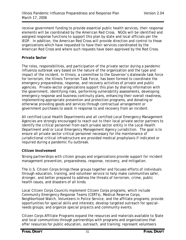receive government funding to provide essential public health services, their response elements will be coordinated by the American Red Cross. NGOs will be identified and assigned response functions to support this plan by state and local officials per the IEOP. In addition, the American Red Cross will provide direction and control to those organizations which have requested to have their services coordinated by the American Red Cross and where such requests have been approved by the Red Cross.

#### *Private Sector*

The roles, responsibilities, and participation of the private sector during a pandemic influenza outbreak vary based on the nature of the organization and the type and impact of the incident. In Illinois, a committee to the Governor's statewide task force for terrorism, the Illinois Terrorism Task Force, has been formed to coordinate the emergency preparedness, response, and recovery activities of private and public agencies. Private-sector organizations support this plan by sharing information with the government, identifying risks, performing vulnerability assessments, developing emergency response and business continuity plans, enhancing their overall readiness, implementing appropriate prevention and protection programs, and donating or otherwise providing goods and services through contractual arrangement or government purchases to assist in response to and recovery from an incident.

All certified Local Health Departments and all certified Local Emergency Management Agencies are strongly encouraged to reach out to their local private sector partners to identify the critical personnel from each private sector entity in the Local Health Department and/or Local Emergency Management Agency jurisdiction. The goal is to ensure all private sector critical personnel necessary for the maintenance of jurisdictional critical infrastructure are provided medical prophylaxis if indicated or required during a pandemic flu outbreak.

#### *Citizen Involvement*

Strong partnerships with citizen groups and organizations provide support for incident management prevention, preparedness, response, recovery, and mitigation.

The U.S. Citizen Corps brings these groups together and focuses efforts of individuals through education, training, and volunteer service to help make communities safer, stronger, and better prepared to address the threats of terrorism, crime, public health issues, and disasters of all kinds.

Local Citizen Corps Councils implement Citizen Corps programs, which include Community Emergency Response Teams (CERTs), Medical Reserve Corps, Neighborhood Watch, Volunteers in Police Service, and the affiliate programs; provide opportunities for special skills and interests; develop targeted outreach for specialneeds groups; and organize special projects and community events.

Citizen Corps Affiliate Programs expand the resources and materials available to State and local communities through partnerships with programs and organizations that offer resources for public education, outreach, and training; represent volunteers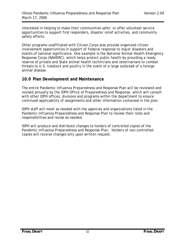interested in helping to make their communities safer; or offer volunteer service opportunities to support first responders, disaster relief activities, and community safety efforts.

Other programs unaffiliated with Citizen Corps also provide organized citizen involvement opportunities in support of Federal response to major disasters and events of national significance. One example is the National Animal Health Emergency Response Corps (NAHERC), which helps protect public health by providing a ready reserve of private and State animal health technicians and veterinarians to combat threats to U.S. livestock and poultry in the event of a large outbreak of a foreign animal disease.

#### **10.0 Plan Development and Maintenance**

The entire *Pandemic Influenza Preparedness and Response Plan* will be reviewed and revised annually by the IDPH Office of Preparedness and Response, which will consult with other IDPH offices, divisions and programs within the department to ensure continued applicability of assignments and other information contained in the plan.

IDPH staff will meet as needed with the agencies and organizations listed in the *Pandemic Influenza Preparedness and Response Plan* to review their roles and responsibilities and revise as needed.

IDPH will produce and distribute changes to holders of controlled copies of the *Pandemic Influenza Preparedness and Response Plan*. Holders of non-controlled copies will receive changes only upon written request.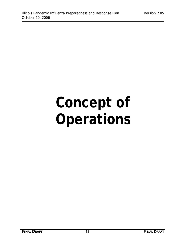# **Concept of Operations**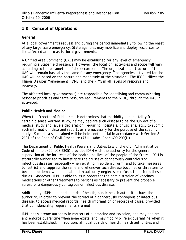## **1.0 Concept of Operations**

#### *General*

At a local government's request and during the period immediately following the onset of any large-scale emergency, State agencies may mobilize and deploy resources to the affected area to assist local governments.

A Unified Area Command (UAC) may be established for any level of emergency requiring a State field presence. However, the location, activities and scope will vary according to the parameters of the occurrence. The organizational structure of the UAC will remain basically the same for any emergency. The agencies activated for the UAC will be based on the nature and magnitude of the situation. The IEOP utilizes the Illinois Disaster Management (IDMS) and the NIMS in all levels of response and recovery.

The affected local government(s) are responsible for identifying and communicating response priorities and State resource requirements to the SEOC, through the UAC if activated.

#### *Public Health and Medical*

When the Director of Public Health determines that morbidity and mortality from a certain disease warrant study, he may declare such disease to be the subject of a medical study and issue a declaration, requiring hospitals, physicians, etc., to submit such information, data and reports as are necessary for the purpose of the specific study. Such data so obtained will be held confidential in accordance with Section 8- 2101 of the Code of Civil Procedure (77 Ill. Adm. Code 690.200(f)).

The Department of Public Health Powers and Duties Law of the Civil Administrative Code of Illinois (20 ILCS 2305) provides IDPH with the authority for the general supervision of the interests of the health and lives of the people of the State. IDPH is statutorily authorized to investigate the causes of dangerously contagious or infectious diseases, especially when existing in epidemic form, and to take measures to restrict and suppress the same and whenever such disease becomes or threatens to become epidemic when a local health authority neglects or refuses to perform these duties. Moreover, IDPH is able to issue orders for the administration of vaccines, medications or other treatments to persons as necessary to prevent the probable spread of a dangerously contagious or infectious disease.

Additionally, IDPH and local boards of health, public health authorities have the authority, in order to prevent the spread of a dangerously contagious or infectious disease, to access medical records, health information or records of cases, provided that confidentiality requirements are met.

IDPH has supreme authority in matters of quarantine and isolation, and may declare and enforce quarantine when none exists, and may modify or relax quarantine when it has been established. In addition, all local boards of health, health authorities and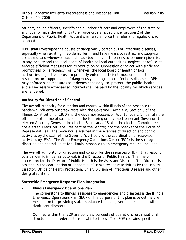officers, police officers, sheriffs and all other officers and employees of the state or any locality have the authority to enforce orders issued under section 2 of the Department of Public Health Act and shall also enforce the rules and regulations so adopted.

IDPH shall investigate the causes of dangerously contagious or infectious diseases, especially when existing in epidemic form, and take means to restrict and suppress the same, and whenever such disease becomes, or threatens to become epidemic, in any locality and the local board of health or local authorities neglect or refuse to enforce efficient measures for its restriction or suppression or to act with sufficient promptness or efficiency, or whenever the local board of health or local authorities neglect or refuse to promptly enforce efficient measures for the restriction or suppression of dangerously contagious or infectious diseases, IDPH may enforce such measures as it deems necessary to protect the public health, and all necessary expenses so incurred shall be paid by the locality for which services are rendered.

#### *Authority for Direction of Control*

The overall authority for direction and control within Illinois of the response to a pandemic influenza outbreak rests with the Governor. Article V, Section 6 of the Illinois Constitution of 1970 and the Governor Succession Act (15 ILCS 5/1) identify the officers next in line of succession in the following order: the Lieutenant Governor; the elected Attorney General; the elected Secretary of State; the elected Comptroller; the elected Treasurer; the President of the Senate; and the Speaker of the House of Representatives. The Governor is assisted in the exercise of direction and control activities by the staff of the Governor's office and the coordination of response activities by IEMA. The State Emergency Operations Center (EOC) is the strategic direction and control point for Illinois' response to an emergency medical incident.

The overall authority for direction and control for the resources of IDPH that respond to a pandemic influenza outbreak is the Director of Public Health. The line of succession for the Director of Public Health is the Assistant Director. The Director is assisted in the coordination of pandemic influenza response activities by the Deputy Director, Office of Health Protection; Chief, Division of Infectious Diseases and other designated staff.

#### *Statewide Emergency Response Plan Integration*

• **Illinois Emergency Operations Plan**

The cornerstone to Illinois' response to emergencies and disasters is the *Illinois Emergency Operations Plan (IEOP)*. The purpose of this plan is to outline the mechanism for providing state assistance to local governments dealing with significant disasters.

Outlined within the IEOP are policies, concepts of operations, organizational structures, and federal-state-local interfaces. The IEOP contains specific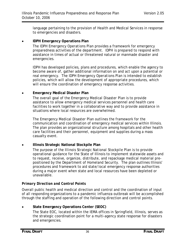language pertaining to the provision of Health and Medical Services in response to emergencies and disasters.

## • **IDPH Emergency Operations Plan**

The *IDPH Emergency Operations Plan* provides a framework for emergency preparedness activities of the department. IDPH is prepared to respond with assistance in times of actual or threatened natural or manmade disaster and emergencies.

IDPH has developed policies, plans and procedures, which enable the agency to become aware of, gather additional information on and act upon a potential or real emergency. The *IDPH Emergency Operations Plan* is intended to establish policies, which will allow the development of appropriate procedures, which will ensure the coordination of emergency response activities.

## • **Emergency Medical Disaster Plan**

The overall goal of the *Emergency Medical Disaster Plan* is to provide assistance to allow emergency medical services personnel and health care facilities to work together in a collaborative way and to provide assistance in situations where local resources are overwhelmed.

The *Emergency Medical Disaster Plan* outlines the framework for the communication and coordination of emergency medical services within Illinois. The plan provides an organizational structure among hospitals and other health care facilities and their personnel, equipment and supplies during a mass casualty event.

## • **Illinois Strategic National Stockpile Plan**

The purpose of the *Illinois Strategic National Stockpile Plan* is to provide operational guidance for the State of Illinois to implement statewide assets and to request, receive, organize, distribute, and repackage medical material prepositioned by the Department of Homeland Security. The plan outlines Illinois' procedures and framework to aid state/local emergency response authorities during a major event when state and local resources have been depleted or unavailable.

## *Primary Direction and Control Points*

Overall public health and medical direction and control and the coordination of input of all responding organizations to a pandemic influenza outbreak will be accomplished through the staffing and operation of the following direction and control points.

## • **State Emergency Operations Center (SEOC)**

The State EOC, located within the IEMA offices in Springfield, Illinois, serves as the strategic coordination point for a multi-agency state response for disasters and emergencies.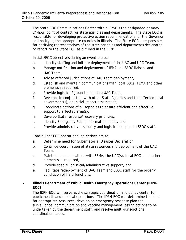The State EOC Communications Center within IEMA is the designated primary 24-hour point of contact for state agencies and departments. The State EOC is responsible for developing protective action recommendations for the Governor and notifying the appropriate counties in Illinois. The State EOC is responsible for notifying representatives of the state agencies and departments designated to report to the State EOC as outlined in the *IEOP*.

Initial SEOC objectives during an event are to:

- a. Identify staffing and initiate deployment of the UAC and UAC Team,
- b. Manage notification and deployment of IEMA and SEOC liaisons and UAC Team,
- c. Advise affected jurisdictions of UAC Team deployment,
- d. Establish and maintain communications with local EOCs, FEMA and other elements as required,
- e. Provide logistical/ground support to UAC Team,
- f. Develop, in conjunction with other State Agencies and the affected local government(s), an initial impact assessment,
- g. Coordinate actions of all agencies to ensure efficient and effective support to affected area(s),
- h. Develop State response/recovery priorities,
- i. Identify Emergency Public Information needs, and
- j. Provide administrative, security and logistical support to SEOC staff.

Continuing SEOC operational objectives are to:

- a. Determine need for Gubernatorial Disaster Declaration,
- b. Continue coordination of State resources and deployment of the UAC Team,
- c. Maintain communications with FEMA, the UAC(s), local EOCs, and other elements as required,
- d. Provide special logistical/administrative support, and
- e. Facilitate redeployment of UAC Team and SEOC staff for the orderly conclusion of field functions.

## • **Illinois Department of Public Health Emergency Operations Center (IDPH-EOC)**

The IDPH-EOC will serve as the strategic coordination and policy center for public health and medical operations. The IDPH-EOC will determine the need for appropriate resources; develop an emergency response plan for surveillance, communication and vaccine management; assign actions to be undertaken by the department staff; and resolve multi-jurisdictional coordination issues.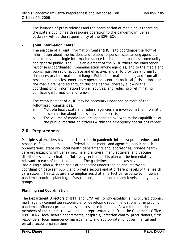The issuance of press releases and the coordination of media calls regarding the state's public health response operation to the pandemic influenza outbreak will be the responsibility of the IDPH-EOC.

## • **Joint Information Center**

The purpose of a Joint Information Center (JIC) is to coordinate the flow of information about the incident and related response issues among agencies, and to provide a single information source for the media, business community and general public. The JIC is an element of the SEOC where the emergency response is coordinated. Communication among agencies, and to the media and public must be rapid, accurate and effective, and a JIC provides a forum for the necessary information exchange. Public information among and from all responding agencies, emergency operations centers, political jurisdictions and the media are handled through this one center, thereby allowing the coordination of information from all sources, and reducing or eliminating conflicting information and rumor.

The establishment of a JIC may be necessary under one or more of the following circumstances:

- a. Multiple local, state and federal agencies are involved in the information dissemination about a possible volcanic crisis.
- b. The volume of media inquiries appears to overwhelm the capabilities of the public information officers within the emergency operations center.

## **2.0 Preparedness**

Multiple stakeholders have important roles in pandemic influenza preparedness and response. Stakeholders include federal departments and agencies; public health organizations; state and local health departments and laboratories; private health care organizations; influenza vaccine and antiviral manufacturers; and vaccine distributors and vaccinators. Not every section of this plan will be immediately relevant to each of the stakeholders. The guidelines and annexes have been compiled into a single plan with the goals of enhancing understanding and improving coordination between public and private sectors and at different levels of the health care system. This structure also emphasizes that an effective response to influenza pandemic requires planning, infrastructure, and action at many levels and by many groups.

## *Planning and Coordination*

The Department Directors of IDPH and IEMA will jointly establish a multijurisdictional, multi-agency committee responsible for developing recommendations for improving pandemic influenza preparedness and response in Illinois. At a minimum, the members of the committee will include representative(s) from the Governor's Office, IDPH, IEMA, local health departments, hospitals, infection control practitioners, first responders, local emergency management, and appropriate nongovernmental and private sector organizations.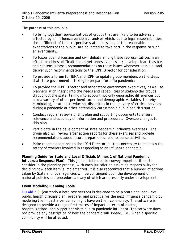The purpose of this group is:

- To bring together representatives of groups that are likely to be adversely affected by an influenza pandemic, and/or which, due to legal responsibilities, the fulfillment of their respective stated missions, or the reasonable expectations of the public, are obligated to take part in the response to such an eventuality;
- To foster open discussion and civil debate among these representatives in an effort to address difficult and as-yet-unresolved issues; develop clear, feasible, and consensus-based recommendations on these issues whenever possible; and, deliver such recommendations to the IDPH Director for consideration;
- To provide a forum for IEMA and IDPH to update group members on the steps that state government is taking to prepare for a flu pandemic;
- To provide the IDPH Director and other state government executives, as well as planners, with insight into the needs and capabilities of stakeholder groups throughout the state, taking into account not only geographic differences but also a variety of other pertinent social and demographic variables; thereby eliminating, or at least reducing, disparities in the delivery of critical services during a pandemic or other potentially catastrophic public health situation.
- Conduct regular reviews of this plan and supporting documents to ensure relevance and accuracy of information and procedures. Oversee changes to this plan.
- Participate in the development of state pandemic influenza exercises. The group also will review after action reports for these exercises and provide recommendations about future preparedness and response activities.
- Make recommendations to the IDPH Director on steps necessary to maintain the safety of workers involved in responding to an influenza pandemic.

**Planning Guide for State and Local Officials (Annex 1 of National Pandemic Influenza Response Plan):** This guide is intended to convey important items to consider in the planning process, with each jurisdiction assuming responsibility for deciding how each item is implemented. It is also recognized that a number of actions taken by State and local agencies will be contingent upon the development of national policies and procedures, many of which are presently under development.

## *Event Modeling Planning Tools*

Flu Aid 2.0: (currently a beta test version) is designed to help State and local-level public health officials plan, prepare, and practice for the next influenza pandemic by modeling the impact a pandemic might have on their community. The software is designed to provide a range of estimates of impact in terms of deaths, hospitalizations, and outpatient visits due to pandemic influenza. The software does not provide any description of how the pandemic will spread, i.e., when a specific community will be affected.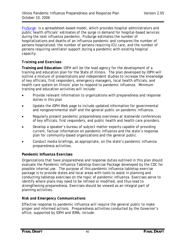FluSurge: is a spreadsheet-based model, which provides hospital administrators and public health officials' estimates of the surge in demand for hospital-based services during the next influenza pandemic. FluSurge estimates the number of hospitalizations and deaths of an influenza pandemic and compares the number of persons hospitalized, the number of persons requiring ICU care, and the number of persons requiring ventilator support during a pandemic with existing hospital capacity.

## *Training and Exercises*

**Training and Education:** IDPH will be the lead agency for the development of a training and education plan for the State of Illinois. The plan developed by IDPH will outline a mixture of presentations and independent studies to increase the knowledge of key officials, first responders, emergency managers, local health officials, and health care system on Illinois' plan to respond to pandemic influenza. Minimum training and education activities will include:

- Provide relevant information to organizations with preparedness and response duties in this plan
- Update the IDPH Web page to include updated information for governmental and nongovernmental staff and the general public on pandemic influenza.
- Regularly present pandemic preparedness overviews at statewide conferences of key officials, first responders, and public health and health care providers.
- Develop a speaker's bureau of subject matter experts capable of providing current, factual information on pandemic influenza and the state's response plan for community-based organizations and the general public.
- Conduct media briefings, as appropriate, on the state's pandemic influenza preparedness activities.

## **Pandemic Influenza Exercises**

Organizations that have preparedness and response duties outlined in this plan should evaluate the Pandemic Influenza Tabletop Exercise Package developed by the CDC for possible internal use. The purpose of this pandemic influenza tabletop exercise package is to provide states and local areas with tools to assist in planning and conducting tabletop exercises on the topic of pandemic influenza. Exercises serve to identify where plans may need to be refined or modified, and thus lead to strengthening preparedness. Exercises should be viewed as an integral part of planning activities.

## *Risk and Emergency Communications*

Effective response to pandemic influenza will require the general public to make proper and informed actions. Preparedness activities conducted by the Governor's office, supported by IDPH and IEMA, include: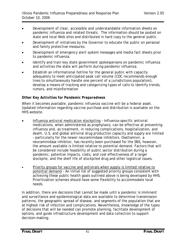- Development of clear, accessible and understandable information sheets on pandemic influenza and related threats. The information should be posted on state and local Web sites and distributed in hard copy to the general public.
- Development of initiatives by the Governor to educate the public on personal and family protective measures.
- Development of emergency alert system messages and media fact sheets prior to pandemic influenza.
- Identify and train key state government spokespersons on pandemic influenza and activities the state will perform during pandemic influenza.
- Establish an informational hotline for the general public with capacity adequately to meet anticipated peak call volume (CDC recommends enough lines to simultaneously handle one percent of a jurisdictions population); develop a means of tracking and categorizing types of calls to identify trends, rumors, and misinformation

## *Other Key Activities for Pandemic Preparedness*

When it becomes available, pandemic influenza vaccine will be a federal asset. Updated information regarding vaccine purchase and distribution is available on the HHS website.

- Influenza antiviral medication stockpiling Influenza-specific antiviral medications, when administered as prophylaxis, can be effective at preventing influenza and, as treatment, in reducing complications, hospitalization, and death. U.S. and global antiviral drug production capacity and supply are limited – particularly for the newer neuraminidase inhibitors. Oseltamivir, a neuraminidase inhibitor, has recently been purchased for the SNS, however, the amount available is limited relative to potential demand. Factors that will be considered include feasibility of public sector distribution during a pandemic; potential impacts, costs, and cost effectiveness of a larger stockpile; and the shelf life of stockpiled drug and other logistical issues.
- Priority groups for vaccine and antivirals when supply is limited relative to potential demand – An initial list of suggested priority groups consistent with achieving these public health goals outlined above is being developed by HHS. Prioritization schemes should have some flexibility to accommodate local needs.

In addition, there are decisions that cannot be made until a pandemic is imminent and surveillance and epidemiological data are available to determine transmission patterns, the geographic spread of disease, and segments of the population that are at highest risk of infection and complications. Nevertheless, knowledge of the types of decisions that will be needed can promote planning, facilitate development of options, and guide infrastructure development and data collection to support decision-making.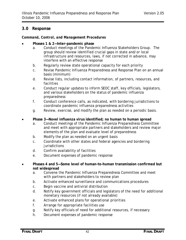## **3.0 Response**

#### *Command, Control, and Management Procedures*

- • **Phases 1 & 2—Inter-pandemic phase** 
	- a. Conduct meetings of the Pandemic Influenza Stakeholders Group. The group should review identified crucial gaps in state and/or local infrastructure and resources, laws, if not corrected in advance, may interfere with an effective response
	- b. Regularly review state operational capacity for each priority
	- c. Revise *Pandemic Influenza Preparedness and Response* Plan on an annual basis (minimum)
	- d. Revise lists, including contact information, of partners, resources, and facilities
	- e. Conduct regular updates to inform SEOC staff, key officials, legislators, and various stakeholders on the status of pandemic influenza preparedness
	- f. Conduct conference calls, as indicated, with bordering jurisdictions to coordinate pandemic influenza preparedness activities
	- g. Review, exercise, and modify the plan as needed on a periodic basis.
- • **Phase 3—Novel influenza virus identified; no human to human spread** 
	- a. Conduct meetings of the Pandemic Influenza Preparedness Committee and meet with appropriate partners and stakeholders and review major elements of the plan and evaluate level of preparedness
	- b. Modify the plan as needed on an urgent basis
	- c. Coordinate with other states and federal agencies and bordering jurisdictions
	- d. Confirm availability of facilities
	- e. Document expenses of pandemic response
- • **Phases 4 and 5—Some level of human-to-human transmission confirmed but not widespread** 
	- a. Convene the Pandemic Influenza Preparedness Committee and meet with partners and stakeholders to review plan
	- b. Activate enhanced surveillance and communications procedures
	- c. Begin vaccine and antiviral distribution
	- d. Notify key government officials and legislators of the need for additional monetary resources (if not already available)
	- e. Activate enhanced plans for operational priorities
	- f. Arrange for appropriate facilities use
	- g. Notify key officials of need for additional resources, if necessary
	- h. Document expenses of pandemic response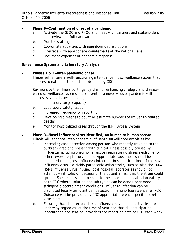## • **Phase 6—Confirmation of onset of a pandemic**

- a. Activate the SEOC and PHOC and meet with partners and stakeholders and review and fully activate plan
- b. Monitor staffing needs
- c. Coordinate activities with neighboring jurisdictions
- d. Interface with appropriate counterparts at the national level
- e. Document expenses of pandemic response

## *Surveillance System and Laboratory Analysis*

• **Phases 1 & 2—Inter-pandemic phase** Illinois will ensure a well-functioning inter-pandemic surveillance system that adheres to national standards, as defined by CDC.

Revisions to the Illinois contingency plan for enhancing virologic and diseasebased surveillance systems in the event of a novel virus or pandemic will address several issues including:

- a. Laboratory surge capacity
- b. Laboratory safety issues
- c. Increased frequency of reporting
- d. Developing a means to count or estimate numbers of influenza-related deaths
- e. Monitor hospitalized cases through the IDPH Bypass System
- • **Phase 3—Novel influenza virus identified; no human to human spread**  Illinois will enhance inter-pandemic influenza surveillance activities by:
	- a. Increasing case detection among persons who recently traveled to the outbreak area and present with clinical illness possibly caused by influenza including pneumonia, acute respiratory distress syndrome, or other severe respiratory illness. Appropriate specimens should be collected to diagnose influenza infection. In some situations, if the novel influenza virus is a highly pathogenic avian strain, such as with the 2004 H5N1 influenza virus in Asia, local hospital laboratories should not attempt viral isolation because of the potential risk that the strain could spread. Specimens should be sent to the state public health laboratory or to CDC where isolation and sub typing can be done under more stringent biocontainment conditions. Influenza infection can be diagnosed locally using antigen detection, immunofluorescence, or PCR. Guidance will be provided by CDC appropriate to each specific novel virus alert.
	- b. Ensuring that all inter-pandemic influenza surveillance activities are underway regardless of the time of year and that all participating laboratories and sentinel providers are reporting data to CDC each week.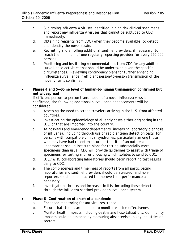- c. Sub typing influenza A viruses identified in high risk clinical specimens and report any influenza A viruses that cannot be subtyped to CDC immediately.
- d. Obtaining reagents from CDC (when they become available) to detect and identify the novel strain.
- e. Recruiting and enrolling additional sentinel providers, if necessary, to reach the minimum of one regularly reporting provider for every 250,000 persons
- f. Monitoring and instituting recommendations from CDC for any additional surveillance activities that should be undertaken given the specific circumstances. Reviewing contingency plans for further enhancing influenza surveillance if efficient person-to-person transmission of the novel virus is confirmed.

#### • **Phases 4 and 5—Some level of human-to-human transmission confirmed but not widespread**

If efficient person-to-person transmission of a novel influenza virus is confirmed, the following additional surveillance enhancements will be considered:

- a. Assessing the need to screen travelers arriving in the U.S. from affected countries.
- b. Investigating the epidemiology of all early cases either originating in the U.S. or that are imported into the country.
- c. At hospitals and emergency departments, increasing laboratory diagnosis of influenza, including through use of rapid antigen detection tests, for persons with compatible clinical syndromes, particularly among those who may have had recent exposure at the site of an outbreak. Laboratories should institute plans for testing substantially more specimens than usual. CDC will provide guidelines to assist with triage of specimens for testing and for choosing which isolates to send to CDC.
- d. U.S./WHO collaborating laboratories should begin reporting test results daily to CDC.
- e. The completeness and timeliness of reports from all participating laboratories and sentinel providers should be assessed, and nonreporters should be contacted to improve their performance as necessary.
- f. Investigate outbreaks and increases in ILIs, including those detected through the influenza sentinel provider surveillance system.

## • **Phase 6—Confirmation of onset of a pandemic**

- a. Enhanced monitoring for antiviral resistance
- b. Ensure that studies are in place to monitor vaccine effectiveness
- c. Monitor health impacts including deaths and hospitalizations. Community impacts could be assessed by measuring absenteeism in key industries or sectors.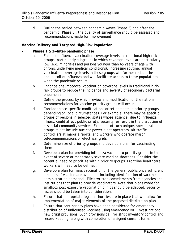d. During the period between pandemic waves (Phase 3) and after the pandemic (Phase 5), the quality of surveillance should be assessed and recommendations made for improvement.

## *Vaccine Delivery and Targeted High-Risk Population*

## • **Phases 1 & 2—Inter-pandemic phase**

- a. Enhance influenza vaccination coverage levels in traditional high-risk groups, particularly subgroups in which coverage levels are particularly low (e.g. minorities and persons younger than 65 years of age with chronic underlying medical conditions). Increasing routine, annual vaccination coverage levels in these groups will further reduce the annual toll of influenza and will facilitate access to these populations when the pandemic occurs.
- b. Enhance pneumococcal vaccination coverage levels in traditional highrisk groups to reduce the incidence and severity of secondary bacterial pneumonia.
- c. Define the process by which review and modification of the national recommendations for vaccine priority groups will occur.
- d. Consider state-specific modifications or refinements in priority groups, depending on local circumstances. For example, there may be specific groups of persons in selected states whose absence, due to influenza illness, could affect public safety, security, or result in the disruption of essential community services. Examples of such unique, special-skill groups might include nuclear power plant operators, air traffic controllers at major airports, and workers who operate major telecommunications or electrical grids.
- e. Determine size of priority groups and develop a plan for vaccinating them
- f. Develop a plan for providing influenza vaccine to priority groups in the event of severe or moderately severe vaccine shortages. Consider the potential need to prioritize within priority groups. Frontline healthcare workers will need to be defined.
- g. Develop a plan for mass vaccination of the general public once sufficient amounts of vaccine are available, including identification of vaccine administration personnel. Elicit written commitments from agencies and institutions that plan to provide vaccinators. Note that plans made for smallpox post exposure vaccination clinics should be adapted. Security issues should be taken into consideration.
- h. Ensure that appropriate legal authorities are in place that will allow for implementation of major elements of the proposed distribution plan.
- i. Ensure that contingency plans have been considered for emergency distribution of unlicensed vaccines using emergency IND (investigational new drug) provisions. Such provisions call for strict inventory control and record-keeping, along with completion of a signed consent form.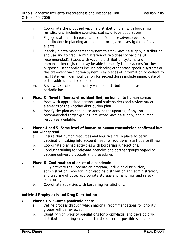- j. Coordinate the proposed vaccine distribution plan with bordering jurisdictions, including counties, states, unique populations
- k. Engage state health coordinator (and/or state adverse events coordinator) in planning around monitoring and investigation of adverse events.
- I. Identify a data management system to track vaccine supply, distribution, and use and to track administration of two doses of vaccine (if recommended). States with vaccine distribution systems and immunization registries may be able to modify their systems for these purposes. Other options include adapting other state-specific systems or the pre-event vaccination system. Key pieces of information to collect to facilitate reminder notification for second doses include name, date of birth, address, and telephone number.
- m. Review, exercise, and modify vaccine distribution plans as needed on a periodic basis.

## • **Phase 3—Novel influenza virus identified; no human to human spread**

- a. Meet with appropriate partners and stakeholders and review major elements of the vaccine distribution plan.
- b. Modify the plan as needed to account for updates, if any, on recommended target groups, projected vaccine supply, and human resources available.
- **Phases 4 and 5—Some level of human-to-human transmission confirmed but not widespread** 
	- a. Ensure that human resources and logistics are in place to begin vaccination, taking into account need for additional staff due to illness.
	- b. Coordinate planned activities with bordering jurisdictions.
	- c. Conduct training for relevant agencies and partner groups regarding vaccine delivery protocols and procedures.

## • **Phase 6—Confirmation of onset of a pandemic**

- a. Fully activate the vaccination program, including distribution, administration, monitoring of vaccine distribution and administration, and tracking of dose, appropriate storage and handling, and safety monitoring.
- b. Coordinate activities with bordering jurisdictions.

## *Antiviral Prophylaxis and Drug Distribution*

- **Phases 1 & 2—Inter-pandemic phase**
	- a. Define process through which national recommendations for priority groups will be reviewed
	- b. Quantify high priority populations for prophylaxis, and develop drug distribution contingency plans for the different possible scenarios.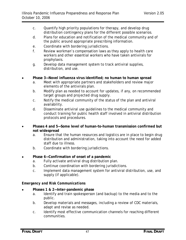- c. Quantify high priority populations for therapy, and develop drug distribution contingency plans for the different possible scenarios.
- d. Plans for education and notification of the medical community and of the public around appropriate prescribing information.
- e. Coordinate with bordering jurisdictions.
- f. Review workman's compensation laws as they apply to health care workers and other essential workers who have taken antivirals for prophylaxis.
- g. Develop data management system to track antiviral supplies, distribution, and use.

## • **Phase 3—Novel influenza virus identified; no human to human spread**

- a. Meet with appropriate partners and stakeholders and review major elements of the antivirals plan.
- b. Modify plan as needed to account for updates, if any, on recommended target groups and projected drug supply.
- c. Notify the medical community of the status of the plan and antiviral availability.
- d. Disseminate antiviral use guidelines to the medical community and conduct training for public health staff involved in antiviral distribution protocols and procedures.
- **Phases 4 and 5—Some level of human-to-human transmission confirmed but not widespread**
	- a. Ensure that the human resources and logistics are in place to begin drug distribution and administration, taking into account the need for added staff due to illness.
	- b. Coordinate with bordering jurisdictions.
- • **Phase 6—Confirmation of onset of a pandemic**
	- a. Fully activate antiviral drug distribution plan.
	- b. Continue coordination with bordering jurisdictions.
	- c. Implement data management system for antiviral distribution, use, and supply (if applicable).

## *Emergency and Risk Communications*

- • **Phases 1 & 2—Inter-pandemic phase**
	- a. Identify and train spokesperson (and backup) to the media and to the public.
	- b. Develop materials and messages, including a review of CDC materials, adapt and revise as needed.
	- c. Identify most effective communication channels for reaching different communities.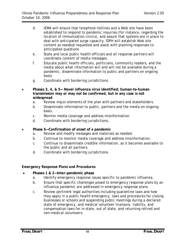- d. IEMA will ensure that telephone hotlines and a Web site have been established to respond to pandemic inquiries (for instance, regarding the location of immunization clinics), and assure that systems are in place to deal with anticipated surge capacity; IDPH will establish Web site content as needed/requested and assist with planning responses to anticipated questions
- e. State and local public health officials and all response partners will coordinate content of media messages.
- f. Educate public health officials, politicians, community leaders, and the media about what information will and will not be available during a pandemic; disseminate information to public and partners on ongoing basis.
- g. Coordinate with bordering jurisdictions.
- **Phases 3, 4, & 5— Novel influenza virus identified; human-to-human transmission may or may not be confirmed, but in any case is not widespread** 
	- a. Review major elements of the plan with partners and stakeholders.
	- b. Disseminate information to public, partners and the media on ongoing basis.
	- c. Monitor media coverage and address misinformation.
	- d. Coordinate with bordering jurisdictions.

## • **Phase 6—Confirmation of onset of a pandemic**

- a. Review and modify messages and materials as needed.
- b. Continue to monitor media coverage and address misinformation.
- c. Continue to disseminate credible information, as it becomes available to the public and all partners.
- d. Coordinate with bordering jurisdictions.

#### *Emergency Response Plans and Procedures*

- • **Phases 1 & 2—Inter-pandemic phase** 
	- a. Identify emergency response issues specific to pandemic influenza.
	- b. Ensure that specific challenges posed to emergency response plans by an influenza pandemic are addressed in emergency response plans.
	- c. Review pertinent legal authorities including quarantine laws and how they apply in a public health emergency, laws and procedures for closing businesses or schools and suspending public meetings during a declared state of emergency, and medical volunteer licensure, liability, and compensation laws for in-state, out of state, and returning retired and non-medical volunteers.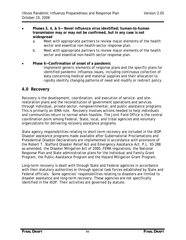- • **Phases 3, 4, & 5— Novel influenza virus identified; human-to-human transmission may or may not be confirmed, but in any case is not widespread**
	- a. Meet with appropriate partners to review major elements of the health sector and essential non-health-sector response plan.
	- b. Meet with appropriate partners to review major elements of the health sector and essential non-health sector response plan.
- **Phase 6—Confirmation of onset of a pandemic** Implement generic elements of response plans and the specific plans for identified pandemic influenza issues, including continuous collection of data concerning medical and material supplies and their allocation to rapidly identify changing patterns of need and modify or redirect policy.

## **4.0 Recovery**

Recovery is the development, coordination, and execution of service- and siterestoration plans and the reconstitution of government operations and services through individual, private-sector, nongovernmental, and public assistance programs. This is primarily an IEMA role. Recovery involves actions needed to help individuals and communities return to normal when feasible. The Joint Field Office is the central coordination point among Federal, State, local, and tribal agencies and voluntary organizations for delivering recovery assistance programs.

State agency responsibilities relating to short-term recovery are included in the IEOP. Disaster assistance programs made available after Gubernatorial Proclamations and Presidential Disaster Declarations are implemented in accordance with provisions of the Robert T. Stafford Disaster Relief Act and Emergency Assistance Act, P.L. 93-288 as amended, the Disaster Mitigation Act of 2000, FEMA regulations, the National Response Plan and State administrative plans for the Individual and Family Grant Program, the Public Assistance Program and the Hazard Mitigation Grant Program.

Long-term recovery is dealt with through State and Federal agencies in accordance with their statutory authorities or through special task forces established by State and Federal officials. Some agencies' responsibilities relating to disasters are limited to disaster assistance and long-term recovery. These agencies are not specifically identified in the IEOP. Their activities are governed by statute.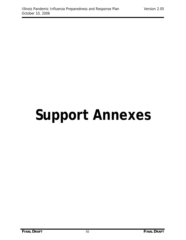# **Support Annexes**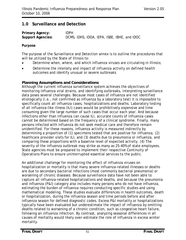## **1.0 Surveillance and Detection**

| <b>Primary Agency:</b>   | <b>IDPH</b>                                  |
|--------------------------|----------------------------------------------|
| <b>Support Agencies:</b> | DCMS, IDHS, IDOA, IEPA, ISBE, IBHE, and IDOC |

## *Purpose*

The purpose of the Surveillance and Detection annex is to outline the procedures that will be utilized by the State of Illinois to:

- Determine when, where, and which influenza viruses are circulating in Illinois;
- Determine the intensity and impact of influenza activity on defined health outcomes and identify unusual or severe outbreaks

## **Planning Assumptions and Considerations**

Although the current influenza surveillance system achieves the objectives of monitoring influenza viral strains, and identifying outbreaks, interpreting surveillance data poses several challenges. Because most cases of influenza are not identified etiologically (i.e., not confirmed as influenza by a laboratory test) it is impossible to specifically count all influenza cases, hospitalizations and deaths. Laboratory testing of all influenza-like illness (ILI) cases would be prohibitively expensive and time consuming given the large number of such cases that occur each year. And because infections other than influenza can cause ILI, accurate counts of influenza cases cannot be determined based on the frequency of a clinical syndrome. Finally, many persons infected with influenza do not seek medical care and therefore remain unidentified. For these reasons, influenza activity is measured indirectly by determining a proportion of (1) specimens tested that are positive for influenza, (2) healthcare provider visits for ILI, and (3) deaths due to pneumonia or influenza, and comparing these proportions with a baseline level of expected activity. (4) The severity of the influenza outbreak may strike as many as 25-40% of state employees. State agencies must be prepared to implement their respective Continuity of Operations Plans to ensure uninterrupted essential services to the public.

An additional challenge for monitoring the effect of influenza viruses on hospitalization or mortality is that many severe influenza-related illnesses or deaths are due to secondary bacterial infections (most commonly bacterial pneumonia) or worsening of chronic diseases. Because surveillance data have not been able to capture all influenza-related hospitalizations and deaths, and because the pneumonia and influenza (P&I) category also includes many persons who do not have influenza, estimating the burden of influenza requires conducting specific studies and using mathematical modeling. These studies evaluate differences in health outcomes, death or hospitalization, during the influenza season and time periods before and after influenza season for defined diagnostic codes. Excess P&I mortality or hospitalizations typically have been evaluated but underestimate the impact of influenza by omitting deaths related to worsening of a chronic condition, such as congestive heart failure, following an influenza infection. By contrast, analyzing seasonal differences in all causes of mortality would likely over-estimate the role of influenza in excess winter mortality.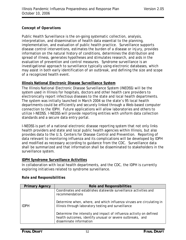## *Concept of Operations*

Public Health Surveillance is the on-going systematic collection, analysis, interpretation, and dissemination of health data essential to the planning, implementation, and evaluation of public health practice. Surveillance supports disease control interventions, estimates the burden of a disease or injury, provides information on the natural history of conditions, determines the distribution and spread of illness, generates hypotheses and stimulates research, and aids in the evaluation of prevention and control measures. Syndrome surveillance is an investigational approach to surveillance typically using electronic databases, which may assist in both early identification of an outbreak, and defining the size and scope of a recognized health event.

## **Illinois National Electronic Disease Surveillance System**

The Illinois National Electronic Disease Surveillance System (INEDSS) will be the system used in Illinois for hospitals, doctors and other health care providers to electronically report infectious diseases to the state and local health departments. The system was initially launched in March 2004 so the state's 95 local health departments could be efficiently and securely linked through a Web-based computer connection to the IDPH. Future applications will allow laboratories and others to utilize I-NEDSS. I-NEDSS will provide reporting entities with uniform data collection standards and a secure data entry portal.

I-NEDSS is part of a national electronic disease reporting system that not only links health providers and state and local public health agencies within Illinois, but also provides data to the U.S. Centers for Disease Control and Prevention. Reporting of data relevant to monitoring influenza and its complications will be developed by IDPH and modified as necessary according to guidance from the CDC. Surveillance data shall be summarized and that information shall be disseminated to stakeholders in the surveillance system.

## **IDPH Syndrome Surveillance Activities**

In collaboration with local health departments, and the CDC, the IDPH is currently exploring initiatives related to syndrome surveillance.

| <b>Primary Agency</b> | <b>Role and Responsibilities</b>                                                                                                                             |
|-----------------------|--------------------------------------------------------------------------------------------------------------------------------------------------------------|
|                       | Coordinates and establishes statewide surveillance activities and<br>recommendations                                                                         |
| <b>IDPH</b>           | Determine when, where, and which influenza viruses are circulating in<br>Illinois through laboratory testing and surveillance                                |
|                       | Determine the intensity and impact of influenza activity on defined<br>health outcomes, identify unusual or severe outbreaks, and<br>disseminate information |

## *Role and Responsibilities*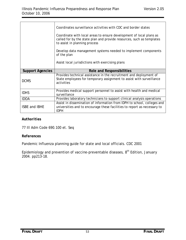|                         | Coordinates surveillance activities with CDC and border states<br>Coordinate with local areas to ensure development of local plans as<br>called for by the state plan and provide resources, such as templates<br>to assist in planning process<br>Develop data management systems needed to implement components |
|-------------------------|-------------------------------------------------------------------------------------------------------------------------------------------------------------------------------------------------------------------------------------------------------------------------------------------------------------------|
|                         | of the plan<br>Assist local jurisdictions with exercising plans                                                                                                                                                                                                                                                   |
|                         |                                                                                                                                                                                                                                                                                                                   |
| <b>Support Agencies</b> | Role and Responsibilities                                                                                                                                                                                                                                                                                         |
| <b>DCMS</b>             | Provides technical assistance in the recruitment and deployment of<br>State employees for temporary assignment to assist with surveillance<br>activities                                                                                                                                                          |
| <b>IDHS</b>             | Provides medical support personnel to assist with health and medical<br>surveillance                                                                                                                                                                                                                              |
| <b>IDOA</b>             | Provides laboratory technicians to support clinical analysis operations                                                                                                                                                                                                                                           |

#### *Authorities*

77 Ill Adm Code 690.100 et. Seq

#### *References*

Pandemic Influenza planning guide for state and local officials. CDC 2001

Epidemiology and prevention of vaccine-preventable diseases, 8<sup>th</sup> Edition, January 2004. pp213-18.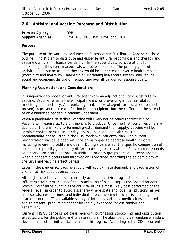## **2.0 Antiviral and Vaccine Purchase and Distribution**

| <b>Primary Agency:</b>   | <b>IDPH</b>                         |
|--------------------------|-------------------------------------|
| <b>Support Agencies:</b> | IEMA, AG, IDOC, ISP, IDMA, and IDOT |

## *Purpose*

The purpose of the Antiviral and Vaccine Purchase and Distribution Appendices is to outline Illinois' plan to distribute and dispense antiviral prophylaxis and therapy and vaccine during an influenza pandemic. In the appendices, considerations for stockpiling of these pharmaceuticals will be established. The primary goals of antiviral and vaccine use and therapy would be to decrease adverse health impact (morbidity and mortality), maintain a functioning healthcare system, and reduce social and economic disruption, supporting overall pandemic response goals.

## *Planning Assumptions and Considerations*

It is important to note that antiviral agents are an adjunct and not a substitute for vaccine. Vaccine remains the principal means for preventing influenza-related morbidity and mortality. Appropriately used, antiviral agents are assumed (but not proven) to prevent or treat infection in the recipient, but their effect on the spread of an established pandemic remains undefined.

When a pandemic first strikes, vaccine will likely not be ready for distribution. Vaccine will require six to eight months to produce. Once the first lots of vaccine are available, there is likely to be much greater demand than supply. Vaccine will be administered to persons in priority groups, in accordance with existing recommendations as listed in the HHS Pandemic Influenza Plan. The current prioritization was developed with the primary goal to decrease health impacts including severe morbidity and death. During a pandemic, the specific composition of some of the priority groups may differ according to the state and/or community needs to preserve societal functions. In addition, priority groups should be reconsidered when a pandemic occurs and information is obtained regarding the epidemiology of the virus and vaccine effectiveness.

Later in the pandemic, vaccine supply will approximate demand, and vaccination of the full at-risk population can occur.

Although the effectiveness of currently available antivirals against a pandemic influenza strain remains undefined, stockpiling of such drugs is considered prudent. Stockpiling of large quantities of antiviral drugs is most likely best performed at the federal level, in order to avoid a scenario where state and local jurisdictions, as well as hospitals, corporations, and individuals are competing for what is currently a scarce resource. (The available supply of influenza antiviral medications is limited and at present, production cannot be rapidly expanded for oseltamivir and zanamivir.)

Current HHS Guidance is not clear regarding purchasing, stockpiling, and distribution expectations for the public and private sectors. The absence of clear guidance hinders development of definitive state plans in this regard. According to the CDC's current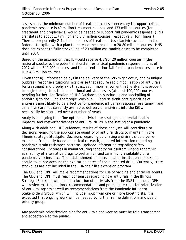assessment, the minimum number of treatment courses necessary to support critical pandemic response is 40 million treatment courses, and 133 million courses (for treatment and prophylaxis) would be needed to support full pandemic response. (This translates to about 1.7 million and 5.7 million courses, respectively, for Illinois.) There are reportedly 2-4 million courses of treatment (oseltamivir) available in the federal stockpile, with a plan to increase the stockpile to 20-80 million courses. HHS does not expect to fully stockpiling of 20 million oseltamivir doses to be completed until 2007.

Based on the assumption that IL would receive 4.3% of 20 million courses in the national stockpile, the potential shortfall for critical pandemic response in IL as of 2007 will be 840,000 courses, and the potential shortfall for full pandemic response in IL is 4.8 million courses.

Given that a) unforeseen delays in the delivery of the SNS might occur, and b) unique outbreak response situations might arise that require rapid mobilization of antivirals for treatment and prophylaxis that exceed Illinois' allotment in the SNS, it is prudent to begin taking steps to add additional antiviral assets (at least 100,000 courses pending further clarification of HHS Guidance on purchasing and stockpiling of antivirals) to the Illinois Strategic Stockpile. Because significant quantities of antivirals most likely to be effective for pandemic influenza response (oseltamivir and zanamivir) are not currently available, delivery of antivirals into the ISS will necessarily be staggered over a number of years.

Analysis is ongoing to define optimal antiviral use strategies, potential health impacts, and cost-effectiveness of antiviral drugs in the setting of a pandemic.

Along with additional HHS guidance, results of these analyses will contribute to decisions regarding the appropriate quantity of antiviral drugs to maintain in the Illinois Strategic Stockpile. Decisions regarding purchasing antivirals should be reexamined frequently based on critical research, updated information regarding pandemic strain resistance patterns, updated information regarding safety considerations, increases in manufacturing capacity for oseltamivir and zanamivir, availability of alternative drugs to oseltamivir and zanamivir, availability of a pandemic vaccine, etc. The establishment of state, local or institutional stockpiles should take into account the expiration dates of the purchased drug. Currently, state stockpiles are not included in the FDA shelf life extension program.

The CDC and IDPH will make recommendations for use of vaccine and antiviral agents. The CDC and IDPH must reach consensus regarding how antivirals in the Illinois Strategic Stockpile will impact allocation of antivirals from the SNS to Illinois. IDPH will review existing national recommendations and promulgate rules for prioritization of antiviral agents as well as recommendations from the Pandemic Influenza Stakeholders Group, which will include input from one or more bioethicists. It is expected that ongoing work will be needed to further refine definitions and size of priority group.

Any pandemic prioritization plan for antivirals and vaccine must be fair, transparent and acceptable to the public.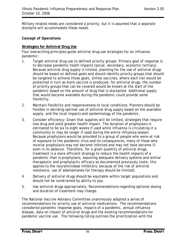Military related needs are considered a priority, but it is assumed that a separate stockpile will accommodate these needs.

## *Concept of Operations*

## **Strategies for Antiviral Drug Use**

Four overarching principles guide antiviral drug use strategies for an influenza pandemic:

- 1. Target antiviral drug use to defined priority groups: Primary goal of response is to decrease pandemic heath impacts (social, secondary; economic tertiary). Because antiviral drug supply is limited, planning for the use of antiviral drugs should be based on defined goals and should identify priority groups that should be targeted to achieve those goals. Unlike vaccines, where each tier would be protected in turn as more vaccine is produced, for antiviral drugs, the number of priority groups that can be covered would be known at the start of the pandemic based on the amount of drug that is stockpiled. Additional supply that would become available during the pandemic could provide some flexibility.
- 2. Maintain flexibility and responsiveness to local conditions: Planners should be flexible in deciding optimal use of antiviral drug supply based on the available supply, and the local impacts and epidemiology of the pandemic.
- 3. Consider efficiency: Given that supplies will be limited, strategies that require less drug and yield greater health impact. The duration of prophylaxis is estimated to be six to eight weeks if used while influenza is circulating in a community or may be longer if used during the entire influenza season. Because prophylaxis would be provided to a group of people who were at risk of exposure to the pandemic virus and its consequences, many of those who receive prophylaxis may not become infected and may not have become ill even in its absence. Therefore, for a given quantity of antiviral drugs, treatment is a more efficient strategy to reduce the health impacts of a pandemic than is prophylaxis, assuming adequate delivery systems and similar therapeutic and prophylactic efficacy as documented previously (note: this applies to the neuraminidase inhibitors; because of the risk of antiviral resistance, use of adamantanes for therapy should be limited).
- *4.* Delivery of antiviral drugs should be equitable within target populations and should not be constrained by ability to pay.
- *5.* Use antiviral drugs appropriately. Recommendations regarding optional dosing and duration of treatment may change.

The National Vaccine Advisory Committee unanimously adopted a series of recommendations for priority use of antiviral medications. The recommendations considered pandemic response goals, impacts of a pandemic, annual influenza disease, data on impact of antiviral drugs and the existing recommendations for pandemic vaccine use. The following listing outlines the prioritization with the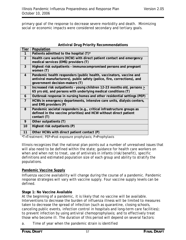primary goal of the response to decrease severe morbidity and death. Minimizing social or economic impacts were considered secondary and tertiary goals.

#### **Antiviral Drug Priority Recommendations**

| <b>Tier</b>    | Population                                                                                                                                                                        |
|----------------|-----------------------------------------------------------------------------------------------------------------------------------------------------------------------------------|
| $\mathbf{1}$   | Patients admitted to the hospital $(T)^*$                                                                                                                                         |
| $\overline{2}$ | Health care workers (HCW) with direct patient contact and emergency<br>medical services (EMS) providers (T)                                                                       |
| $\overline{3}$ | Highest risk outpatients - immunocompromised persons and pregnant<br>women (T)                                                                                                    |
| $\overline{4}$ | Pandemic health responders (public health, vaccinators, vaccine and<br>antiviral manufacturers), public safety (police, fire, corrections), and<br>government decision-makers (T) |
| 5              | Increased risk outpatients - young children 12-23 months old, persons ><br>65 yrs old, and persons with underlying medical conditions (T)                                         |
| 6              | Outbreak response in nursing homes and other residential settings (PEP)                                                                                                           |
| $\overline{7}$ | HCWs in emergency departments, intensive care units, dialysis centers,<br>and EMS providers (P)                                                                                   |
| 8              | Pandemic societal responders (e.g., critical infrastructure groups as<br>defined in the vaccine priorities) and HCW without direct patient<br>contact (T)                         |
| 9              | Other outpatients (T)                                                                                                                                                             |
| 10             | Highest risk outpatients (P)                                                                                                                                                      |
| 11             | Other HCWs with direct patient contact (P)                                                                                                                                        |

\*T=Treatment; PEP=Post-exposure prophylaxis; P=Prophylaxis

Illinois recognizes that the national plan points out a number of unresolved issues that will also need to be defined within the state; guidance for health care workers on when and when not to treat, use of antivirals in infants (risk/benefit), specific definitions and estimated population size of each group and ability to stratify the populations.

## **Pandemic Vaccine Supply**

Influenza vaccine availability will change during the course of a pandemic. Pandemic response strategies will vary with vaccine supply. Four vaccine supply levels can be defined.

## **Stage 1: No Vaccine Available**

At the beginning of a pandemic, it is likely that no vaccine will be available. Interventions to decrease the burden of influenza illness will be limited to measures taken to decrease the spread of infection (such as quarantine, closing schools, canceling public events, infection control in hospitals and long-term care facilities); to prevent infection by using antiviral chemoprophylaxis; and to effectively treat those who become ill. The duration of this period will depend on several factors:

a. Time of year when the pandemic strain is identified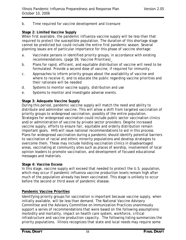## b. Time required for vaccine development and licensure

## **Stage 2: Limited Vaccine Supply**

When first available, the pandemic influenza vaccine supply will be less than that required to protect the susceptible population. The duration of this shortage stage cannot be predicted but could include the entire first pandemic season. Several planning issues are of particular importance for this phase of vaccine shortage:

- a. Vaccinate persons in identified priority groups, in accordance with existing recommendations. (page 59, Vaccine Priorities)\_
- b. Plans for rapid, efficient, and equitable distribution of vaccine will need to be formulated. Provide a second dose of vaccine, if required for immunity.
- c. Approaches to inform priority groups about the availability of vaccine and where to receive it; and to educate the public regarding vaccine priorities and their rationale will be needed
- d. Systems to monitor vaccine supply, distribution and use
- e. Systems to monitor and investigate adverse events.

## **Stage 3: Adequate Vaccine Supply**

During this period, pandemic vaccine supply will match the need and ability to distribute and administer vaccine. This will allow a shift from targeted vaccination of priority groups to widespread vaccination, possibly of the entire population. Strategies for widespread vaccination could include public sector vaccination clinics and/or administration of vaccine by private sector providers. Despite increased vaccine supply, efforts to ensure fair, equitable and orderly distribution remain important goals. HHS will issue national recommendations to aid in this process. Plans for widespread vaccination during a pandemic should identify potential barriers to vaccination of racial and ethnic minority populations and develop strategies to overcome them. These may include holding vaccination clinics in disadvantaged areas, vaccinating at community sites such as places of worship, involvement of local opinion leaders to promote vaccination, and development of focused educational messages and materials.

## **Stage 4: Vaccine Excess**

In this stage, vaccine supply will exceed that needed to protect the U.S. population, which may occur if pandemic influenza vaccine production levels remain high after much of the population already has been vaccinated. This stage is unlikely to occur before the second or third wave of pandemic disease.

## **Pandemic Vaccine Priorities**

Identifying priority groups for vaccination is important because vaccine supply, when initially available, will be less than demand. The National Vaccine Advisory Committee and the Advisory Committee on Immunization Practices unanimously support a series of recommendations that were based on the following assumptions: morbidity and mortality, impact on health care system, workforce, critical infrastructure and vaccine production capacity. The following listing summarizes the priority populations. Illinois recognizes that state and local needs may require some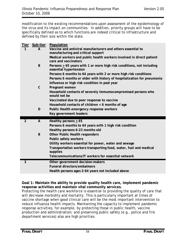modification to the existing recommendations upon assessment of the epidemiology of the virus and its impact on communities. In addition, priority groups will have to be specifically defined as to which functions are indeed critical to infrastructure and defined by their size within the state.

| Tier           | Sub-tier<br>A  | Population<br>Vaccine and antiviral manufacturers and others essential to<br>manufacturing and critical support                                                                              |
|----------------|----------------|----------------------------------------------------------------------------------------------------------------------------------------------------------------------------------------------|
|                |                | Medical workers and public health workers involved in direct patient<br>care and vaccinators                                                                                                 |
|                | B              | Persons > 65 years with 1 or more high risk conditions, not including<br>essential hypertension                                                                                              |
|                |                | Persons 6 months to 64 years with 2 or more high risk conditions<br>Persons 6 months or older with history of hospitalization for pneumonia<br>Influenza or high risk condition in past year |
|                | $\mathsf C$    | Pregnant women<br>Household contacts of severely immumocompromised persons who                                                                                                               |
|                |                | would not be                                                                                                                                                                                 |
|                |                | Vaccinated due to poor response to vaccine                                                                                                                                                   |
|                | D              | Household contacts of children < 6 months of age<br>Public Health emergency response workers                                                                                                 |
|                |                | Key government leaders                                                                                                                                                                       |
| $\overline{2}$ | $\overline{A}$ | Healthy persons $> 65$                                                                                                                                                                       |
|                |                | Persons 6 months to 64 years with 1 high risk condition                                                                                                                                      |
|                | B              | Healthy persons 6-23 months old<br><b>Other Public Health responders</b>                                                                                                                     |
|                |                | Public safety workers                                                                                                                                                                        |
|                |                | Utility workers essential for power, water and sewage                                                                                                                                        |
|                |                | Transportation workers transporting food, water, fuel and medical<br>supplies                                                                                                                |
|                |                | Telecommunications/IT workers for essential network                                                                                                                                          |
| 3              |                | Other government decision-makers                                                                                                                                                             |
|                |                | <b>Funeral directors/embalmers</b>                                                                                                                                                           |
|                |                | Health persons ages 2-64 years not included above                                                                                                                                            |

## **Goal 1: Maintain the ability to provide quality health care, implement pandemic response activities and maintain vital community services.**

Protecting the health care workforce is essential to providing the quality of care that will decrease morbidity and mortality. This is particularly important at times of vaccine shortage when good clinical care will be the most important intervention to reduce influenza health impacts. Maintaining the capacity to implement pandemic response activities, for example, by protecting those in public health, vaccine production and administration; and preserving public safety (e.g., police and fire department services) also are high priorities.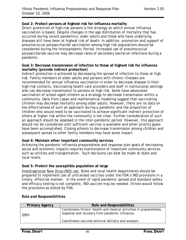## **Goal 2: Protect persons at highest risk for influenza mortality**

Direct protection of high-risk persons is the strategy on which annual influenza vaccination is based. Despite changes in the age distribution of mortality that has occurred during recent pandemics, older adults and those who have underlying diseases still have been at highest risk of death. In addition, promotion and support of pneumococcal polysaccharide vaccination among high risk populations should be considered during the Interpandemic Period. Increased use of pneumococcal polysaccharide vaccine may decrease rates of secondary bacterial infections during a pandemic.

#### **Goal 3: Decrease transmission of infection to those at highest risk for influenza mortality (provide indirect protection)**

Indirect protection is achieved by decreasing the spread of infection to those at high risk. Family members of older adults and persons with chronic illnesses are recommended for annual influenza vaccination in order to decrease disease in their high-risk contacts. Vaccinating health care providers and staff in institutional settings also can decrease transmission to persons at high risk. Some have advocated vaccination of school-aged children as a strategy to decrease transmission within a community. Data from Japan and mathematical modeling suggest that vaccinating children may decrease mortality among older adults. However, there are no data on the effectiveness of such an approach during a pandemic and the proportion of children who would need to be vaccinated to achieve significant indirect protection of others at higher risk within the community is not clear. Further consideration of such an approach should be assessed in the inter-pandemic period. However, this approach should not be considered until sufficient vaccine is available and other priority goals have been accomplished. Closing schools to decrease transmission among children and subsequent spread to other family members may have some impact.

## **Goal 4: Maintain other important community services**

Achieving the pandemic influenza preparedness and response plan goals of decreasing social and economic impacts requires maintenance of important community services such as utilities and transportation. Such decisions can best be made at state and local levels.

## **Goal 5: Protect the susceptible population at large**

Investigational New Drug (IND) use: State and local health departments should be prepared to implement use of unlicensed vaccines under the FDA's IND provisions in a timely, effective manner. In the event of rapid pandemic spread and standard safety and efficacy testing is not complete, IND vaccine may be needed. Illinois would follow the provisions as stated by FDA.

| <b>Primary Agency</b> | Role and Responsibilities                                                                                             |
|-----------------------|-----------------------------------------------------------------------------------------------------------------------|
| <b>IDPH</b>           | Coordinates Illinois' health and medical activities in preparedness,<br>response and recovery from pandemic influenza |
|                       | Coordinates vaccine/antiviral delivery and analysis                                                                   |

## *Role and Responsibilities*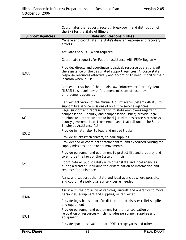|                         | Coordinates the request, receipt, breakdown, and distribution of<br>the SNS for the State of Illinois                                                                                                                                                                                                  |
|-------------------------|--------------------------------------------------------------------------------------------------------------------------------------------------------------------------------------------------------------------------------------------------------------------------------------------------------|
| <b>Support Agencies</b> | <b>Role and Responsibilities</b>                                                                                                                                                                                                                                                                       |
|                         | Manage and coordinate the State's disaster response and recovery<br>efforts<br>Activate the SEOC, when required                                                                                                                                                                                        |
|                         | Coordinate requests for Federal assistance with FEMA Region V                                                                                                                                                                                                                                          |
| <b>IEMA</b>             | Provide, direct, and coordinate logistical/resource operations with<br>the assistance of the designated support agencies. Allocate state<br>response resources effectively and according to need; monitor their<br>location when in use.                                                               |
|                         | Request activation of the Illinois Law Enforcement Alarm System<br>(ILEAS) to support law enforcement missions of local law<br>enforcement agencies                                                                                                                                                    |
|                         | Request activation of the Mutual Aid Box Alarm System (MABAS) to<br>support fire service missions of local fire service agencies                                                                                                                                                                       |
| AG                      | Legal support and representation to state employees regarding<br>compensation, liability, and compensation issues; provide legal<br>opinions and other support to local jurisdictions/state's attorneys<br>county governments or those employees that fall under the State<br>Employee Assistance Act. |
| <b>IDOC</b>             | Provide inmate labor to load and unload trucks<br>Provide trucks (with drivers) to haul supplies                                                                                                                                                                                                       |
|                         | Provide/and or coordinate traffic control and expedited routing for<br>supply missions or personnel movements                                                                                                                                                                                          |
|                         | Provide personnel and equipment to protect life and property and<br>to enforce the laws of the State of Illinois                                                                                                                                                                                       |
| <b>ISP</b>              | Coordinate all public safety with other state and local agencies<br>during a disaster, including the dissemination of information and<br>requests for assistance                                                                                                                                       |
|                         | Assist and support other state and local agencies where possible,<br>and coordinate public safety services as needed                                                                                                                                                                                   |
| <b>IDMA</b>             | Assist with the provision of vehicles, aircraft and operators to move<br>personnel, equipment and supplies, as requested                                                                                                                                                                               |
|                         | Provide logistical support for distribution of disaster relief supplies<br>and equipment                                                                                                                                                                                                               |
| <b>IDOT</b>             | Provide personnel and equipment for the transportation or<br>relocation of resources which includes personnel, supplies and<br>equipment                                                                                                                                                               |
|                         | Provide space, as available, at IDOT storage yards and other                                                                                                                                                                                                                                           |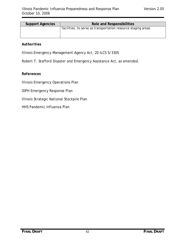| <b>Support Agencies</b> | Role and Responsibilities                                     |
|-------------------------|---------------------------------------------------------------|
|                         | facilities, to serve as transportation resource staging areas |
|                         |                                                               |

#### *Authorities*

Illinois Emergency Management Agency Act, 20 ILCS 5/3305

Robert T. Stafford Disaster and Emergency Assistance Act, as amended.

## *References*

Illinois Emergency Operations Plan

IDPH Emergency Response Plan

Illinois Strategic National Stockpile Plan

HHS Pandemic Influenza Plan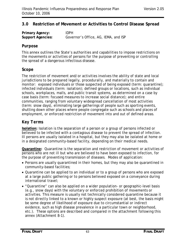## **3.0 Restriction of Movement or Activities to Control Disease Spread**

| <b>Primary Agency:</b>   | <b>IDPH</b>                          |
|--------------------------|--------------------------------------|
| <b>Support Agencies:</b> | Governor's Office, AG, IEMA, and ISP |

## *Purpose*

This annex outlines the State's authorities and capabilities to impose restrictions on the movements or activities of persons for the purpose of preventing or controlling the spread of a dangerous infectious disease.

## *Scope*

The restriction of movement and/or activities involves the ability of state and local jurisdictions to be prepared *legally*, *procedurally*, and *materially* to contain and monitor: exposed individuals or those suspected of being exposed (term: quarantine); infected individuals (term: isolation); defined groups or locations, such as individual schools, workplaces, malls, and public transit systems, as determined on a case by case basis (term: focused measures to increase social distance); and entire communities, ranging from voluntary widespread cancellation of most activities (term: snow days), eliminating large gatherings of people such as sporting events, shutting down other places where people congregate such as schools and places of employment, or enforced restriction of movement into and out of defined areas.

## *Key Terms*

**Isolation:** Isolation is the separation of a person or a group of persons infected or believed to be infected with a contagious disease to prevent the spread of infection. Ill persons are usually isolated in a hospital, but they may also be isolated at home or in a designated community-based facility, depending on their medical needs.

**Quarantine:** Quarantine is the separation and restriction of movement or activities of persons who are not ill but who are believed to have been exposed to infection, for the purpose of preventing transmission of diseases. Modes of application:

- Persons are usually quarantined in their homes, but they may also be quarantined in community-based facilities;
- Quarantine can be applied to an individual or to a group of persons who are exposed at a large public gathering or to persons believed exposed on a conveyance during international travel;
- "Quarantine" can also be applied on a wider population- or geographic-level basis (e.g., snow days) with the voluntary or enforced prohibition of movements or activities. This measure is usually not *technically* considered quarantine because it is not *directly* linked to a known or highly suspect exposure (at best, the basis might be some degree of likelihood of exposure due to circumstantial or indirect evidence, such as high disease prevalence in a particular town or neighborhood, etc.). These options are described and compared in the attachment following this annex (Attachment 8-1).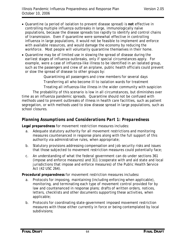- *Quarantine* (a period of isolation to prevent disease spread) is *not* effective in controlling multiple influenza outbreaks in large, immunologically naïve populations, because the disease spreads too rapidly to identify and control chains of transmission. Even if quarantine were *somewhat* effective in controlling influenza in large populations, it would not be feasible to implement and enforce with available resources, and would damage the economy by reducing the workforce. Most people will voluntarily quarantine themselves in their home.
- Quarantine may be of limited use in slowing the spread of disease during the *earliest* stages of influenza outbreaks, *only if special circumstances apply*. For example, were a case of influenza-like illness to be identified in an isolated group, such as the passengers and crew of an airplane, public health officials could prevent or slow the spread of disease to other groups by:

Quarantining all passengers and crew members for several days Transferring all who become ill to isolation wards for treatment Treating all influenza-like illness in the wider community with suspicion

 The probability of this scenario is low in all circumstances, but diminishes over time as an influenza pandemic spreads. Quarantine should not be confused with methods used to prevent outbreaks of illness in health care facilities, such as patient segregation, or with methods used to slow disease spread in large populations, such as school closures.

## *Planning Assumptions and Considerations Part 1: Preparedness*

**Legal preparedness** for movement restriction measures includes:

- a. Adequate statutory authority for all movement restrictions and monitoring measures countenanced in response plans along with the full support of this authority via administrative rules, when appropriate;
- b. Statutory provisions addressing compensation and job security risks and issues that those subjected to movement restriction measures could potentially face;
- c. An understanding of what the federal government can do under sections 361 (impose and enforce measures) and 311 (cooperate with and aid state and local jurisdictions that impose and enforce measures) of the Public Health Service Act (42 USC 264).

**Procedural preparedness** for movement restriction measures includes**:** 

- a. Protocols for imposing, maintaining (including enforcing when applicable), monitoring, and terminating each type of movement control provided for by law and countenanced in response plans; drafts of written orders, notices, letters, checklists and other documents supporting these activities, when applicable;
- b. Protocols for coordinating state-government imposed movement restriction measures with those either currently in force or being contemplated by local subdivisions;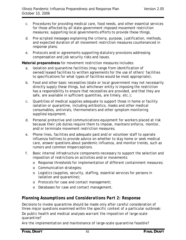- c. Procedures for providing medical care, food needs, and other essential services for those affected by all state-government imposed movement restriction measures; supporting local governments efforts to provide these things;
- d. Pre-scripted messages explaining the criteria, purpose, justification, methods, and expected duration of all movement restriction measures countenanced in response plans;
- e. Protocols and/or agreements supporting statutory provisions addressing compensation and job security risks and issues.

**Material preparedness** for movement restriction measures includes:

- a. Isolation and quarantine facilities (may range from identification of owned/leased facilities to written agreements for the use of others' facilities to specifications for what types of facilities would be most appropriate);
- b. Food and other basic necessities (state or local government may not necessarily directly supply these things, but whichever entity is imposing the restriction has a responsibility to ensure that necessities are provided, and that they are safe, are available in sufficient quantities, are timely, etc.);
- c. Quantities of medical supplies adequate to support those in home or facility isolation or quarantine, including antibiotics, masks and other medical consumables, antivirals, thermometers and other symptom monitoring supplies/equipment;
- d. Personal protective and communications equipment for workers placed at risk because their job duties require them to impose, maintain/enforce, monitor, and/or terminate movement restriction measures;
- e. Phone lines, facilities and adequate paid and/or volunteer staff to operate influenza hotlines to provide advice on whether to stay home or seek medical care, answer questions about pandemic influenza, and monitor trends, such as rumors and common misperceptions.
- f. Basic internal infrastructure components necessary to support the selection and imposition of restrictions on activities and/or movements:
	- o Response thresholds for implementation of different containment measures;
	- o Communication strategies;
	- o Logistics (supplies, security, staffing, essential services for persons in isolation and quarantine);
	- o Protocols for case and contact management;
	- o Databases for case and contact management,

## *Planning Assumptions and Considerations Part 2: Response*

Decisions to invoke quarantine should be made only after careful consideration of three major questions examined within the specific context of a particular outbreak:

*Do public health and medical analyses warrant the imposition of large-scale quarantine?* 

*Are the implementation and maintenance of large-scale quarantine feasible?*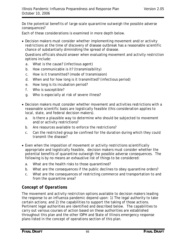*Do the potential benefits of large-scale quarantine outweigh the possible adverse consequences?* 

Each of these considerations is examined in more depth below.

• Decision makers must consider whether implementing movement and/or activity restrictions at the time of discovery of disease outbreak has a reasonable scientific chance of substantially diminishing the spread of disease.

Questions officials should answer when evaluating movement and activity restriction options include:

- a. What is the cause? (infectious agent)
- b. How communicable is it? (transmissibility)
- c. How is it transmitted? (mode of transmission)
- d. When and for how long is it transmitted? (infectious period)
- e. How long is its incubation period?
- f. Who is susceptible?
- g. Who is especially at risk of severe illness?
- Decision makers must consider whether movement and activities restrictions with a reasonable scientific basis are logistically feasible (this consideration applies to local, state, and federal decision makers).
	- a. Is there a plausible way to determine who should be subjected to movement and/or activity restrictions?
	- b. Are resources available to enforce the restrictions?
	- c. Can the restricted group be confined for the duration during which they could transmit the disease?
- Even when the imposition of movement or activity restrictions scientifically appropriate and logistically feasible, decision makers must consider whether the potential benefits of quarantine outweigh the possible adverse consequences. The following is by no means an exhaustive list of things to be considered:
	- a. What are the health risks to those quarantined?
	- b. What are the consequences if the public declines to obey quarantine orders?
	- c. What are the consequences of restricting commerce and transportation to and from the quarantine area?

## *Concept of Operations*

The movement and activity restriction options available to decision makers leading the response to an influenza pandemic depend upon: 1) The legal authority to take certain actions; and 2) the capabilities to support the taking of those actions. Pertinent legal authorities are identified and described below. The capabilities to carry out various courses of action based on these authorities are established throughout this plan and the other IDPH and State of Illinois emergency response plans listed in the concept of operations section of this plan.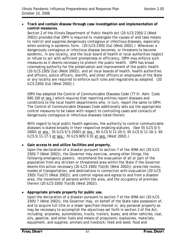• **Track and contain disease through case investigation and implementation of control measures.** 

Section 2 of the Illinois Department of Public Health Act (20 ILCS 2305/2 (West 2002)) provides that IDPH is required to investigate the causes of and take means to restrict and suppress dangerously contagious or infectious diseases, especially when existing in epidemic form. (20 ILCS 2305/2(a) (West 2002).) Whenever a dangerously contagious or infectious disease becomes, or threatens to become epidemic, in any locality, and the local board of health or local authorities neglect or refuse to act with sufficient promptness or efficiency, IDPH may enforce such measures as it deems necessary to protect the public health. IDPH has broad rulemaking authority for the preservation and improvement of the public health (20 ILCS 2305/2(a) (West 2002)), and all local boards of health, health authorities and officers, police officers, sheriffs, and other officers or employees of the State or any locality are required to enforce such rules and regulations so adopted. (20 ILCS 2305/2(a) (West 2002).)

IDPH has adopted the Control of Communicable Diseases Code (77 Ill. Adm. Code 690.100 et seq.) which requires that reporting entities report diseases and conditions to the local health departments who, in turn, report the same to IDPH. The Control of Communicable Diseases Code additionally sets out the appropriate control measures to be taken with respect to controlling cases and contacts of dangerously contagious or infectious diseases listed therein.

With regard to local public health agencies, the authority to control communicable diseases is stated broadly in their respective enabling statutes. (See 55 ILCS 5/5- 20001 et seq.; 55 ILCS 5/5-25001 et seq.; 65 ILCS 5/11-20-5; 65 ILCS 5/11-16-1; 65 ILCS 5/11-17-1 et seq.; 70 ILCS 905/0.01 et seq. (West 2002).)

## • **Gain access to and utilize facilities and property.**

Upon the declaration of a disaster pursuant to section 7 of the IEMA Act (20 ILCS 3305/7 (West 2002)), the Governor may exercise, among other things, the following emergency powers: recommend the evacuation of all or part of the population from any stricken or threatened area within the State if the Governor deems this action necessary (20 ILCS 3305/7(a)(6) (West 2002)); prescribe routes, modes of transportation, and destinations in connection with evacuation (20 ILCS  $3305/7(a)(7)$  (West 2002)); and control ingress and egress to and from a disaster area, the movement of persons within the area, and the occupancy of premises therein (20 ILCS 3305/7(a)(8) (West 2002)).

## • **Appropriate private property for public use.**

Upon the declaration of a disaster pursuant to section 7 of the IEMA Act (20 ILCS 3305/7 (West 2002)), the Governor may, on behalf of the State take possession of, and to acquire full title or a lesser specified interest in, any personal property as may be necessary to accomplish the objectives set forth in section 2 of the Act, including: airplanes, automobiles, trucks, trailers, buses, and other vehicles; coal, oils, gasoline, and other fuels and means of propulsion; explosives, materials, equipment, and supplies; animals and livestock; feed and seed; food and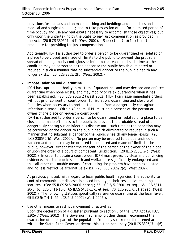provisions for humans and animals; clothing and bedding; and medicines and medical and surgical supplies; and to take possession of and for a limited period of time occupy and use any real estate necessary to accomplish those objectives; but only upon the undertaking by the State to pay just compensation as provided in the Act. (20 ILCS 3305/7(a)(4) (West 2002).) Subsection 7(a)(4) sets forth a procedure for providing for just compensation.

Additionally, IDPH is authorized to order a person to be quarantined or isolated or a place to be closed and made off limits to the public to prevent the probable spread of a dangerously contagious or infectious disease until such time as the condition may be corrected or the danger to the public health eliminated or reduced in such a manner that no substantial danger to the public's health any longer exists. (20 ILCS 2305/2(b) (West 2002).)

## • **Impose isolation and quarantine**

**I**DPH has supreme authority in matters of quarantine, and may declare and enforce quarantine when none exists, and may modify or relax quarantine when it has been established. (20 ILCS 2305/2 (West 2002).) IDPH can issue immediate orders, without prior consent or court order, for isolation, quarantine and closure of facilities when necessary to protect the public from a dangerously contagious or infectious disease. Within 48 hours, IDPH must gain consent of the person or owner of the place or request a court order.

IDPH is authorized to order a person to be quarantined or isolated or a place to be closed and made off limits to the public to prevent the probable spread of a dangerously contagious or infectious disease until such time as the condition may be corrected or the danger to the public health eliminated or reduced in such a manner that no substantial danger to the public's health any longer exists. (20 ILCS 2305/2(b) (West 2002).) No person may be ordered to be quarantined or isolated and no place may be ordered to be closed and made off limits to the public, however, except with the consent of the person or the owner of the place or upon the order of a court of competent jurisdiction. (20 ILCS 2305/2(c) (West 2002).) In order to obtain a court order, IDPH must prove, by clear and convincing evidence, that the public's health and welfare are significantly endangered and that all other reasonable means of correcting the problem have been exhausted and no less restrictive alternative exists. (20 ILCS 2305/2(c) (West 2002).)

As previously noted, with regard to local public health agencies, the authority to control communicable diseases is stated broadly in their respective enabling statutes. (See 55 ILCS 5/5-20001 et seq.; 55 ILCS 5/5-25001 et seq.; 65 ILCS 5/11- 20-5; 65 ILCS 5/11-16-1; 65 ILCS 5/11-17-1 et seq.; 70 ILCS 905/0.01 et seq. (West 2002).) The following statutes specifically reference quarantine at the local level: 65 ILCS 5/7-4-1; 55 ILCS 5/5-20001 (West 2002)).

• Use other means to restrict movement or activities Upon the declaration of a disaster pursuant to section 7 of the IEMA Act (20 ILCS 3305/7 (West 2002)), the Governor may, among other things: recommend the evacuation of all or part of the population from any stricken or threatened area within the State if the Governor deems this action necessary (20 ILCS 3305/7(a)(6)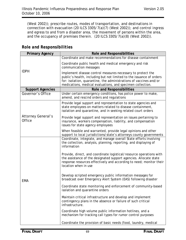(West 2002)); prescribe routes, modes of transportation, and destinations in connection with evacuation (20 ILCS 3305/7(a)(7) (West 2002)); and control ingress and egress to and from a disaster area, the movement of persons within the area, and the occupancy of premises therein. (20 ILCS 3305/7(a)(8) (West 2002)).

## *Role and Responsibilities*

| <b>Primary Agency</b>               | <b>Role and Responsibilities</b>                                                                                                                                                                                                                                        |
|-------------------------------------|-------------------------------------------------------------------------------------------------------------------------------------------------------------------------------------------------------------------------------------------------------------------------|
|                                     | Coordinate and make recommendations for disease containment                                                                                                                                                                                                             |
|                                     | Coordinate public health and medical emergency and risk<br>communication messages                                                                                                                                                                                       |
| <b>IDPH</b>                         | Implement disease control measures necessary to protect the<br>public's health, including but not limited to the issuance of orders<br>for: isolation, quarantine, the administrations of vaccines and/or<br>medications, medical evaluations, and specimen collection. |
| <b>Support Agencies</b>             | <b>Role and Responsibilities</b>                                                                                                                                                                                                                                        |
| Governor's Office                   | Under certain emergency conditions, has police power to make,<br>amend, and rescind orders and regulations                                                                                                                                                              |
|                                     | Provide legal support and representation to state agencies and<br>state employees on matters related to disease containment,<br>isolation and quarantine, and in seeking related court orders                                                                           |
| <b>Attorney General's</b><br>Office | Provide legal support and representation on issues pertaining to<br>insurance, workers compensation, liability, and compensation<br>issues for state agency employees                                                                                                   |
|                                     | When feasible and warranted, provide legal opinions and other<br>support to local jurisdictions/state's attorneys county governments                                                                                                                                    |
|                                     | Coordinate, integrate, and manage overall State efforts involving<br>the collection, analysis, planning, reporting, and displaying of<br>information                                                                                                                    |
| <b>EMA</b>                          | Provide, direct, and coordinate logistical/resource operations with<br>the assistance of the designated support agencies. Allocate state<br>response resources effectively and according to need; monitor their<br>location when in use                                 |
|                                     | Develop scripted emergency public information messages for<br>broadcast over Emergency Alert System (EAS) following disaster                                                                                                                                            |
|                                     | Coordinate state monitoring and enforcement of community-based<br>isolation and quarantine orders                                                                                                                                                                       |
|                                     | Maintain critical infrastructure and develop and implement<br>contingency plans in the absence or failure of such critical<br>infrastructure.                                                                                                                           |
|                                     | Coordinate high volume public information hotlines, and a<br>mechanism for tracking call types for rumor control purposes                                                                                                                                               |
|                                     | Coordinate the provision of basic needs (food, laundry, medical                                                                                                                                                                                                         |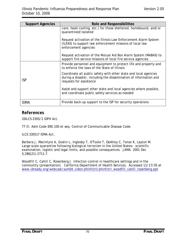| <b>Support Agencies</b> | <b>Role and Responsibilities</b>                                                                                                                                 |
|-------------------------|------------------------------------------------------------------------------------------------------------------------------------------------------------------|
|                         | care, heat/cooling, etc.) for those sheltered, homebound, and/or<br>quarantined/isolated                                                                         |
|                         | Request activation of the Illinois Law Enforcement Alarm System<br>(ILEAS) to support law enforcement missions of local law<br>enforcement agencies              |
|                         | Request activation of the Mutual Aid Box Alarm System (MABAS) to<br>support fire service missions of local fire service agencies                                 |
|                         | Provide personnel and equipment to protect life and property and<br>to enforce the laws of the State of Illinois                                                 |
| <b>ISP</b>              | Coordinate all public safety with other state and local agencies<br>during a disaster, including the dissemination of information and<br>requests for assistance |
|                         | Assist and support other state and local agencies where possible,<br>and coordinate public safety services as needed                                             |
| <b>IDMA</b>             | Provide back-up support to the ISP for security operations                                                                                                       |

## *References*

20ILCS 2305/2 IDPH Act.

77 Ill. Adm Code 690.100 et seq. Control of Communicable Disease Code.

ILCS 330517 IEMA Act.

Barbera J, Macintyre A, Gostin L, Inglesby T, O'Toole T, DeAtley C, Tonat K, Layton M. Large-scale quarantine following biological terrorism in the United States: scientific examination, logistic and legal limits, and possible consequences. JAMA. 2001 Dec 5;286(21):2711-7.

Woodfill C, Cahill C, Rosenberg J. Infection control in healthcare settings and in the community (presentation). California Department of Health Services. Accessed 11/17/05 at www.idready.org/webcast/sum04\_cider/phinfctrl/phinfctrl\_woodfill\_cahill\_rosenberg.ppt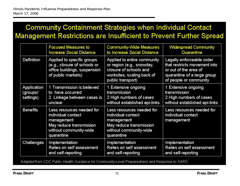## **Community Containment Strategies when Individual Contact** Management Restrictions are Insufficient to Prevent Further Spread

|                                      | <b>Focused Measures to</b><br><b>Increase Social Distance</b>                                                                    | <b>Community-Wide Measures</b><br>to Increase Social Distance                                                                         | <b>Widespread Community</b><br>Quarantine                                                                                                   |
|--------------------------------------|----------------------------------------------------------------------------------------------------------------------------------|---------------------------------------------------------------------------------------------------------------------------------------|---------------------------------------------------------------------------------------------------------------------------------------------|
| Definition                           | Applied to specific groups<br>(e.g., closure of schools or<br>office buildings, suspension<br>of public markets)                 | Applied to entire community<br>or region (e.g., snowday,<br>closure of schools and<br>worksites, scaling back of<br>public transport) | Legally enforceable order<br>that restricts movement into<br>or out of the area of<br>quarantine of a large group<br>of people or community |
| Application<br>(groups/<br>settings) | 1 Transmission is believed<br>to have occurred<br>2 Linkage between cases is<br>unclear                                          | 1 Extensive ongoing<br>transmission<br>2 High numbers of cases<br>without established epi-links                                       | 1 Extensive ongoing<br>transmission<br>2 High numbers of cases<br>without established epi-links                                             |
| <b>Benefits</b>                      | Less resources needed for<br>individual contact<br>management<br>May reduce transmission<br>without community-wide<br>quarantine | Less resources needed for<br>individual contact<br>management<br>May reduce transmission<br>without community-wide<br>quarantine      | Less resources needed for<br>individual contact<br>management                                                                               |
| Challenges                           | Implementation<br>Relies on self assessment<br>and self-reporting                                                                | Implementation<br>Relies on self assessment<br>and self-reporting                                                                     | Implementation<br>Relies on self assessment<br>and self-reporting                                                                           |

Adapted from CDC Public Health Guidance for Community-Level Preparedness and Response to SARS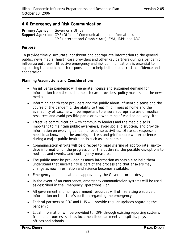# **4.0 Emergency and Risk Communication**

**Primary Agency:** Governor's Office **Support Agencies:** CMS (Office of Communication and Information), CMS (Internet and Graphic Arts) IEMA, IDPH and ARC

### *Purpose*

To provide timely, accurate, consistent and appropriate information to the general public, news media, health care providers and other key partners during a pandemic influenza outbreak. Effective emergency and risk communications is essential to supporting the public health response and to help build public trust, confidence and cooperation.

### *Planning Assumptions and Considerations*

- An influenza pandemic will generate intense and sustained demand for information from the public, health care providers, policy makers and the news media.
- Informing health care providers and the public about influenza disease and the course of the pandemic, the ability to treat mild illness at home and the availability of vaccine will be important to ensure appropriate use of medical resources and avoid possible panic or overwhelming of vaccine delivery sites.
- Effective communication with community leaders and the media also is important to maintain public awareness, avoid social disruption, and provide information on evolving pandemic response activities. State spokespersons need to acknowledge the anxiety, distress and grief people will experience during a major public health crisis such as a pandemic.
- Communication efforts will be directed to rapid sharing of appropriate, up-todate information on the progression of the outbreak, the possible disruptions to routines and events, and contingency measures.
- The public must be provided as much information as possible to help them understand that uncertainty is part of the process and that answers may change as new information and science becomes available.
- Emergency communication is approved by the Governor or his designee
- In the event of an emergency, emergency communication systems will be used as described in the Emergency Operations Plan
- All government and non-government resources will utilize a single source of information on the state's position regarding the emergency
- Federal partners at CDC and HHS will provide regular updates regarding the pandemic
- Local information will be provided to IDPH through existing reporting systems from local sources, such as local health departments, hospitals, physician's offices and schools.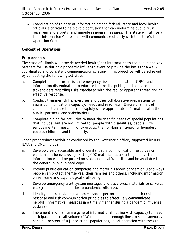• Coordination of release of information among federal, state and local health officials is critical to help avoid confusion that can undermine public trust, raise fear and anxiety, and impede response measures. The state will utilize a Joint Information Center that will communicate directly with the state's Joint Operation Center

### *Concept of Operations*

#### **Preparedness**

The state of Illinois will provide needed health/risk information to the public and key partners for use during a pandemic influenza event to provide the basis for a wellcoordinated and consistent communication strategy. This objective will be achieved by conducting the following activities:

- a. Complete a plan for crisis and emergency risk communication (CERC) and information dissemination to educate the media, public, partners and stakeholders regarding risks associated with the real or apparent threat and an effective response.
- b. Conduct trainings, drills, exercises and other collaborative preparations to assess communications capacity, needs and readiness. Ensure channels of communication are in place to rapidly share appropriate information with the public, partners, and stakeholders.
- c. Complete a plan for activities to meet the specific needs of special populations that include, but are not limited to, people with disabilities, people with serious mental illness, minority groups, the non-English speaking, homeless people, children, and the elderly.

Other preparedness activities conducted by the Governor's office, supported by IDPH, IEMA and CMS, include:

- a. Develop clear, accessible and understandable communication resources on pandemic influenza, using existing CDC materials as a starting point. The information would be posted on state and local Web sites and be available to the general public in hard copy.
- b. Provide public education campaigns and materials about pandemic flu and ways people can protect themselves, their families and others, including information on self-care and psychological well-being.
- c. Develop emergency alert system messages and basic press materials to serve as background documents prior to pandemic influenza.
- d. Identify and train state government spokespersons on public health crisis response and risk communication principles to effectively communicate helpful, informative messages in a timely manner during a pandemic influenza outbreak.
- e. Implement and maintain a general informational hotline with capacity to meet anticipated peak call volume (CDC recommends enough lines to simultaneously handle 1 percent of a jurisdictions population), in collaboration with the CDC-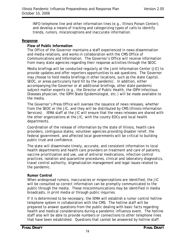INFO telephone line and other information lines (e.g., Illinois Poison Center); and develop a means of tracking and categorizing types of calls to identify trends, rumors, misconceptions and inaccurate information.

#### **Response**

# **Flow of Public Information**

The Office of the Governor maintains a staff experienced in news dissemination and media relations, and works in collaboration with the CMS Office of Communications and Information. The Governor's Office will receive information from many state agencies regarding their response activities through the SEOC.

Media briefings will be conducted regularly at the Joint Information Center (JIC) to provide updates and offer reporters opportunities to ask questions. The Governor may choose to hold media briefings in other locations, such as the state Capitol, SEOC, or areas particularly hard hit by the pandemic. In addition, either accompanying the Governor or at additional briefings, other state pandemic subject-matter experts (e.g., the Director of Public Health, the IDPH Infectious Diseases physician, the IDPH State Epidemiologist, etc.) will be made available to the media.

The Governor's Press Office will oversee the issuance of news releases, whether from the SEOC or the JIC, and they will be distributed by CMS (Illinois Information Services). IEMA staff at the JIC will ensure that the news releases are shared with the other organizations at the JIC, with the county EOCs and local health departments.

Coordination of the release of information by the state of Illinois, health care providers, contiguous states, volunteer agencies providing disaster relief, the federal government, and affected local governments will be critical to building public trust and confidence.

The state will disseminate timely, accurate, and consistent information to local health departments and health care providers on treatment and care of patients, vaccine prioritization and use, use of antiviral medications, infection control practices, isolation and quarantine procedures, clinical and laboratory diagnostics, travel control authority, stigmatization management and legal issues related to the pandemic.

### **Rumor Control**

When widespread rumors, inaccuracies or misperceptions are identified, the JIC will be consulted so correct information can be promptly communicated to the public through the media. These miscommunications may be identified in media broadcasts, in print media or through public inquiries.

If it is determined to be necessary, the IEMA will establish a rumor control hotline telephone system in collaboration with the CMS. The hotline staff will be prepared to answer questions from the public dealing with basic facts regarding health and medical considerations during a pandemic influenza event. The hotline staff also will be able to provide numbers or connections to other telephone lines that have been established. Questions that cannot be answered by hotline staff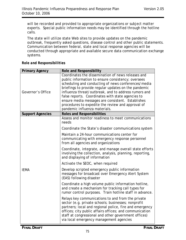will be recorded and provided to appropriate organizations or subject matter experts. Special public information needs may be identified through the hotline calls.

The state will utilize state Web sites to provide updates on the pandemic outbreak, frequently asked questions, disease control and other public statements. Communication between federal, state and local response agencies will be conducted through appropriate and available secure data communication exchange systems.

### *Role and Responsibilities*

| <b>Primary Agency</b>   | <b>Role and Responsibility</b>                                                                                                                                                                                                                                                                                                                                                                                                                                                  |  |
|-------------------------|---------------------------------------------------------------------------------------------------------------------------------------------------------------------------------------------------------------------------------------------------------------------------------------------------------------------------------------------------------------------------------------------------------------------------------------------------------------------------------|--|
| Governor's Office       | Coordinates the dissemination of news releases and<br>public information to ensure consistency; oversees<br>scheduling and conducting of news conferences/media<br>briefings to provide regular updates on the pandemic<br>influenza threat/outbreak, and to address rumors and<br>false reports. Coordinates with state agencies to<br>ensure media messages are consistent. Establishes<br>procedures to expedite the review and approval of<br>pandemic influenza materials. |  |
| <b>Support Agencies</b> | <b>Roles and Responsibilities</b>                                                                                                                                                                                                                                                                                                                                                                                                                                               |  |
|                         | Assess and monitor readiness to meet communications<br>needs                                                                                                                                                                                                                                                                                                                                                                                                                    |  |
|                         | Coordinate the State's disaster communications system                                                                                                                                                                                                                                                                                                                                                                                                                           |  |
|                         | Maintain a 24-hour communications center for<br>communicating with emergency response personnel<br>from all agencies and organizations                                                                                                                                                                                                                                                                                                                                          |  |
|                         | Coordinate, integrate, and manage overall state efforts<br>involving the collection, analysis, planning, reporting,<br>and displaying of information                                                                                                                                                                                                                                                                                                                            |  |
|                         | Activate the SEOC, when required                                                                                                                                                                                                                                                                                                                                                                                                                                                |  |
| <b>IEMA</b>             | Develop scripted emergency public information<br>messages for broadcast over Emergency Alert System<br>(EAS) following disaster                                                                                                                                                                                                                                                                                                                                                 |  |
|                         | Coordinate a high volume public information hotline,<br>and create a mechanism for tracking call types for<br>rumor control purposes. Train hotline staff in advance.                                                                                                                                                                                                                                                                                                           |  |
|                         | Relays key communications to and from the private<br>sector (e.g. private schools; businesses; nonprofit<br>partners; local and regional police, fire and emergency<br>offices; city public affairs offices; and communication<br>staff at congressional and other government offices)<br>via local emergency management agencies                                                                                                                                               |  |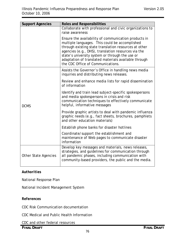| <b>Support Agencies</b>     | <b>Roles and Responsibilities</b>                                                                                                                                                                                                                                                                                                                                      |  |
|-----------------------------|------------------------------------------------------------------------------------------------------------------------------------------------------------------------------------------------------------------------------------------------------------------------------------------------------------------------------------------------------------------------|--|
|                             | Collaborate with professional and civic organizations to<br>raise awareness                                                                                                                                                                                                                                                                                            |  |
|                             | Ensure the availability of communication products in<br>multiple languages. This could be accomplished<br>through existing state translation resources at other<br>agencies (e.g., DHS), translation resources via the<br>state's university system or through the use or<br>adaptation of translated materials available through<br>the CDC Office of Communications. |  |
| <b>DCMS</b>                 | Assists the Governor's Office in handling news media<br>inquiries and distributing news releases.                                                                                                                                                                                                                                                                      |  |
|                             | Review and enhance media lists for rapid dissemination<br>of information                                                                                                                                                                                                                                                                                               |  |
|                             | Identify and train lead subject-specific spokespersons<br>and media spokespersons in crisis and risk<br>communication techniques to effectively communicate<br>helpful, informative messages                                                                                                                                                                           |  |
|                             | Provide graphic artists to deal with pandemic influenza<br>graphic needs (e.g., fact sheets, brochures, pamphlets<br>and other education materials)                                                                                                                                                                                                                    |  |
|                             | Establish phone banks for disaster hotlines                                                                                                                                                                                                                                                                                                                            |  |
|                             | Coordinate/support the establishment and<br>maintenance of Web pages to communicate disaster<br>information                                                                                                                                                                                                                                                            |  |
| <b>Other State Agencies</b> | Develop key messages and materials, news releases,<br>strategies, and guidelines for communication through<br>all pandemic phases, including communication with<br>community-based providers, the public and the media.                                                                                                                                                |  |

# *Authorities*

National Response Plan

National Incident Management System

### *References*

CDC Risk Communication documentation

CDC Medical and Public Health Information

CDC and other federal resources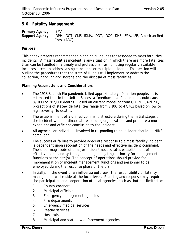# **5.0 Fatality Management**

**Primary Agency: IEMA<br>Support Agency: IDPH, Support Agency**: IDPH, IDOT, CMS, IDMA, IDOT, IDOC, DHS, IEPA, ISP, American Red Cross (ARC)

## *Purpose*

This annex presents recommended planning guidelines for response to mass fatalities incidents. A mass fatalities incident is any situation in which there are more fatalities than can be handled in a timely and professional fashion using regularly available local resources to address a single incident or multiple incidents. This section will outline the procedures that the state of Illinois will implement to address the collection, handling and storage and the disposal of mass fatalities.

# *Planning Assumptions and Considerations*

- The 1918 Spanish Flu pandemic killed approximately 40 million people. It is estimated that in the United States, a "medium-level" pandemic could cause 89,000 to 207,000 deaths. Based on current modeling from CDC's FluAid 2.0, projections of statewide fatalities range from 7,907 to 47,462 based on low to high severity flu deaths.
- The establishment of a unified command structure during the initial stages of the incident will coordinate all responding organizations and promote a more expedient and efficient conclusion to the incident.
- All agencies or individuals involved in responding to an incident should be NIMS compliant.
- The success or failure to provide adequate response to a mass fatality incident is dependent upon recognition of the needs and effective incident command. The sheer magnitude of a major incident necessitates establishment of effective command systems, including delegating authority for management functions at the site(s). The concept of operations should provide for implementation of incident management functions and personnel to be employed during the response phase of the plan.
- Initially, in the event of an influenza outbreak, the responsibility of fatality management will reside at the local level. Planning and response may require the participation and cooperation of local agencies, such as, but not limited to:
	- 1. County coroners
	- 2. Municipal officials
	- 3. Emergency management agencies
	- 4. Fire departments
	- 5. Emergency medical services
	- 6. Rescue services
	- 7. Hospitals
	- 8. Municipal and state law enforcement agencies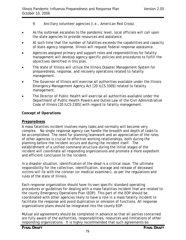- 9. Ancillary volunteer agencies (i.e., American Red Cross).
- As the outbreak escalates to the pandemic level, local officials will call upon the state agencies to provide resources and assistance.
- At such time that the number of fatalities exceeds the capabilities and capacity of state agency response, Illinois will request federal response assistance.
- Agencies assigned primary and support roles and responsibilities for fatality management will develop agency-specific policies and procedures to fulfill the objectives identified in this plan.
- The state of Illinois will utilize the Illinois Disaster Management System for preparedness, response, and recovery operations related to fatality management.
- The Governor of Illinois will exercise all authorities available under the Illinois Emergency Management Agency Act [20 ILCS 3305] related to fatality management.
- The Director of Public Health will exercise all authorities available under the Department of Public Health Powers and Duties Law of the Civil Administrative Code of Illinois [20 ILCS 2305] with regard to fatality management.

# *Concept of Operations*

#### **Preparedness**

A mass fatalities incident involves many tasks and normally will become very complex. No single response agency can handle the breadth and depth of tasks to be accomplished. The need for planning teamwork and an appreciation of the roles of other agencies is crucial to effective working relationships, both during the planning before the incident occurs and during the incident itself. The establishment of a unified command structure during the initial stages of the incident will coordinate all responding organizations and promote a more expedient and efficient conclusion to the incident.

In a disaster situation, identification of the dead is a critical issue. The ultimate responsibility for the collection, identification, storage and release of deceased victims will lie with the coroner (or medical examiner), as per the regulations and rules of the state of Illinois.

Each response organization should have its own specific standard operating procedures or guidelines for dealing with a mass fatalities incident that are related to the county Emergency Operations Plan (EOP). This part of the EOP should be coordinated with other agencies likely to have a role in a mass fatality incident to facilitate the response and avoid duplication or omission of functions. All response organizations' plans should be integrated into the county EOP.

Mutual aid agreements should be completed in advance so that all parties concerned are fully aware of the authorities, responsibilities, resources and limitations of other responding organizations. It is highly recommended that such agreements be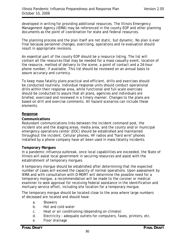developed in writing for providing additional resources. The Illinois Emergency Management Agency (IEMA) may be referenced in the county EOP and other planning documents as the point of coordination for state and federal resources.

The planning process and the plan itself are not static, but dynamic. No plan is ever final because personnel changes, exercising, operations and re-evaluation should result in appropriate revisions.

An essential part of the county EOP should be a resource listing. The list will contain all the resources that may be needed for a mass casualty event, location of the resource, method of delivery to the scene, a point of contact and a 24-hour phone number, if available. This list should be reviewed on an annual basis to assure accuracy and currency.

To keep mass fatality plans practical and efficient, drills and exercises should be conducted routinely. Individual response units should conduct operational drills within their response area, while functional and full-scale exercises should be conducted to assure that all plans, agencies and individuals are briefed, exercised and reviewed in a timely manner. Changes to the plans are based on drill and exercise comments. All hazard scenarios can include these elements.

#### **Response**

#### **Communications**

Redundant communications links between the incident command post, the incident site and the staging areas, media area, and the county and/or municipal emergency operations center (EOC) should be established and maintained throughout the incident. Cellular phones, HF radios and "hard wire" phones installed by a phone company have all been used in mass fatality incidents.

### **Temporary Morgues**

In a pandemic influenza outbreak, once local capabilities are exceeded, the State of Illinois will assist local government in securing resources and assist with the establishment of temporary morgues.

A temporary morgue should be established after determining that the expected number of cases will exceed the capacity of normal operations. Upon assessment by IEMA and with consultation with D-MORT will determine the possible need for a temporary morgue, a recommendation will be made to the coroner or medical examiner to seek approval for receiving federal assistance in the identification and mortuary service effort, including site location for a temporary morgue.

The temporary morgue should be located close to the area where large numbers of deceased are located and should have:

- a. Showers
- b. Hot and cold water
- c. Heat or air conditioning (depending on climate)
- d. Electricity adequate outlets for computers, faxes, printers, etc.
- e. Floor drainage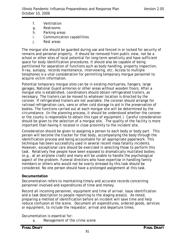- f. Ventilation
- g. Restrooms
- h. Parking areas
- i. Communication capabilities
- j. Rest areas

The morgue site should be guarded during use and fenced in or locked for security of remains and personal property. It should be removed from public view, not be a school or other sites of local potential for long-term sensitivity and have sufficient space for body identification procedures. It should also be capable of being partitioned for separation of functions such as body handling, property inspection, X-ray, autopsy, records maintenance, interviewing, etc. Access to multiple telephones is a vital consideration for permitting temporary morgue personnel to acquire victim information.

Potential temporary morgue sites can be in existing mortuaries, hangers, large garages, National Guard armories or other areas without wooden floors. After a morgue site is established, coordinators should obtain refrigerated trailers, as necessary. The trailers can be moved to whatever location is directed by the coroner. If refrigerated trailers are not available, the coroner should arrange for railroad refrigeration cars, vans or other cold storage to aid in the preservation of bodies. The functions carried out at each morgue site will be determined by the circumstance. (In the planning process, it should be understood whether the coroner or the county is responsible to obtain this type of equipment.) Careful consideration should be given to the selection of a morgue site. The quality of the facility is more important than having it located in close proximity to the incident site.

Consideration should be given to assigning a person to each body or body part. This person will become the tracker for that body, accompanying the body through the identification process and being accountable for all appropriate paperwork. This technique has been successfully used in several recent mass fatality incidents. However, exceptional care should be exercised in selecting those to perform this task. Relatively few people have been exposed to dramatically mutilated bodies (e.g., at an airplane crash) and many will be unable to handle the psychological aspect of the problem. Funeral directors who have expertise in handling family members or others who would not be overly stressed by this task should be considered. No one person should have a prolonged assignment at this task.

### **Documentation**

Documentation refers to maintaining timely and accurate records concerning personnel involved and expenditures of time and money.

Record all incoming personnel, equipment and time of arrival. Issue identification and a task description to people reporting to the staging area(s). As noted, preparing a method of identification before an incident will save time and help reduce confusion at the scene. Document all expenditures, ordered goods, services or equipment, to include the requestor, arrival and departure times.

Documentation is essential for:

a. Management of the crime scene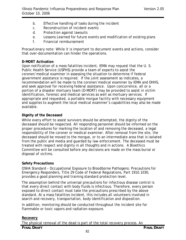- b. Effective handling of tasks during the incident
- c. Reconstruction of incident events
- d. Protection against lawsuits
- e. Lessons Learned for future events and modification of existing plans
- f. Financial reimbursement

*Precautionary note:* While it is important to document events and actions, consider that over-documentation can hinder the operations.

# **D-MORT Activation**

Upon notification of a mass fatalities incident, IEMA may request that the U. S. Public Health Service (USPHS) provide a team of experts to assist the coroner/medical examiner in assessing the situation to determine if federal government assistance is required. If the joint assessment so indicates, a recommendation will be made to the coroner/medical examiner by IEMA and DHHS, and seek approval for receiving federal assistance. Upon concurrence, all or a portion of a disaster mortuary team (D-MORT) may be provided to assist in victim identification, forensic and medical services as well as mortuary services. If appropriate and requested, a portable morgue facility with necessary equipment and supplies to augment the local medical examiner's capabilities may also be made available.

# **Dignity of the Deceased**

While every effort to assist survivors should be attempted, the dignity of the deceased should be respected. All responding personnel should be informed on the proper procedures for marking the location of and removing the deceased, a legal responsibility of the coroner or medical examiner. After removal from the site, the deceased should be moved to the morgue, or to an intermediate area that is isolated from the public and media and guarded by law enforcement. The deceased must be treated with respect and dignity in all thoughts and in actions. A Bioethics Committee will be consulted before any decisions are made on the mass burial or disposal of victims.

### **Safety Precautions**

OSHA Standard - Occupational Exposure to Bloodborne Pathogens: Precautions for Emergency Responders, Title 29 Code of Federal Regulations, Part 1910.1030, provides a good planning and training standard protection level.

The assumption behind the universal precautions for infectious disease control is that every direct contact with body fluids is infectious. Therefore, every person exposed to direct contact must take the precautions prescribed by the above standard. At a mass fatalities incident, this includes all volunteers involved in search and recovery, transportation, body identification and disposition.

In addition, monitoring should be conducted throughout the incident site for flammable or toxic vapors and radiation exposure.

### **Recovery**

The physical removal of the dead is part of the total recovery process. An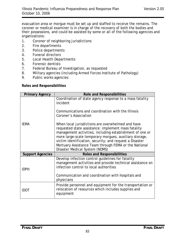evacuation area or morgue must be set up and staffed to receive the remains. The coroner or medical examiner is in charge of the recovery of both the bodies and their possessions, and could be assisted by some or all of the following agencies and organizations:

- 1. Coroner of neighboring jurisdictions
- 2. Fire departments
- 3. Police departments
- 4. Funeral directors
- 5. Local Health Departments
- 6. Forensic dentists
- 7. Federal Bureau of Investigation, as requested
- 8. Military agencies (including Armed Forces Institute of Pathology)
- 9. Public works agencies

#### **Roles and Responsibilities**

| <b>Primary Agency</b>   | <b>Role and Responsibilities</b>                                                                                                                                                                                                                                                                                                                                                     |
|-------------------------|--------------------------------------------------------------------------------------------------------------------------------------------------------------------------------------------------------------------------------------------------------------------------------------------------------------------------------------------------------------------------------------|
|                         | Coordination of state agency response to a mass fatality<br>incident                                                                                                                                                                                                                                                                                                                 |
|                         | Communications and coordination with the Illinois<br>Coroner's Association                                                                                                                                                                                                                                                                                                           |
| <b>IEMA</b>             | When local jurisdictions are overwhelmed and have<br>requested state assistance: implement mass fatality<br>management activities, including establishment of one or<br>more large-scale temporary morgues, auxiliary storage,<br>victim identification, security; and request a Disaster<br>Mortuary Assistance Team through FEMA or the National<br>Disaster Medical System (NDMS) |
| <b>Support Agencies</b> | <b>Roles and Responsibilities</b>                                                                                                                                                                                                                                                                                                                                                    |
| <b>IDPH</b>             | Develop infection control guidelines for fatality<br>management activities and provide technical assistance on<br>infection control to local authorities<br>Communication and coordination with hospitals and<br>physicians                                                                                                                                                          |
| <b>IDOT</b>             | Provide personnel and equipment for the transportation or<br>relocation of resources which includes supplies and<br>equipment                                                                                                                                                                                                                                                        |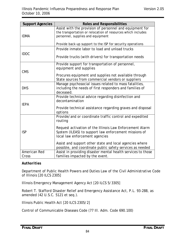| <b>Support Agencies</b> | <b>Roles and Responsibilities</b>                                                                                                                             |
|-------------------------|---------------------------------------------------------------------------------------------------------------------------------------------------------------|
| <b>IDMA</b>             | Assist with the provision of personnel and equipment for<br>the transportation or relocation of resources which includes<br>personnel, supplies and equipment |
|                         | Provide back-up support to the ISP for security operations                                                                                                    |
| <b>IDOC</b>             | Provide inmate labor to load and unload trucks                                                                                                                |
|                         | Provide trucks (with drivers) for transportation needs                                                                                                        |
| <b>CMS</b>              | Provide support for transportation of personnel,<br>equipment and supplies                                                                                    |
|                         | Procures equipment and supplies not available through<br>State sources from commercial vendors or suppliers                                                   |
| <b>DHS</b>              | Manage psychosocial issues related to mass fatalities,<br>including the needs of first responders and families of<br>deceased.                                |
| <b>IEPA</b>             | Provide technical advice regarding disinfection and<br>decontamination                                                                                        |
|                         | Provide technical assistance regarding graves and disposal<br>options                                                                                         |
|                         | Provide/and or coordinate traffic control and expedited<br>routing                                                                                            |
| <b>ISP</b>              | Request activation of the Illinois Law Enforcement Alarm<br>System (ILEAS) to support law enforcement missions of<br>local law enforcement agencies           |
|                         | Assist and support other state and local agencies where<br>possible, and coordinate public safety services as needed                                          |
| American Red            | Assist in providing disaster mental health services to those                                                                                                  |
| Cross                   | families impacted by the event.                                                                                                                               |

### *Authorities*

Department of Public Health Powers and Duties Law of the Civil Administrative Code of Illinois [20 ILCS 2305]

Illinois Emergency Management Agency Act [20 ILCS 5/3305]

Robert T. Stafford Disaster Relief and Emergency Assistance Act, P.L. 93-288, as amended (42 U.S.C. 5121 et seq.).

Illinois Public Health Act [20 ILCS 2305/2]

Control of Communicable Diseases Code (77 Ill. Adm. Code 690.100)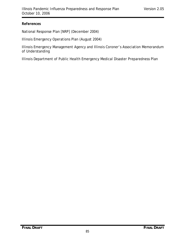# *References*

National Response Plan [NRP] (December 2004)

Illinois Emergency Operations Plan (August 2004)

Illinois Emergency Management Agency and Illinois Coroner's Association Memorandum of Understanding

Illinois Department of Public Health Emergency Medical Disaster Preparedness Plan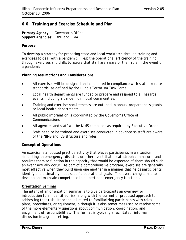# **6.0 Training and Exercise Schedule and Plan**

**Primary Agency:** Governor's Office **Support Agencies:** IDPH and IEMA

# *Purpose*

To develop a strategy for preparing state and local workforce through training and exercises to deal with a pandemic. Test the operational efficiency of the training through exercises and drills to assure that staff are aware of their role in the event of a pandemic.

# *Planning Assumptions and Considerations*

- All exercises will be designed and conducted in compliance with state exercise standards, as defined by the Illinois Terrorism Task Force.
- Local health departments are funded to prepare and respond to all hazards events including a pandemic in local communities.
- Training and exercise requirements are outlined in annual preparedness grants to local health departments.
- All public information is coordinated by the Governor's Office of Communications
- All agencies and staff will be NIMS compliant as required by Executive Order
- Staff need to be trained and exercises conducted in advance so staff are aware of the NIMS and ICS structure and roles

# *Concept of Operations*

An exercise is a focused practice activity that places participants in a situation simulating an emergency, disaster, or other event that is catastrophic in nature, and requires them to function in the capacity that would be expected of them should such an event actually occur. As part of a comprehensive program, exercises are generally most effective when they build upon one another in a manner that helps participants identify and ultimately meet specific operational goals. The overarching aim is to develop and maintain competence in all pertinent emergency functions.

### **Orientation Seminar**

The intent of an orientation seminar is to give participants an overview or introduction to an identified risk, along with the current or proposed approach to addressing that risk. Its scope is limited to familiarizing participants with roles, plans, procedures, or equipment, although it is also sometimes used to resolve some of the more elementary questions about communication, coordination, and assignment of responsibilities. The format is typically a facilitated, informal discussion in a group setting.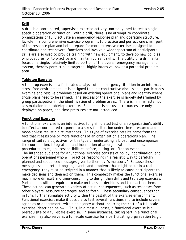# **Drill**

A drill is a coordinated, supervised exercise activity, normally used to test a single specific operation or function. With a drill, there is no attempt to coordinate organizations or fully activate an emergency response plan and operating structure. Its role in a comprehensive exercise program is to practice and perfect one small part of the response plan and help prepare for more extensive exercises designed to coordinate and test several functions and involve a wider spectrum of participants. Drills are also used to provide training with new equipment, to develop new policies or procedures, or to practice and maintain current skills. The utility of a drill is its focus on a single, relatively limited portion of the overall emergency management system, thereby permitting a targeted, highly intensive look at a potential problem area.

# **Tabletop Exercise**

A tabletop exercise is a facilitated analysis of an emergency situation in an informal, stress-free environment. It is designed to elicit constructive discussion as participants examine and resolve problems based on existing operational plans and identify where those plans need to be refined. The success of the exercise is largely determined by group participation in the identification of problem areas. There is minimal attempt at simulation in a tabletop exercise. Equipment is not used, resources are only deployed on paper, and time pressures are not introduced.

# **Functional Exercise**

A functional exercise is an interactive, fully-simulated test of an organization's ability to effect a coordinated response to a stressful situation under time-pressured and more-or-less realistic circumstances. This type of exercise gets its name from the fact that it tests one or more functions of an organization's operations plan. The range of suitable objectives for this type of undertaking is broad, and encompasses the coordination, integration, and interaction of an organization's policies, procedures, roles, and responsibilities before, during, or after an event. The intended audience for a functional exercise consists of policy, coordination, and operations personnel who will practice responding in a realistic way to carefully planned and sequenced messages given to them by "simulators." Because these messages should reflect ongoing events and problems that might occur in a real emergency, they must be scripted in a manner that is likely to cause participants to make decisions and then act on them. This complexity makes the functional exercise much more difficult and time-consuming to design than drills and tabletop exercises. Participants will be required to make on-the-spot decisions and then act on them. These actions can generate a variety of actual consequences, such as responses from other players, resource shortages, and so forth. These secondary consequences can, in turn, further stimulate activity within the gestalt of the exercise environment. Functional exercises make it possible to test several functions and to include several agencies or departments within an agency without incurring the cost of a full-scale exercise (described below). Thus, in almost all cases, a functional exercise is a prerequisite to a full-scale exercise. In some instances, taking part in a functional exercise may also serve as a full-scale exercise for a participating organization (e.g.,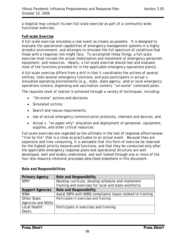a hospital may conduct its own full-scale exercise as part of a community-wide functional exercise).

### **Full-scale Exercise**

A full-scale exercise simulates a real event as closely as possible. It is designed to evaluate the operational capabilities of emergency management systems in a highly stressful environment, and attempts to simulate the full spectrum of conditions that those with a response role might face. To accomplish these things, a full-scale exercise must include the actual mobilization and movement of emergency personnel, equipment, and resources. Ideally, a full-scale exercise should test and evaluate most of the functions provided for in the applicable emergency operations plan(s).

A full-scale exercise differs from a drill in that it coordinates the actions of several entities, tests several emergency functions, and puts participants in actual v. simulated operating environments (e.g., state, state agency, and/or local emergency operations centers; dispensing and vaccination centers; "on-scene" command posts.

The requisite level of realism is achieved through a variety of techniques, including:

- "On-scene" actions and decisions;
- Simulated victims:
- Search and rescue requirements;
- Use of actual emergency communication protocols, channels and devices; and
- Actual v. "on paper only" allocation and deployment of personnel, equipment, supplies, and other critical resources.

Full-scale exercises are regarded as the ultimate in the test of response effectiveness "trial by fire" that is a close as practicable to an actual event. Because they are expensive and time consuming, it is advisable that this form of exercise be reserved for the highest priority hazards and functions, and that they be conducted only after the applicable emergency response plans and operational structure are well developed, well and widely understood, and well tested through one or more of the four less resource-intensive processes described elsewhere in this document.

| <b>Primary Agency</b>   | Role and Responsibility                                     |
|-------------------------|-------------------------------------------------------------|
| <b>IDPH</b>             | Develop curricula, develop schedule and implement           |
|                         | training and exercises for local and state workforce        |
| <b>Support Agencies</b> | <b>Role and Responsibility</b>                              |
| <b>IEMA</b>             | Assist IDPH with NIMS compliance issues related to training |
| <b>Other State</b>      | Participate in exercises and training.                      |
| Agencies and NGOs       |                                                             |
| Local Health            | Participate in exercises and training.                      |
| Depts.                  |                                                             |

#### *Role and Responsibilities*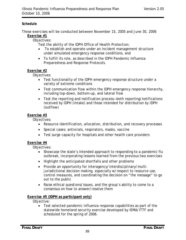# *Schedule*

These exercises will be conducted between November 15, 2005 and June 30, 2006

**Exercise #1**

Objectives:

Test the ability of the IDPH Office of Health Protection:

- To establish and operate under an incident management structure under simulated emergency response conditions, and
- To fulfill its role, as described in the IDPH Pandemic Influenza Preparedness and Response Protocols.

# **Exercise #2**

Objectives:

- Test functionality of the IDPH emergency response structure under a variety of extreme conditions
- Test communication flow within the IDPH emergency response hierarchy, including top-down, bottom-up, and lateral flow
- Test the reporting and notification process—both reporting/notifications received by IDPH (intake) and those intended for distribution by IDPH (outflow)

# **Exercise #3**

Objectives:

- Resource identification, allocation, distribution, and recovery processes
- Special cases: antivirals, respirators, masks, vaccine
- Test surge capacity for hospitals and other health care providers

# **Exercise #4**

Objectives:

- Showcase the state's intended approach to responding to a pandemic flu outbreak, incorporating lessons learned from the previous two exercises
- Highlight the anticipated shortfalls and other problems
- Provide an opportunity for interagency/interdisciplinary/multijurisdictional decision making, especially w/respect to resource use, control measures, and coordinating the decision on "the message" to go out to the public
- Raise ethical questions/issues, and the group's ability to come to a consensus on how to answer/resolve them

# **Exercise #5 (IDPH as participant only)**

Objective:

• Test selected pandemic influenza response capabilities as part of the statewide homeland security exercise developed by IEMA/ITTF and scheduled for the spring of 2006.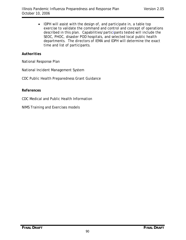• IDPH will assist with the design of, and participate in, a table top exercise to validate the command and control and concept of operations described in this plan. Capabilities/participants tested will include the SEOC, PHOC, disaster POD hospitals, and selected local public health departments. The directors of IEMA and IDPH will determine the exact time and list of participants.

## *Authorities*

National Response Plan

National Incident Management System

CDC Public Health Preparedness Grant Guidance

### *References*

CDC Medical and Public Health Information

NIMS Training and Exercises models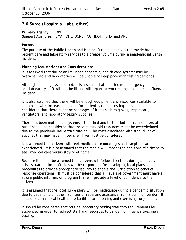# **7.0 Surge (Hospitals, Labs, other)**

**Primary Agency:** IDPH **Support Agencies:** IEMA, IDHS, DCMS, ING, IDOT, IDHS, and ARC

### *Purpose*

The purpose of the Public Health and Medical Surge appendix is to provide basic patient care and laboratory services to a greater volume during a pandemic influenza incident.

# *Planning Assumptions and Considerations*

It is assumed that during an influenza pandemic, health care systems may be overwhelmed and laboratories will be unable to keep pace with testing demands.

Although planning has occurred, it is assumed that health care, emergency medical and laboratory staff will not be ill and will report to work during a pandemic influenza incident.

It is also assumed that there will be enough equipment and resources available to keep pace with increased demand for patient care and testing. It should be considered that there might be shortages of items such as gloves, respirators, ventilators, and laboratory testing supplies.

There has been mutual-aid systems established and tested, both intra and interstate, but it should be considered that these mutual aid resources might be overwhelmed due to the pandemic influenza situation. The costs associated with stockpiling of supplies that may have limited shelf lives must be considered.

It is assumed that citizens will seek medical care once signs and symptoms are experienced. It is also assumed that the media will impact the decisions of citizens to seek medical care versus staying at home.

Because it cannot be assumed that citizens will follow directions during a perceived crisis situation, local officials will be responsible for developing local plans and procedures to provide appropriate security to enable the jurisdiction to conduct response operations. It must be considered that all levels of government must have a strong public information program that will provide a level of confidence to the citizens.

It is assumed that the local surge plans will be inadequate during a pandemic situation due to depending on other facilities or receiving assistance from a common vendor. It is assumed that local health care facilities are creating and exercising surge plans.

It should be considered that routine laboratory testing statutory requirements be suspended in order to redirect staff and resources to pandemic influenza specimen testing.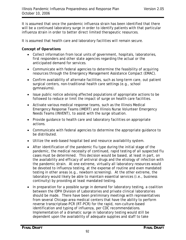It is assumed that once the pandemic influenza strain has been identified that there will be a continued laboratory surge in order to identify patients with that particular influenza strain in order to better direct limited therapeutic resources.

It is assumed that health care and laboratory facilities will remain secure.

# *Concept of Operations*

- Collect information from local units of government, hospitals, laboratories, first responders and other state agencies regarding the actual or the anticipated demand for services.
- Communicate with federal agencies to determine the feasibility of acquiring resources through the Emergency Management Assistance Compact (EMAC).
- Confirm availability of alternate facilities, such as long-term care, out patient surgical centers, non-traditional health care settings (e.g., school gymnasiums).
- Issue public notice advising affected populations of appropriate actions to be followed to reduce or limit the impact of surge on health care facilities.
- Activate various medical response teams, such as the Illinois Medical Emergency Response Teams (IMERT) and Illinois Nurse Volunteer Emergency Needs Teams (INVENT), to assist with the surge situation.
- Provide guidance to health care and laboratory facilities on appropriate actions.
- Communicate with federal agencies to determine the appropriate guidance to be distributed.
- Utilize the web-based hospital bed and resource availability system.
- After identification of the pandemic flu type during the initial stage of the pandemic, the medical necessity of continued, rapid testing of all suspected flu cases must be determined. This decision would be based, at least in part, on the availability and efficacy of antiviral drugs and the etiology of infection with the pandemic strain. At one extreme, virtually all laboratory resources would be devoted to influenza testing, at the expense of routine and even mandated testing in other areas (e.g., newborn screening). At the other extreme, the laboratory would likely be able to maintain essential services (i.e., business continuity) by providing at least mandated testing.
- In preparation for a possible surge in demand for laboratory testing, a coalition between the IDPH Division of Laboratories and private clinical laboratories should be made. There have been preliminary meetings with representatives from several Chicago-area medical centers that have the ability to perform reverse transcriptase-PCR (RT-PCR) for the rapid, non-culture-based identification and typing of influenza, per CDC recommendations. Implementation of a dramatic surge in laboratory testing would still be dependent upon the availability of adequate supplies and staff to take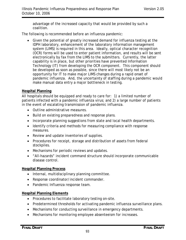advantage of the increased capacity that would be provided by such a coalition.

The following is recommended before an influenza pandemic:

• Given the potential of greatly increased demand for influenza testing at the IDPH laboratory, enhancement of the laboratory information management system (LIMS) is required in this area. Ideally, optical character recognition (OCR) forms will be used to enter patient information, and results will be sent electronically by fax from the LIMS to the submitters. Currently, the latter capability is in place, but other priorities have prevented Information Technology (IT) from developing the OCR component. This component should be developed as soon as possible, since there will most likely not be an opportunity for IT to make major LIMS changes during a rapid onset of pandemic influenza. And, the uncertainty of staffing during a pandemic would make manual data entry a major bottleneck in testing.

# **Hospital Planning**

All hospitals should be equipped and ready to care for: 1) a limited number of patients infected with a pandemic influenza virus; and 2) a large number of patients in the event of escalating transmission of pandemic influenza.

- Outline administrative measures.
- Build on existing preparedness and response plans.
- Incorporate planning suggestions from state and local health departments.
- Identify criteria and methods for measuring compliance with response measures.
- Review and update inventories of supplies.
- Procedures for receipt, storage and distribution of assets from federal stockpiles.
- Mechanisms for periodic reviews and updates.
- "All-hazards" incident command structure should incorporate communicable disease control.

### **Hospital Planning Process**

- Internal, multidisciplinary planning committee.
- Response coordinator/incident commander.
- Pandemic Influenza response team.

# **Hospital Planning Elements**

- Procedures to facilitate laboratory testing on-site.
- Predetermined thresholds for activating pandemic influenza surveillance plans.
- Mechanisms for conducting surveillance in emergency departments.
- Mechanisms for monitoring employee absenteeism for increases.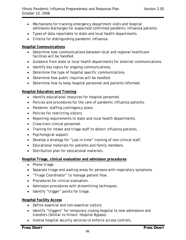- Mechanisms for tracking emergency department visits and hospital admission/discharges for suspected/confirmed pandemic influenza patients.
- Types of data reportable to state and local health departments.
- Criteria for distinguishing pandemic influenza.

# **Hospital Communications**

- Determine how communications between local and regional healthcare facilities will be handled.
- Guidance from state or local health departments for external communications.
- Identify key topics for ongoing communications.
- Determine the type of hospital specific communications.
- Determine how public inquiries will be handled.
- Determine how to keep hospital personnel and patients informed.

# **Hospital Education and Training**

- Identify educational resources for hospital personnel.
- Policies and procedures for the care of pandemic influenza patients.
- Pandemic staffing contingency plans.
- Policies for restricting visitors.
- Reporting requirements to state and local health departments.
- Cross-train clinical personnel.
- Training for intake and triage staff to detect influenza patients.
- Psychological support.
- Develop a strategy for "just-in-time" training of non-clinical staff.
- Educational materials for patients and family members.
- Distribution plan for educational materials.

# **Hospital Triage, clinical evaluation and admission procedures**

- Phone triage.
- Separate triage and waiting areas for persons with respiratory symptoms.
- "Triage Coordinator" to manage patient flow.
- Procedures for clinical evaluation.
- Admission procedures with streamlining techniques.
- Identify "trigger" points for triage.

# **Hospital Facility Access**

- Define essential and non-essential visitors.
- Identify "triggers" for temporary closing hospital to new admissions and transfers (Similar to Illinois' Hospital Bypass).
- Involve hospital security services to enforce access controls.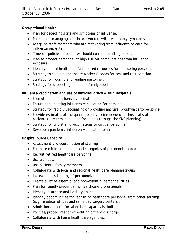# **Occupational Health**

- Plan for detecting signs and symptoms of influenza.
- Policies for managing healthcare workers with respiratory symptoms.
- Assigning staff members who are recovering from influenza to care for influenza patients.
- Time-off policies/procedures should consider staffing needs.
- Plan to protect personnel at high risk for complications from influenza exposure.
- Identify mental health and faith-based resources for counseling personnel.
- Strategy to support healthcare workers' needs for rest and recuperation.
- Strategy for housing and feeding personnel.
- Strategy for supporting personnel family needs.

### **Influenza vaccination and use of antiviral drugs within Hospitals**

- Promote annual influenza vaccination.
- Ensure documenting influenza vaccination for personnel.
- Strategy for rapidly vaccinating or providing antiviral prophylaxis to personnel.
- Provide estimates of the quantities of vaccine needed for hospital staff and patients (a system is in place for Illinois through the SNS planning).
- Strategy for prioritizing vaccinations to critical personnel.
- Develop a pandemic influenza vaccination plan.

### **Hospital Surge Capacity**

- Assessment and coordination of staffing.
- Estimate minimum number and categories of personnel needed.
- Recruit retired healthcare personnel.
- Use trainees.
- Use patients' family members.
- Collaborate with local and regional healthcare planning groups.
- Increase cross-training of personnel.
- Create a list of essential and non-essential personnel titles.
- Plan for rapidly credentialing healthcare professionals.
- Identify insurance and liability issues.
- Identify opportunities for recruiting healthcare personnel from other settings (e.g., medical offices and same day surgery centers).
- Admissions criteria for when bed capacity is limited.
- Policies/procedures for expediting patient discharge.
- Collaborate with home healthcare agencies.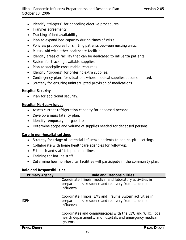- Identify "triggers" for canceling elective procedures.
- Transfer agreements.
- Tracking of bed availability.
- Plan to expand bed capacity during times of crisis.
- Policies/procedures for shifting patients between nursing units.
- Mutual Aid with other healthcare facilities.
- Identify areas of facility that can be dedicated to influenza patients.
- System for tracking available supplies.
- Plan to stockpile consumable resources.
- Identify "triggers" for ordering extra supplies.
- Contingency plans for situations where medical supplies become limited.
- Strategy for ensuring uninterrupted provision of medications.

# **Hospital Security**

• Plan for additional security.

# **Hospital Mortuary Issues**

- Assess current refrigeration capacity for deceased persons.
- Develop a mass fatality plan.
- Identify temporary morgue sites.
- Determine scope and volume of supplies needed for deceased persons.

### **Care in non-hospital settings**

- Strategy for triage of potential influenza patients to non-hospital settings.
- Collaborate with home healthcare agencies for follow-up.
- Establish and staff telephone hotlines.
- Training for hotline staff.
- Determine how non-hospital facilities will participate in the community plan.

# *Role and Responsibilities*

| <b>Primary Agency</b> | <b>Role and Responsibilities</b>                                                                                                |  |
|-----------------------|---------------------------------------------------------------------------------------------------------------------------------|--|
|                       | Coordinate Illinois' medical and laboratory activities in<br>preparedness, response and recovery from pandemic<br>influenza.    |  |
| <b>IDPH</b>           | Coordinate Illinois' EMS and Trauma System activities in<br>preparedness, response and recovery from pandemic<br>influenza.     |  |
|                       | Coordinates and communicates with the CDC and WHO, local<br>health departments, and hospitals and emergency medical<br>systems. |  |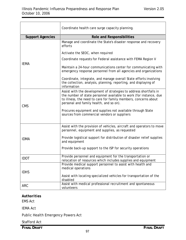|                         | Coordinate health care surge capacity planning.                                                                                                                                                                                                                                                                                                                                                                                                                                 |  |
|-------------------------|---------------------------------------------------------------------------------------------------------------------------------------------------------------------------------------------------------------------------------------------------------------------------------------------------------------------------------------------------------------------------------------------------------------------------------------------------------------------------------|--|
| <b>Support Agencies</b> | <b>Role and Responsibilities</b>                                                                                                                                                                                                                                                                                                                                                                                                                                                |  |
| <b>IEMA</b>             | Manage and coordinate the State's disaster response and recovery<br>efforts<br>Activate the SEOC, when required<br>Coordinate requests for Federal assistance with FEMA Region V<br>Maintain a 24-hour communications center for communicating with<br>emergency response personnel from all agencies and organizations<br>Coordinate, integrate, and manage overall State efforts involving<br>the collection, analysis, planning, reporting, and displaying of<br>information |  |
| <b>CMS</b>              | Assist with the development of strategies to address shortfalls in<br>the number of state personnel available to work (for instance, due<br>to illness, the need to care for family members, concerns about<br>personal and family health, and so on).<br>Procures equipment and supplies not available through State<br>sources from commercial vendors or suppliers                                                                                                           |  |
| <b>IDMA</b>             | Assist with the provision of vehicles, aircraft and operators to move<br>personnel, equipment and supplies, as requested<br>Provide logistical support for distribution of disaster relief supplies<br>and equipment<br>Provide back-up support to the ISP for security operations                                                                                                                                                                                              |  |
| <b>IDOT</b>             | Provide personnel and equipment for the transportation or<br>relocation of resources which includes supplies and equipment                                                                                                                                                                                                                                                                                                                                                      |  |
| <b>IDHS</b>             | Provide medical support personnel to assist with health and<br>medical operations<br>Assist with locating specialized vehicles for transportation of the<br>disabled                                                                                                                                                                                                                                                                                                            |  |
| <b>ARC</b>              | Assist with medical professional recruitment and spontaneous<br>volunteers                                                                                                                                                                                                                                                                                                                                                                                                      |  |

# *Authorities*

EMS Act

IEMA Act

Public Health Emergency Powers Act

Stafford Act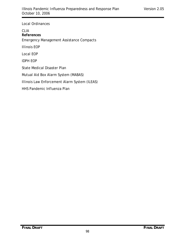Local Ordinances CLIA *References*  Emergency Management Assistance Compacts Illinois EOP Local EOP IDPH EOP State Medical Disaster Plan Mutual Aid Box Alarm System (MABAS) Illinois Law Enforcement Alarm System (ILEAS)

HHS Pandemic Influenza Plan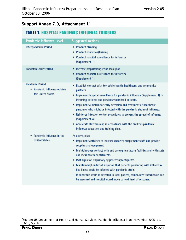# **Support Annex 7.0, Attachment 1<sup>4</sup>**

# **TABLE 1. HOSPITAL PANDEMIC INFLUENZA TRIGGERS**

| Pandemic Influenza Level                                                  | <b>Suggested Actions</b>                                                                                                                                                                                                                                                                                                                                                                                                                                                                                                                                                                       |
|---------------------------------------------------------------------------|------------------------------------------------------------------------------------------------------------------------------------------------------------------------------------------------------------------------------------------------------------------------------------------------------------------------------------------------------------------------------------------------------------------------------------------------------------------------------------------------------------------------------------------------------------------------------------------------|
| Interpandemic Period                                                      | • Conduct planning<br>• Conduct education/training<br>. Conduct hospital surveillance for influenza<br>(Supplement 1)                                                                                                                                                                                                                                                                                                                                                                                                                                                                          |
| <b>Pandemic Alert Period</b>                                              | Increase preparation; refine local plan<br>٠<br>. Conduct hospital surveillance for influenza<br>(Supplement 1)                                                                                                                                                                                                                                                                                                                                                                                                                                                                                |
| <b>Pandemic Period</b><br>Pandemic influenza outside<br>the United States | Establish contact with key public health, healthcare, and community<br>٠<br>partners.<br>Implement hospital surveillance for pandemic influenza (Supplement 1) in<br>incoming patients and previously admitted patients.<br>Implement a system for early detection and treatment of healthcare<br>personnel who might be infected with the pandemic strain of influenza.<br>• Reinforce infection control procedures to prevent the spread of influenza<br>(Supplement 4).<br>• Accelerate staff training in accordance with the facility's pandemic<br>influenza education and training plan. |
| Pandemic influenza in the<br>٠<br><b>United States</b>                    | As above, plus:<br>Implement activities to increase capacity, supplement staff, and provide<br>supplies and equipment.<br>Maintain close contact with and among healthcare facilities and with state<br>٠<br>and local health departments.<br>• Post signs for respiratory hygiene/cough etiquette.<br>Maintain high index of suspicion that patients presenting with influenza-<br>like illness could be infected with pandemic strain.<br>If pandemic strain is detected in local patient, community transmission can<br>be assumed and hospital would move to next level of response.       |

 4 Source: US Department of Health and Human Services. Pandemic Influenza Plan: November 2005; pp. S3-18, S3-19.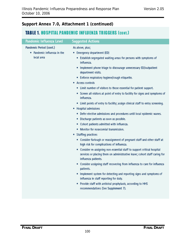# TABLE 1. HOSPITAL PANDEMIC INFLUENZA TRIGGERS [CONT.]

| Pandemic Period (cont.)<br>As above, plus;<br>• Pandemic influenza in the<br>• Emergency department (ED)<br>local area<br>. Establish segregated waiting areas for persons with symptoms of<br>influenza.<br>Implement phone triage to discourage unnecessary ED/outpatient<br>department visits.<br>. Enforce respiratory hygiene/cough etiquette.                                                                                                                                                                                                                                                                                                                                                                                                                                                                                                                                                                                                                                                                                                          |
|--------------------------------------------------------------------------------------------------------------------------------------------------------------------------------------------------------------------------------------------------------------------------------------------------------------------------------------------------------------------------------------------------------------------------------------------------------------------------------------------------------------------------------------------------------------------------------------------------------------------------------------------------------------------------------------------------------------------------------------------------------------------------------------------------------------------------------------------------------------------------------------------------------------------------------------------------------------------------------------------------------------------------------------------------------------|
| • Access controls<br>. Limit number of visitors to those essential for patient support.<br>. Screen all visitors at point of entry to facility for signs and symptoms of<br>influenza.<br>. Limit points of entry to facility; assign clinical staff to entry screening.<br>• Hospital admissions<br>. Defer elective admissions and procedures until local epidemic wanes.<br>. Discharge patients as soon as possible.<br>• Cohort patients admitted with influenza.<br>. Monitor for nosocomial transmission.<br>• Staffing practices<br>• Consider furlough or reassignment of pregnant staff and other staff at<br>high risk for complications of influenza.<br>Consider re-assigning non-essential staff to support critical hospital<br>services or placing them on administrative leave; cohort staff caring for<br>influenza patients.<br>. Consider assigning staff recovering from influenza to care for influenza<br>patients.<br>. Implement system for detecting and reporting signs and symptoms of<br>influenza in staff reporting for duty. |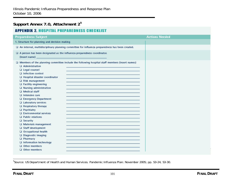# **Support Annex 7.0, Attachment 2<sup>5</sup>**

# **APPENDIX 2. HOSPITAL PREPAREDNESS CHECKLIST**

| <b>Preparedness Subject</b>                                                                                                                                                                                                                                                                                                                                                                                                                                                                                                                                                                                                                                                                                                                                             | <b>Actions Needed</b> |
|-------------------------------------------------------------------------------------------------------------------------------------------------------------------------------------------------------------------------------------------------------------------------------------------------------------------------------------------------------------------------------------------------------------------------------------------------------------------------------------------------------------------------------------------------------------------------------------------------------------------------------------------------------------------------------------------------------------------------------------------------------------------------|-----------------------|
| 1. Structure for planning and decision making                                                                                                                                                                                                                                                                                                                                                                                                                                                                                                                                                                                                                                                                                                                           |                       |
| □ An internal, multidisciplinary planning committee for influenza preparedness has been created.                                                                                                                                                                                                                                                                                                                                                                                                                                                                                                                                                                                                                                                                        |                       |
| □ A person has been designated as the influenza preparedness coordinator.<br>(Insert name) _                                                                                                                                                                                                                                                                                                                                                                                                                                                                                                                                                                                                                                                                            |                       |
| [insert names] In Members of the planning committee include the following hospital staff members (insert names<br>□ Administration<br>Legal counsel<br>Infection control<br>Hospital disaster coordinator<br>□ Risk management<br>□ Facility engineering<br>□ Nursing administration<br>O Medical staff<br>$\Box$ Intensive care<br>□ Emergency Department<br>Laboratory services<br>□ Respiratory therapy<br><b>D</b> Psychiatry<br>□ Environmental services<br><b>Q</b> Public relations<br><b>Q</b> Security<br>Materials management<br>□ Staff development<br>Occupational health<br>□ Diagnostic imaging<br><b>D</b> Pharmacy<br>□ Information technology<br><u> 1989 - Andrea Stadt Britain, amerikansk politiker (d. 1989)</u><br>Other members<br>Other members |                       |
|                                                                                                                                                                                                                                                                                                                                                                                                                                                                                                                                                                                                                                                                                                                                                                         |                       |

<sup>5</sup>Source: US Department of Health and Human Services. Pandemic Influenza Plan: November 2005; pp. S3-24, S3-30.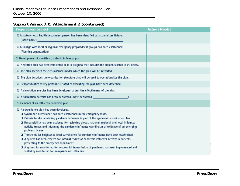| <b>Preparedness Subject</b>                                                                                                                                                                                                                                                                                                                                                                                                                                                                                                                                                                                                                                                                                                                                                                                   | <b>Actions Needed</b> |
|---------------------------------------------------------------------------------------------------------------------------------------------------------------------------------------------------------------------------------------------------------------------------------------------------------------------------------------------------------------------------------------------------------------------------------------------------------------------------------------------------------------------------------------------------------------------------------------------------------------------------------------------------------------------------------------------------------------------------------------------------------------------------------------------------------------|-----------------------|
| □ A state or local health department person has been identified as a committee liaison.<br>(Insert name) <b>Example 2008</b> The Contract of the Contract of the Contract of the Contract of the Contract of the Contract of the Contract of the Contract of the Contract of the Contract of the Contract of the Contract of t                                                                                                                                                                                                                                                                                                                                                                                                                                                                                |                       |
| Li A linkage with local or regional emergency preparedness groups has been established                                                                                                                                                                                                                                                                                                                                                                                                                                                                                                                                                                                                                                                                                                                        |                       |
| 2. Development of a written pandemic influenza plan                                                                                                                                                                                                                                                                                                                                                                                                                                                                                                                                                                                                                                                                                                                                                           |                       |
| □ A written plan has been completed or is in progress that includes the elements listed in #3 below.                                                                                                                                                                                                                                                                                                                                                                                                                                                                                                                                                                                                                                                                                                          |                       |
| □ The plan specifies the circumstances under which the plan will be activated.                                                                                                                                                                                                                                                                                                                                                                                                                                                                                                                                                                                                                                                                                                                                |                       |
| □ The plan describes the organization structure that will be used to operationalize the plan.                                                                                                                                                                                                                                                                                                                                                                                                                                                                                                                                                                                                                                                                                                                 |                       |
| □ Responsibilities of key personnel related to executing the plan have been described.                                                                                                                                                                                                                                                                                                                                                                                                                                                                                                                                                                                                                                                                                                                        |                       |
| □ A simulation exercise has been developed to test the effectiveness of the plan.                                                                                                                                                                                                                                                                                                                                                                                                                                                                                                                                                                                                                                                                                                                             |                       |
| Q A simulation exercise has been performed. (Date performed _____________________                                                                                                                                                                                                                                                                                                                                                                                                                                                                                                                                                                                                                                                                                                                             |                       |
| 3. Elements of an influenza pandemic plan                                                                                                                                                                                                                                                                                                                                                                                                                                                                                                                                                                                                                                                                                                                                                                     |                       |
| □ A surveillance plan has been developed.<br>□ Syndromic surveillance has been established in the emergency room.<br>O Criteria for distinguishing pandemic influenza is part of the syndromic surveillance plan.<br>□ Responsibility has been assigned for reviewing global, national, regional, and local influenza<br>activity trends and informing the pandemic influenza coordinator of evidence of an emerging<br>□ Thresholds for heightened local surveillance for pandemic influenza have been established.<br>□ A system has been created for internal review of pandemic influenza activity in patients<br>presenting to the emergency department.<br>A system for monitoring for nosocomial transmission of pandemic has been implemented and<br>tested by monitoring for non-pandemic influenza. |                       |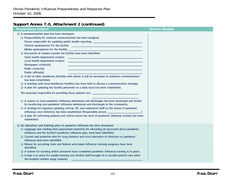| <b>Preparedness Subject</b>                                                                                                                                                                                                                       | <b>Actions Needed</b> |
|---------------------------------------------------------------------------------------------------------------------------------------------------------------------------------------------------------------------------------------------------|-----------------------|
| □ A communication plan has been developed.                                                                                                                                                                                                        |                       |
| □ Responsibility for external communication has been assigned.                                                                                                                                                                                    |                       |
| Person responsible for updating public health reporting _________________________                                                                                                                                                                 |                       |
|                                                                                                                                                                                                                                                   |                       |
| Media spokesperson for the facility the state of the state of the state of the state of the state of                                                                                                                                              |                       |
| □ Key points of contact outside the facility have been identified.                                                                                                                                                                                |                       |
| State health department contact<br><u> 1989 - Andrea Stadt Britain, amerikansk politiker (</u>                                                                                                                                                    |                       |
| Local health department contact                                                                                                                                                                                                                   |                       |
| Newspaper contact(s)                                                                                                                                                                                                                              |                       |
| Radio contact(s)<br>the control of the control of the control of the control of the control of the control of the control of the control of the control of the control of the control of the control of the control of the control of the control |                       |
| Public official(s)                                                                                                                                                                                                                                |                       |
| A list of other healthcare facilities with whom it will be necessary to maintain communication                                                                                                                                                    |                       |
| has been established.                                                                                                                                                                                                                             |                       |
| □ A meeting with local healthcare facilities has been held to discuss a communication strategy.                                                                                                                                                   |                       |
| □ A plan for updating key facility personnel on a daily basis has been established.                                                                                                                                                               |                       |
|                                                                                                                                                                                                                                                   |                       |
|                                                                                                                                                                                                                                                   |                       |
| □ A system to track pandemic influenza admissions and discharges has been developed and tested                                                                                                                                                    |                       |
| by monitoring non-pandemic influenza admissions and discharges in the community.                                                                                                                                                                  |                       |
| A strategy for regularly updating clinical, ED, and outpatient staff on the status of pandemic                                                                                                                                                    |                       |
| influenza, once detected, has been established. (Responsible person _______________________________                                                                                                                                               |                       |
| A plan for informing patients and visitors about the level of pandemic influenza activity has been                                                                                                                                                |                       |
| established.                                                                                                                                                                                                                                      |                       |
| □ An education and training plan on pandemic influenza has been developed.                                                                                                                                                                        |                       |
| Language and reading level-appropriate materials for educating all personnel about pandemic                                                                                                                                                       |                       |
| influenza and the facility's pandemic influenza plan, have been identified.                                                                                                                                                                       |                       |
| $\Box$ Current and potential sites for long-distance and local education of clinicians on pandemic                                                                                                                                                |                       |
| influenza have been identified.                                                                                                                                                                                                                   |                       |
| □ Means for accessing state and federal web-based influenza training programs have been                                                                                                                                                           |                       |
| identified.                                                                                                                                                                                                                                       |                       |
| □ A system for tracking which personnel have completed pandemic influenza training is in place.                                                                                                                                                   |                       |
| A plan is in place for rapidly training non-facility staff brought in to provide patient care when                                                                                                                                                |                       |
|                                                                                                                                                                                                                                                   |                       |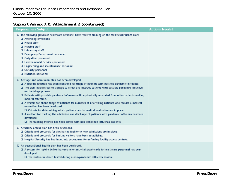| <b>Preparedness Subject</b>                                                                                                                                                                                                                                                                                                                                                                                                                                                                                                                                                                                                                                                                                                                                                                                                                                 | <b>Actions Needed</b> |
|-------------------------------------------------------------------------------------------------------------------------------------------------------------------------------------------------------------------------------------------------------------------------------------------------------------------------------------------------------------------------------------------------------------------------------------------------------------------------------------------------------------------------------------------------------------------------------------------------------------------------------------------------------------------------------------------------------------------------------------------------------------------------------------------------------------------------------------------------------------|-----------------------|
| □ The following groups of healthcare personnel have received training on the facility's influenza plan:<br>Attending physicians<br>□ House staff<br>□ Nursing staff<br>□ Laboratory staff<br>□ Emergency Department personnel<br>Outpatient personnel<br>□ Environmental Services personnel<br>□ Engineering and maintenance personnel<br>G Security personnel<br>□ Nutrition personnel                                                                                                                                                                                                                                                                                                                                                                                                                                                                     |                       |
| □ A triage and admission plan has been developed.<br>A specific location has been identified for triage of patients with possible pandemic influenza.<br>The plan includes use of signage to direct and instruct patients with possible pandemic influenza<br>on the triage process.<br>□ Patients with possible pandemic influenza will be physically separated from other patients seeking<br>medical attention.<br>$\Box$ A system for phone triage of patients for purposes of prioritizing patients who require a medical<br>evaluation has been developed.<br>□ Criteria for determining which patients need a medical evaluation are in place.<br>$\Box$ A method for tracking the admission and discharge of patients with pandemic influenza has been<br>developed.<br>□ The tracking method has been tested with non-pandemic influenza patients. |                       |
| □ A facility access plan has been developed.<br>□ Criteria and protocols for closing the facility to new admissions are in place.<br>□ Criteria and protocols for limiting visitors have been established.<br>□ Hospital Security has had input into procedures for enforcing facility access controls.                                                                                                                                                                                                                                                                                                                                                                                                                                                                                                                                                     |                       |
| □ An occupational health plan has been developed.<br>A system for rapidly delivering vaccine or antiviral prophylaxis to healthcare personnel has been<br>developed.<br>□ The system has been tested during a non-pandemic influenza season.                                                                                                                                                                                                                                                                                                                                                                                                                                                                                                                                                                                                                |                       |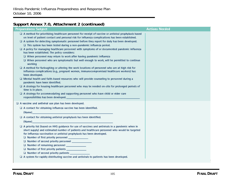| <b>Preparedness Subject</b>                                                                                                                                                                                                                                                                                                                                                                                                                                                                                                                                                                                                                                                                                                                                                                                                                                                                                                                                                                                                                                                                                                                                                                                                                                                          | <b>Actions Needed</b> |
|--------------------------------------------------------------------------------------------------------------------------------------------------------------------------------------------------------------------------------------------------------------------------------------------------------------------------------------------------------------------------------------------------------------------------------------------------------------------------------------------------------------------------------------------------------------------------------------------------------------------------------------------------------------------------------------------------------------------------------------------------------------------------------------------------------------------------------------------------------------------------------------------------------------------------------------------------------------------------------------------------------------------------------------------------------------------------------------------------------------------------------------------------------------------------------------------------------------------------------------------------------------------------------------|-----------------------|
| A method for prioritizing healthcare personnel for receipt of vaccine or antiviral prophylaxis based<br>on level of patient contact and personal risk for influenza complications has been established.<br>□ A system for detecting symptomatic personnel before they report for duty has been developed.<br>□ This system has been tested during a non-pandemic influenza period.<br>□ A policy for managing healthcare personnel with symptoms of or documented pandemic influenza<br>has been established. The policy considers:<br>□ When personnel may return to work after having pandemic influenza<br>U When personnel who are symptomatic but well enough to work, will be permitted to continue<br>working<br>A method for furloughing or altering the work locations of personnel who are at high risk for<br>influenza complications (e.g., pregnant women, immunocompromised healthcare workers) has<br>been developed.<br>O Mental health and faith-based resources who will provide counseling to personnel during a<br>pandemic have been identified.<br>A strategy for housing healthcare personnel who may be needed on-site for prolonged periods of<br>time is in place.<br>□ A strategy for accommodating and supporting personnel who have child or elder care |                       |
| responsibilities has been developed.                                                                                                                                                                                                                                                                                                                                                                                                                                                                                                                                                                                                                                                                                                                                                                                                                                                                                                                                                                                                                                                                                                                                                                                                                                                 |                       |
| □ A vaccine and antiviral use plan has been developed.<br>□ A contact for obtaining influenza vaccine has been identified.<br>(Name) and the contract of the contract of the contract of the contract of the contract of the contract of the<br>□ A contact for obtaining antiviral prophylaxis has been identified.<br><u> 1989 - Johann Barn, mars an t-Amerikaansk kommunister (</u><br>(Name)<br>A priority list (based on HHS guidance for use of vaccines and antivirals in a pandemic when in<br>short supply) and estimated number of patients and healthcare personnel who would be targeted<br>for influenza vaccination or antiviral prophylaxis has been developed.<br>□ Number of first priority personnel _____________<br>U Number of remaining personnel ______________<br>U Number of first priority patients _____________<br>U Number of second priority patients __________<br>□ A system for rapidly distributing vaccine and antivirals to patients has been developed.                                                                                                                                                                                                                                                                                        |                       |
|                                                                                                                                                                                                                                                                                                                                                                                                                                                                                                                                                                                                                                                                                                                                                                                                                                                                                                                                                                                                                                                                                                                                                                                                                                                                                      |                       |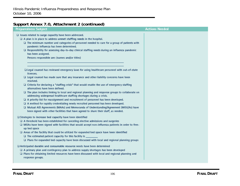| Preparedness Subject                                                                                                                                                                                                                                                                                                                                                                                                                                                                                                                                                                                                                                                                                                                                                                                                                                                                                                                                                                                                                                                                                                                                                                                                                                                                                                                                                                                                                                                                                                            | <b>Actions Needed</b> |
|---------------------------------------------------------------------------------------------------------------------------------------------------------------------------------------------------------------------------------------------------------------------------------------------------------------------------------------------------------------------------------------------------------------------------------------------------------------------------------------------------------------------------------------------------------------------------------------------------------------------------------------------------------------------------------------------------------------------------------------------------------------------------------------------------------------------------------------------------------------------------------------------------------------------------------------------------------------------------------------------------------------------------------------------------------------------------------------------------------------------------------------------------------------------------------------------------------------------------------------------------------------------------------------------------------------------------------------------------------------------------------------------------------------------------------------------------------------------------------------------------------------------------------|-----------------------|
| □ Issues related to surge capacity have been addressed.<br>$\Box$ A plan is in place to address unmet staffing needs in the hospital.<br>The minimum number and categories of personnel needed to care for a group of patients with<br>pandemic influenza has been determined.<br>L Responsibility for assessing day-to-day clinical staffing needs during an influenza pandemic<br>has been assigned.<br>Persons responsible are: (names and/or titles)                                                                                                                                                                                                                                                                                                                                                                                                                                                                                                                                                                                                                                                                                                                                                                                                                                                                                                                                                                                                                                                                        |                       |
| La Legal counsel has reviewed emergency laws for using healthcare personnel with out-of-state<br>licenses.<br>Li Legal counsel has made sure that any insurance and other liability concerns have been<br>resolved.<br>$\square$ Criteria for declaring a "staffing crisis" that would enable the use of emergency staffing<br>alternatives have been defined.<br>□ The plan includes linking to local and regional planning and response groups to collaborate on<br>addressing widespread healthcare staffing shortages during a crisis.<br>□ A priority list for reassignment and recruitment of personnel has been developed.<br>□ A method for rapidly credentialing newly recruited personnel has been developed.<br>I Mutual AID Agreements (MAAs) and Memoranda of Understanding/Agreement (MOU/As) have<br>been signed with other facilities that have agreed to share their staff, as needed.<br>□ Strategies to increase bed capacity have been identified<br>□ A threshold has been established for canceling elective admissions and surgeries<br>□ MOAs have been signed with facilities that would accept non-influenza patients in order to free-<br>up bed space<br>□ Areas of the facility that could be utilized for expanded bed space have been identified<br>$\square$ The estimated patient capacity for this facility is _<br>D Plans for expanded bed capacity have been discussed with local and regional planning groups<br>□ Anticipated durable and consumable resource needs have been determined |                       |
| $\Box$ A primary plan and contingency plan to address supply shortages has been developed<br>D Plans for obtaining limited resources have been discussed with local and regional planning and<br>response groups.                                                                                                                                                                                                                                                                                                                                                                                                                                                                                                                                                                                                                                                                                                                                                                                                                                                                                                                                                                                                                                                                                                                                                                                                                                                                                                               |                       |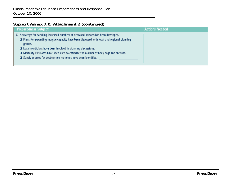| <b>Preparedness Subject</b>                                                                | <b>Actions Needed</b> |
|--------------------------------------------------------------------------------------------|-----------------------|
| □ A strategy for handling increased numbers of deceased persons has been developed.        |                       |
| □ Plans for expanding morgue capacity have been discussed with local and regional planning |                       |
| groups.                                                                                    |                       |
| □ Local morticians have been involved in planning discussions.                             |                       |
| □ Mortality estimates have been used to estimate the number of body bags and shrouds.      |                       |
| □ Supply sources for postmortem materials have been identified.                            |                       |
|                                                                                            |                       |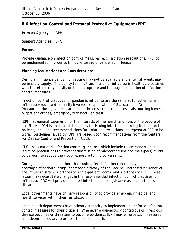# **8.0 Infection Control and Personal Protective Equipment (PPE)**

**Primary Agency:** IDPH

**Support Agencies:** IEPA

## *Purpose*

Provide guidance on infection control measures (e.g., isolation precautions, PPE) to be implemented in order to limit the spread of pandemic influenza.

## *Planning Assumptions and Considerations*

During an influenza pandemic, vaccine may not be available and antiviral agents may be in short supply. The ability to limit transmission of influenza in healthcare settings will, therefore, rely heavily on the appropriate and thorough application of infection control measures.

Infection control practices for pandemic influenza are the same as for other human influenza viruses and primarily involve the application of Standard and Droplet Precautions during patient care in healthcare settings (e.g., hospitals, nursing homes, outpatient offices, emergency transport vehicles).

IDPH has general supervision of the interests of the health and lives of the people of the State. IDPH is the lead state agency for issuing infection control guidelines and policies, including recommendations for isolation precautions and type(s) of PPE to be worn. Guidelines issued by IDPH are based upon recommendations from the Centers for Disease Control and Prevention (CDC).

CDC issues national infection control guidelines which include recommendations for isolation precautions to prevent transmission of microorganisms and the type(s) of PPE to be worn to reduce the risk of exposure to microorganisms.

During a pandemic, conditions that could affect infection control may include shortages of antiviral drugs, decreased efficacy of the vaccine, increased virulence of the influenza strain, shortages of single-patient rooms, and shortages of PPE. These issues may necessitate changes in the recommended infection control practices for influenza. CDC will provide updated infection control guidance as circumstances dictate.

Local governments have primary responsibility to provide emergency medical and health services within their jurisdiction.

Local health departments have primary authority to implement and enforce infection control measures for their citizens. Whenever a dangerously contagious or infectious disease becomes or threatens to become epidemic, IDPH may enforce such measures as it deems necessary to protect the public health.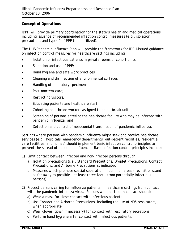## *Concept of Operations*

IDPH will provide primary coordination for the state's health and medical operations including issuance of recommended infection control measures (e.g., isolation precautions and type(s) of PPE to be utilized).

The HHS Pandemic Influenza Plan will provide the framework for IDPH-issued guidance on infection control measures for healthcare settings including:

- Isolation of infectious patients in private rooms or cohort units;
- Selection and use of PPE;
- Hand hygiene and safe work practices;
- Cleaning and disinfection of environmental surfaces;
- Handling of laboratory specimens;
- Post-mortem-care;
- Restricting visitors;
- Educating patients and healthcare staff;
- Cohorting healthcare workers assigned to an outbreak unit;
- Screening of persons entering the healthcare facility who may be infected with pandemic influenza; and
- Detection and control of nosocomial transmission of pandemic influenza.

Settings where persons with pandemic influenza might seek and receive healthcare services (e.g., hospitals, emergency departments, out-patient facilities, residential care facilities, and homes) should implement basic infection control principles to prevent the spread of pandemic influenza. Basic infection control principles include:

- 1) Limit contact between infected and non-infected persons through:
	- a) Isolation precautions (i.e., Standard Precautions, Droplet Precautions, Contact Precautions, and Airborne Precautions as indicated).
	- b) Measures which promote spatial separation in common areas (i.e., sit or stand as far away as possible – at least three feet – from potentially infectious persons).
- 2) Protect persons caring for influenza patients in healthcare settings from contact with the pandemic influenza virus. Persons who must be in contact should:
	- a) Wear a mask for close contact with infectious patients.
	- b) Use Contact and Airborne Precautions, including the use of N95 respirators, when appropriate.
	- c) Wear gloves (gown if necessary) for contact with respiratory secretions.
	- d) Perform hand hygiene after contact with infectious patients.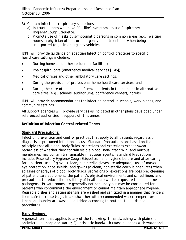- 3) Contain infectious respiratory secretions:
	- a) Instruct persons who have "flu-like" symptoms to use Respiratory Hygiene/Cough Etiquette.
	- b) Promote use of masks by symptomatic persons in common areas (e.g., waiting rooms in physician offices or emergency departments) or when being transported (e.g., in emergency vehicles).

IDPH will provide guidance on adapting Infection control practices to specific healthcare settings including:

- Nursing homes and other residential facilities;
- Pre-hospital care (emergency medical services  $[EMS]$ );
- Medical offices and other ambulatory care settings;
- During the provision of professional home healthcare services; and
- During the care of pandemic influenza patients in the home or in alternative care sites (e.g., schools, auditoriums, conference centers, hotels).

IDPH will provide recommendations for infection control in schools, work places, and community settings.

All support agencies will provide services as indicated in other plans developed under referenced authorities in support off this annex.

## *Definition of Infection Control-related Terms*

## **Standard Precautions:**

Infection prevention and control practices that apply to all patients regardless of diagnosis or presumed infection status. Standard Precautions are based on the principle that all blood, body fluids, secretions and excretions except sweat – regardless of whether they contain visible blood, non-intact skin, and mucous membranes may contain transmissible infectious agents. Standard Precautions include: Respiratory Hygiene/Cough Etiquette; hand hygiene before and after caring for a patient; use of gloves (clean, non-sterile gloves are adequate); use of masks, eye protection, face shields, and gowns (a clean, non-sterile gown is adequate) when splashes or sprays of blood, body fluids, secretions or excretions are possible; cleaning of patient-care equipment, the patient's physical environment, and soiled linen; and, precautions to reduce the possibility of healthcare worker exposure to bloodborne pathogens. Private rooms are generally not necessary but may be considered for patients who contaminate the environment or cannot maintain appropriate hygiene. Reusable dishes and eating utensils are washed and sanitized in a manner that renders them safe for reuse (e.g., in a dishwasher with recommended water temperature). Linen and laundry are washed and dried according to routine standards and procedures.

## **Hand Hygiene:**

A general term that applies to any of the following: 1) handwashing with plain (nonantimicrobial) soap and water; 2) antiseptic handwash (washing hands with water and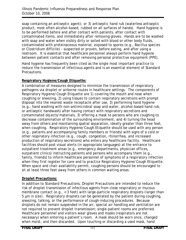soap containing an antiseptic agent); or 3) antiseptic hand rub (waterless antiseptic product, most often alcohol-based, rubbed on all surfaces of hands). Hand hygiene is to be performed before and after contact with patients, after contact with contaminated items, and immediately after removing gloves. Hands are to be washed with soap and water when visibly dirty or soiled with blood or other body fluids, contaminated with proteinaceous material, exposed to spores (e.g., Bacillus species or Clostridium difficile) - suspected or proven, before eating, and after using a restroom. It is essential that healthcare personnel always perform hand hygiene between patient contacts and after removing personal protective equipment (PPE).

Hand hygiene has frequently been cited as the single most important practice to reduce the transmission of infectious agents and is an essential element of Standard Precautions.

# **Respiratory Hygiene/Cough Etiquette:**

A combination of measures designed to minimize the transmission of respiratory pathogens via droplet or airborne routes in healthcare settings. The components of Respiratory Hygiene/Cough Etiquette are 1) covering the mouth and nose when coughing or sneezing, 2) using tissues to contain respiratory secretions with prompt disposal into the nearest waste receptacle after use, 3) performing hand hygiene (e.g., hand washing with non-antimicrobial soap and water, alcohol-based hand rub, or antiseptic handwash) after having contact with respiratory secretions and contaminated objects/materials, 3) offering a mask to persons who are coughing to decrease contamination of the surrounding environment, and 4) turning the head away from others and maintaining spatial separation, ideally greater than three feet, when coughing. Respiratory Hygiene/Cough Etiquette should be used with any person (e.g., patients and accompanying family members or friends) with signs of a cold or other respiratory infection (e.g., cough, congestion, rhinorrhea, and increased production of respiratory secretions) who enters any healthcare facility. Healthcare facilities should post visual alerts (in appropriate languages) at the entrance to outpatient treatment areas (e.g., emergency departments, physician offices, outpatient clinics) instructing patients and persons who accompany them (e.g., family, friends) to inform healthcare personnel of symptoms of a respiratory infection when they first register for care and to practice Respiratory Hygiene/Cough Etiquette. When space and chair availability permit, coughing persons should be encouraged to sit at least three feet away from others in common waiting areas.

## **Droplet Precautions:**

In addition to Standard Precautions, Droplet Precautions are intended to reduce the risk of droplet transmission of infectious agents from close respiratory or mucous membrane contact (e.g., < 3 feet) with large-particle respiratory droplets (larger than 5 µm in size). Respiratory droplets can be generated by the patient during coughing, sneezing, talking, or the performance of cough-inducing procedures. Because droplets do not remain suspended in the air, special air handling and ventilation are not required to prevent droplet transmission; single-patient rooms are preferred. Healthcare personnel and visitors wear gloves and masks (respirators are not necessary) when entering a patient's room. A mask should be worn once, changed when moist, and then discarded. Upon touching or discarding a used mask, hand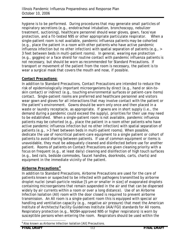hygiene is to be performed. During procedures that may generate small particles of respiratory secretions (e.g., endotracheal intubation, bronchoscopy, nebulizer treatment, suctioning), healthcare personnel should wear gloves, gown, face/eye protection, and a fit-tested N95 or other appropriate particulate respirator. When a single-patient room is not available, pandemic influenza patients may be cohorted (e.g., place the patient in a room with other patients who have active pandemic influenza infection but no other infection) with spatial separation of patients (e.g., > 3 feet between beds in multi-patient rooms). In general, wearing eye protection (e.g., goggles) or a face shield for routine contact with pandemic influenza patients is not necessary, but should be worn as recommended for Standard Precautions. If transport or movement of the patient from the room is necessary, the patient is to wear a surgical mask that covers the mouth and nose, if possible.

## **Contact Precautions:**

In addition to Standard Precautions, Contact Precautions are intended to reduce the risk of epidemiologically important microorganisms by direct (e.g., hand or skin-toskin contact) or indirect (e.g., touching environmental surfaces or patient-care items) contact. Single-patient rooms are preferred and healthcare personnel and visitors wear gown and gloves for all interactions that may involve contact with the patient or the patient's environment. Gowns should be worn only once and then placed in a waste or laundry receptacle, as appropriate. If gowns are in short supply (i.e., the demand during a pandemic could exceed the supply), priorities for their use may need to be established. When a single-patient room is not available, pandemic influenza patients may be cohorted (e.g., place the patient in a room other patients who have active pandemic influenza infection but no other infection) with spatial separation of patients (e.g., > 3 feet between beds in multi-patient rooms). When possible, dedicate the use of noncritical patient-care equipment to a single patient or cohort of patients to avoid sharing between patients. If use of common equipment or items is unavoidable, they must be adequately cleaned and disinfected before use for another patient. Rooms of patients on Contact Precautions are given cleaning priority with a focus on frequent (e.g., at least daily) cleaning and disinfection of high touch surfaces (e.g., bed rails, bedside commodes, faucet handles, doorknobs, carts, charts) and equipment in the immediate vicinity of the patient.

## **Airborne Precautions:6**

In addition to Standard Precautions, Airborne Precautions are used for the care of patients known or suspected to be infected with pathogens transmitted by airborne droplet nuclei (small-particle residue [5 µm or smaller in size] of evaporated droplets containing microorganisms that remain suspended in the air and that can be dispersed widely by air currents within a room or over a long distance). Use of an Airborne Infection Isolation (AII) room with the door closed is required to prevent airborne transmission. An AII room is a single-patient room this is equipped with special air handling and ventilation capacity (e.g., negative air pressure) that meet the American Institute of Architects/Facility Guidelines Institute (AIA/FGI) standards for AII rooms. Respiratory protection (e.g., NIOSH-approved N95 or higher respirators) is worn by susceptible persons when entering the room. Respirators should be used within the

 $\overline{a}$ <sup>6</sup> Also known as Airborne Infection Isolation [AII] Precautions.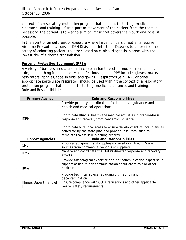context of a respiratory protection program that includes fit-testing, medical clearance, and training. If transport or movement of the patient from the room is necessary, the patient is to wear a surgical mask that covers the mouth and nose, if possible.

In the event of an outbreak or exposure where large numbers of patients require Airborne Precautions, consult IDPH Division of Infectious Diseases to determine the safety of cohorting patients together based on clinical diagnosis in areas with the lowest risk of airborne transmission.

## **Personal Protective Equipment (PPE):**

A variety of barriers used alone or in combination to protect mucous membranes, skin, and clothing from contact with infectious agents. PPE includes gloves, masks, respirators, goggles, face shields, and gowns. Respirators (e.g., N95 or other appropriate particulate respirator) should be used within the context of a respiratory protection program that includes fit-testing, medical clearance, and training. Role and Responsibilities

| <b>Primary Agency</b>           | <b>Role and Responsibilities</b>                                                                                                                                              |
|---------------------------------|-------------------------------------------------------------------------------------------------------------------------------------------------------------------------------|
| <b>IDPH</b>                     | Provide primary coordination for technical guidance and<br>health and medical operations.                                                                                     |
|                                 | Coordinate Illinois' health and medical activities in preparedness,<br>response and recovery from pandemic influenza                                                          |
|                                 | Coordinate with local areas to ensure development of local plans as<br>called for by the state plan and provide resources, such as<br>templates to assist in planning process |
| <b>Support Agencies</b>         | <b>Role and Responsibilities</b>                                                                                                                                              |
| <b>CMS</b>                      | Procures equipment and supplies not available through State<br>sources from commercial vendors or suppliers                                                                   |
| <b>IEMA</b>                     | Manage and coordinate the State's disaster response and recovery<br>efforts                                                                                                   |
| <b>IEPA</b>                     | Provide toxicological expertise and risk communication expertise in<br>support of health risk communication about chemicals or other<br>health risks                          |
|                                 | Provide technical advice regarding disinfection and<br>decontamination                                                                                                        |
| Illinois Department of<br>Labor | Ensure compliance with OSHA regulations and other applicable<br>worker safety requirements                                                                                    |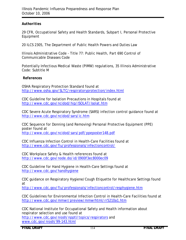## *Authorities*

29 CFR, Occupational Safety and Health Standards, Subpart I, Personal Protective Equipment

20 ILCS 2305, The Department of Public Health Powers and Duties Law

Illinois Administrative Code - Title 77: Public Health, Part 690 Control of Communicable Diseases Code

Potentially Infectious Medical Waste (PIMW) regulations, 35 Illinois Administrative Code: Subtitle M

#### *References*

OSHA Respiratory Protection Standard found at http://www.osha.gov/SLTC/respiratoryprotection/index.html

CDC Guideline for Isolation Precautions in Hospitals found at http://www.cdc.gov/ncidod/hip/ISOLAT/Isolat.htm

CDC Severe Acute Respiratory Syndrome (SARS) infection control guidance found at http://www.cdc.gov/ncidod/sars/ic.htm

CDC Sequence for Donning (and Removing) Personal Protective Equipment (PPE) poster found at http://www.cdc.gov/ncidod/sars/pdf/ppeposter148.pdf

CDC Influenza Infection Control in Health-Care Facilities found at http://www.cdc.gov/flu/professionals/infectioncontrol/

CDC Workplace Safety & Health references found at http://www.cdc.gov/node.do/id/0900f3ec8000ec09

CDC Guideline for Hand Hygiene in Health-Care Settings found at http://www.cdc.gov/handhygiene

CDC guidance on Respiratory Hygiene/Cough Etiquette for Healthcare Settings found at

http://www.cdc.gov/flu/professionals/infectioncontrol/resphygiene.htm

CDC Guidelines for Environmental Infection Control in Health-Care Facilities found at http://www.cdc.gov/mmwr/preview/mmwrhtml/rr5210a1.htm

CDC National Institute for Occupational Safety and Health information about respirator selection and use found at http://www.cdc.gov/niosh/npptl/topics/respirators and www.cdc.gov/niosh/99-143.html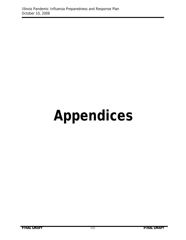# **Appendices**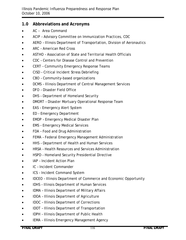# **1.0 Abbreviations and Acronyms**

- AC Area Command
- ACIP Advisory Committee on Immunization Practices, CDC
- AERO Illinois Department of Transportation, Division of Aeronautics
- ARC American Red Cross
- ASTHO Association of State and Territorial Health Officials
- CDC Centers for Disease Control and Prevention
- CERT Community Emergency Response Teams
- CISD Critical Incident Stress Debriefing
- CBO Community-based organizations
- DCMS Illinois Department of Central Management Services
- DFO Disaster Field Office
- DHS Department of Homeland Security
- DMORT Disaster Mortuary Operational Response Team
- EAS Emergency Alert System
- ED Emergency Department
- EMDP Emergency Medical Disaster Plan
- EMS Emergency Medical Services
- FDA Food and Drug Administration
- FEMA Federal Emergency Management Administration
- HHS Department of Health and Human Services
- HRSA Health Resources and Services Administration
- HSPD Homeland Security Presidential Directive
- IAP Incident Action Plan
- IC Incident Commander
- ICS Incident Command System
- IDCEO Illinois Department of Commerce and Economic Opportunity
- IDHS Illinois Department of Human Services
- IDMA Illinois Department of Military Affairs
- IDOA Illinois Department of Agriculture
- IDOC Illinois Department of Corrections
- IDOT Illinois Department of Transportation
- IDPH Illinois Department of Public Health
- IEMA Illinois Emergency Management Agency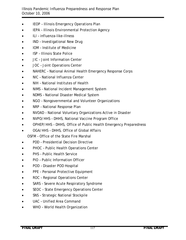- IEOP Illinois Emergency Operations Plan
- IEPA Illinois Environmental Protection Agency
- ILI influenza-like-illness
- IND Investigational New Drug
- IOM Institute of Medicine
- ISP Illinois State Police
- JIC Joint Information Center
- JOC Joint Operations Center
- NAHERC National Animal Health Emergency Response Corps
- NIC National Influenza Center
- NIH National Institutes of Health
- NIMS National Incident Management System
- NDMS National Disaster Medical System
- NGO Nongovernmental and Volunteer Organizations
- NRP National Response Plan
- NVOAD National Voluntary Organizations Active in Disaster
- NVPO/HHS DHHS, National Vaccine Program Office
- OPHEP/HHS DHHS, Office of Public Health Emergency Preparedness
- OGA/HHS DHHS, Office of Global Affairs
- OSFM Office of the State Fire Marshal
- PDD Presidential Decision Directive
- PHOC Public Health Operations Center
- PHS Public Health Service
- PIO Public Information Officer
- POD Disaster POD Hospital
- PPE Personal Protective Equipment
- ROC Regional Operations Center
- SARS Severe Acute Respiratory Syndrome
- SEOC State Emergency Operations Center
- SNS Strategic National Stockpile
- UAC Unified Area Command
- WHO World Health Organization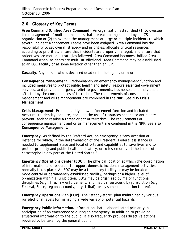# **2.0 Glossary of Key Terms**

**Area Command (Unified Area Command).** An organization established (1) to oversee the management of multiple incidents that are each being handled by an ICS organization or (2) to oversee the management of large or multiple incidents to which several Incident Management Teams have been assigned. Area Command has the responsibility to set overall strategy and priorities, allocate critical resources according to priorities, ensure that incidents are properly managed, and ensure that objectives are met and strategies followed. Area Command becomes Unified Area Command when incidents are multijurisdictional. Area Command may be established at an EOC facility or at some location other than an ICP.

**Casualty.** Any person who is declared dead or is missing, ill, or injured.

**Consequence Management.** Predominantly an emergency management function and included measures to protect public health and safety, restore essential government services, and provide emergency relief to governments, businesses, and individuals affected by the consequences of terrorism. The requirements of consequence management and crisis management are combined in the NRP. See also **Crisis Management.** 

**Crisis Management.** Predominantly a law enforcement function and included measures to identify, acquire, and plan the use of resources needed to anticipate, prevent, and/or resolve a threat or act of terrorism. The requirements of consequence management and crisis management are combined in the NRP. See also **Consequence Management.** 

**Emergency.** As defined by the Stafford Act, an emergency is "any occasion or instance for which, in the determination of the President, Federal assistance is needed to supplement State and local efforts and capabilities to save lives and to protect property and public health and safety, or to lessen or avert the threat of a catastrophe in any part of the United States."

**Emergency Operations Center (EOC).** The physical location at which the coordination of information and resources to support domestic incident management activities normally takes place. An EOC may be a temporary facility or may be located in a more central or permanently established facility, perhaps at a higher level of organization within a jurisdiction. EOCs may be organized by major functional disciplines (e.g., fire, law enforcement, and medical services), by jurisdiction (e.g., Federal, State, regional, county, city, tribal), or by some combination thereof.

**Emergency Operations Plan (EOP).** The "steady-state" plan maintained by various jurisdictional levels for managing a wide variety of potential hazards.

**Emergency Public Information.** Information that is disseminated primarily in anticipation of an emergency or during an emergency. In addition to providing situational information to the public, it also frequently provides directive actions required to be taken by the general public.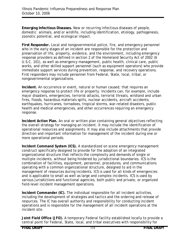**Emerging Infectious Diseases.** New or recurring infectious diseases of people, domestic animals, and/or wildlife, including identification, etiology, pathogenesis, zoonotic potential, and ecological impact.

**First Responder.** Local and nongovernmental police, fire, and emergency personnel who in the early stages of an incident are responsible for the protection and preservation of life, property, evidence, and the environment, including emergency response providers as defined in section 2 of the Homeland Security Act of 2002 (6 U.S.C. 101), as well as emergency management, public health, clinical care, public works, and other skilled support personnel (such as equipment operators) who provide immediate support services during prevention, response, and recovery operations. First responders may include personnel from Federal, State, local, tribal, or nongovernmental organizations.

**Incident.** An occurrence or event, natural or human caused, that requires an emergency response to protect life or property. Incidents can, for example, include major disasters, emergencies, terrorist attacks, terrorist threats, wildland and urban fires, floods, hazardous materials spills, nuclear accidents, aircraft accidents, earthquakes, hurricanes, tornadoes, tropical storms, war-related disasters, public health and medical emergencies, and other occurrences requiring an emergency response.

**Incident Action Plan.** An oral or written plan containing general objectives reflecting the overall strategy for managing an incident. It may include the identification of operational resources and assignments. It may also include attachments that provide direction and important information for management of the incident during one or more operational periods.

**Incident Command System (ICS).** A standardized on scene emergency management construct specifically designed to provide for the adoption of an integrated organizational structure that reflects the complexity and demands of single or multiple incidents, without being hindered by jurisdictional boundaries. ICS is the combination of facilities, equipment, personnel, procedures, and communications operating with a common organizational structure, designed to aid in the management of resources during incidents. ICS is used for all kinds of emergencies and is applicable to small as well as large and complex incidents. ICS is used by various jurisdictions and functional agencies, both public and private, or organized field-level incident management operations.

**Incident Commander (IC).** The individual responsible for all incident activities, including the development of strategies and tactics and the ordering and release of resources. The IC has overall authority and responsibility for conducting incident operations and is responsible for the management of all incident operations at the incident site.

**Joint Field Office (JFO).** A temporary Federal facility established locally to provide a central point for Federal, State, local, and tribal executives with responsibility for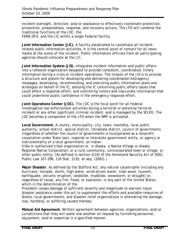incident oversight, direction, and/or assistance to effectively coordinate protection, prevention, preparedness, response, and recovery actions. The JFO will combine the traditional functions of the JOC, the FEMA DFO, and the JIC within a single Federal facility.

**Joint Information Center (JIC).** A facility established to coordinate all incidentrelated public information activities. It is the central point of contact for all news media at the scene of the incident. Public information officials from all participating agencies should collocate at the JIC.

**Joint Information System (JIS).** Integrates incident information and public affairs into a cohesive organization designed to provide consistent, coordinated, timely information during a crisis or incident operations. The mission of the JIS is to provide a structure and system for developing and delivering coordinated interagency messages; developing, recommending, and executing public information plans and strategies on behalf of the IC; advising the IC concerning public affairs issues that could affect a response effort; and controlling rumors and inaccurate information that could undermine public confidence in the emergency response effort.

**Joint Operations Center (JOC).** The JOC is the focal point for all Federal investigative law enforcement activities during a terrorist or potential terrorist incident or any other significant criminal incident, and is managed by the SFLEO. The JOC becomes a component of the JFO when the NRP is activated.

**Local Government.** A county, municipality, city, town, township, local public authority, school district, special district, intrastate district, council of governments (regardless of whether the council of governments is incorporated as a nonprofit corporation under State law), regional or interstate government entity, or agency or instrumentality of a local government; an Indian

tribe or authorized tribal organization or, in Alaska, a Native Village or Alaska Regional Native Corporation; or a rural community, unincorporated town or village, or other public entity. (As defined in section 2(10) of the Homeland Security Act of 2002, Public Law 107-296, 116 Stat. 2135, et seq. (2002).)

**Major Disaster.** As defined by the Stafford Act, any natural catastrophe (including any hurricane, tornado, storm, high water, wind-driven water, tidal wave, tsunami, earthquake, volcanic eruption, landslide, mudslide, snowstorm, or drought) or, regardless of cause, any fire, flood, or explosion, in any part of the United States, which in the determination of the

President causes damage of sufficient severity and magnitude to warrant major disaster assistance under this act to supplement the efforts and available resources of States, local governments, and disaster relief organizations in alleviating the damage, loss, hardship, or suffering caused thereby.

**Mutual Aid Agreement.** Written agreement between agencies, organizations, and/or jurisdictions that they will assist one another on request by furnishing personnel, equipment, and/or expertise in a specified manner.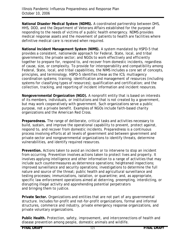**National Disaster Medical System (NDMS).** A coordinated partnership between DHS, HHS, DOD, and the Department of Veterans Affairs established for the purpose of responding to the needs of victims of a public health emergency. NDMS provides medical response assets and the movement of patients to health are facilities where definitive medical care is received when required.

**National Incident Management System (NIMS).** A system mandated by HSPD-5 that provides a consistent, nationwide approach for Federal, State, local, and tribal governments; the private sector; and NGOs to work effectively and efficiently together to prepare for, respond to, and recover from domestic incidents, regardless of cause, size, or complexity. To provide for interoperability and compatibility among Federal, State, local, and tribal capabilities, the NIMS includes a core set of concepts, principles, and terminology. HSPD-5 identifies these as the ICS; multiagency coordination systems; training; identification and management of resources (including systems for classifying types of resources); qualification and certification; and the collection, tracking, and reporting of incident information and incident resources.

**Nongovernmental Organization (NGO).** A nonprofit entity that is based on interests of its members, individuals, or institutions and that is not created by a government, but may work cooperatively with government. Such organizations serve a public purpose, not a private benefit. Examples of NGOs include faith-based charity organizations and the American Red Cross.

**Preparedness.** The range of deliberate, critical tasks and activities necessary to build, sustain, and improve the operational capability to prevent, protect against, respond to, and recover from domestic incidents. Preparedness is a continuous process involving efforts at all levels of government and between government and private-sector and nongovernmental organizations to identify threats, determine vulnerabilities, and identify required resources.

**Prevention.** Actions taken to avoid an incident or to intervene to stop an incident from occurring. Prevention involves actions taken to protect lives and property. It involves applying intelligence and other information to a range of activities that may include such countermeasures as deterrence operations; heightened inspections; improved surveillance and security operations; investigations to determine the full nature and source of the threat; public health and agricultural surveillance and testing processes; immunizations, isolation, or quarantine; and, as appropriate, specific law enforcement operations aimed at deterring, preempting, interdicting, or disrupting illegal activity and apprehending potential perpetrators and bringing them to justice.

**Private Sector.** Organizations and entities that are not part of any governmental structure. Includes for-profit and not-for-profit organizations, formal and informal structures, commerce and industry, private emergency response organizations, and private voluntary organizations.

**Public Health.** Protection, safety, improvement, and interconnections of health and disease prevention among people, domestic animals and wildlife.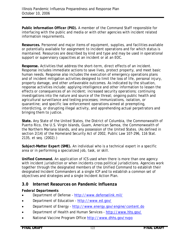**Public Information Officer (PIO).** A member of the Command Staff responsible for interfacing with the public and media or with other agencies with incident related information requirements.

**Resources.** Personnel and major items of equipment, supplies, and facilities available or potentially available for assignment to incident operations and for which status is maintained. Resources are described by kind and type and may be used in operational support or supervisory capacities at an incident or at an EOC.

**Response.** Activities that address the short-term, direct effects of an incident. Response includes immediate actions to save lives, protect property, and meet basic human needs. Response also includes the execution of emergency operations plans and of incident mitigation activities designed to limit the loss of life, personal injury, property damage, and other unfavorable outcomes. As indicated by the situation, response activities include: applying intelligence and other information to lessen the effects or consequences of an incident; increased security operations; continuing investigations into the nature and source of the threat; ongoing public health and agricultural surveillance and testing processes; immunizations, isolation, or quarantine; and specific law enforcement operations aimed at preempting, interdicting, or disrupting illegal activity, and apprehending actual perpetrators and bringing them to justice.

**State.** Any State of the United States, the District of Columbia, the Commonwealth of Puerto Rico, the U.S. Virgin Islands, Guam, American Samoa, the Commonwealth of the Northern Mariana Islands, and any possession of the United States. (As defined in section 2(14) of the Homeland Security Act of 2002, Public Law 107-296, 116 Stat. 2135, et seq. (2002).)

**Subject-Matter Expert (SME).** An individual who is a technical expert in a specific area or in performing a specialized job, task, or skill.

**Unified Command.** An application of ICS used when there is more than one agency with incident jurisdiction or when incidents cross political jurisdictions. Agencies work together through the designated members of the Unified Command to establish their designated Incident Commanders at a single ICP and to establish a common set of objectives and strategies and a single Incident Action Plan.

# **3.0 Internet Resources on Pandemic Influenza**

## *Federal Departments*

- Department of Defense http://www.defenselink.mil/
- Department of Education http://www.ed.gov/
- Department of Energy http://www.energy.gov/engine/content.do
- Department of Health and Human Services http://www.hhs.gov/
- National Vaccine Program Office http://www.dhhs.gov/nvpo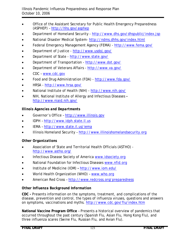- Office of the Assistant Secretary for Public Health Emergency Preparedness (ASPHEP) - http://hhs.gov/asphep
- Department of Homeland Security http://www.dhs.gov/dhspublic/index.jsp
- National Disaster Medical System-http://ndms.dhhs.gov/index.html
- Federal Emergency Management Agency (FEMA) http://www.fema.gov/
- Department of Justice http://www.usdoj.gov/
- Department of State http://www.state.gov/
- Department of Transportation http://www.dot.gov/
- Department of Veterans Affairs http://www.va.gov/
- CDC www.cdc.gov
- Food and Drug Administration (FDA) http://www.fda.gov/
- HRSA http://www.hrsa.gov/
- National Institute of Health (NIH) http://www.nih.gov/
- NIH, National Institute of Allergy and Infectious Diseases  http://www.niaid.nih.gov/

## *Illinois Agencies and Departments*

- Governor's Office http://www.illinois.gov
- IDPH http://www.idph.state.il.us
- IEMA http://www.state.il.us/iema
- Illinois Homeland Security http://www.illinoishomelandsecurity.org

## *Other Organizations*

- Association of State and Territorial Health Officials (ASTHO) http://www.astho.org/
- Infectious Disease Society of America www.idsociety.org
- National Foundation for Infectious Diseases www.nfid.org
- Institute of Medicine (IOM) http://www.iom.edu/
- World Health Organization (WHO) www.who.org
- American Red Cross http://www.redcross.org/preparedness

## *Other Influenza Background Information*

**CDC -** Presents information on the symptoms, treatment, and complications of the disease, prevention and control, the types of influenza viruses, questions and answers on symptoms, vaccinations and myths. http://www.cdc.gov/flu/index.htm

**National Vaccine Program Office** – Presents a historical overview of pandemics that occurred throughout the past century (Spanish Flu, Asian Flu, Hong Kong Flu), and three influenza scares (Swine Flu, Russian Flu, and Avian Flu).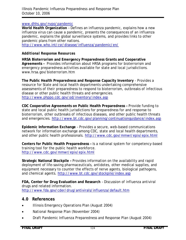## www.dhhs.gov/nypo/pandemic

**World Health Organization** – Defines an influenza pandemic, explains how a new influenza virus can cause a pandemic, presents the consequences of an influenza pandemic, explains the global surveillance systems, and provides links to other pandemic plans from other nations.

http://www.who.int/csr/disease/influenza/pandemic/en/

## *Additional Response Resources*

**HRSA Bioterrorism and Emergency Preparedness Grants and Cooperative Agreements –** Provides information about HRSA programs for bioterrorism and emergency preparedness activities available for state and local jurisdictions. www.hrsa.gov/bioterrorism.htm

**The Public Health Preparedness and Response Capacity Inventory** - Provides a resource for State and local health departments undertaking comprehensive assessments of their preparedness to respond to bioterrorism, outbreaks of infectious disease or other public health threats and emergencies. http://www.phppo.cdc.gov/od/inventory/index.asp

**CDC Cooperative Agreements on Public Health Preparedness –** Provide funding to state and local public health jurisdictions for preparedness for and response to bioterrorism, other outbreaks of infectious diseases, and other public health threats and emergencies. http://www.bt.cdc.gov/planning/continuationguidance/index.asp

**Epidemic Information Exchange** – Provides a secure, web-based communications network for information exchange among CDC, state and local health departments, and other public health professionals. http://www.cdc.gov/mmwr/epix/epix.html

**Centers for Public Health Preparedness –** Is a national system for competency-based training tool for the public health workforce. http://www.cdc.gov/mmwr/epix/epix.html

**Strategic National Stockpile** *–* Provides information on the availability and rapid deployment of life-saving pharmaceuticals, antidotes, other medical supplies, and equipment necessary to counter the effects of nerve agents, biological pathogens, and chemical agents. http://www.bt.cdc.gov/stockpile/index.asp

**FDA, Center for Drug Evaluation and Research** – Discussion of influenza antiviral drugs and related information. http://www.fda.gov/cder/drug/antivirals/influenza/default.htm

## **4.0 References**

- Illinois Emergency Operations Plan (August 2004)
- National Response Plan (November 2004)
- Draft Pandemic Influenza Preparedness and Response Plan (August 2004)